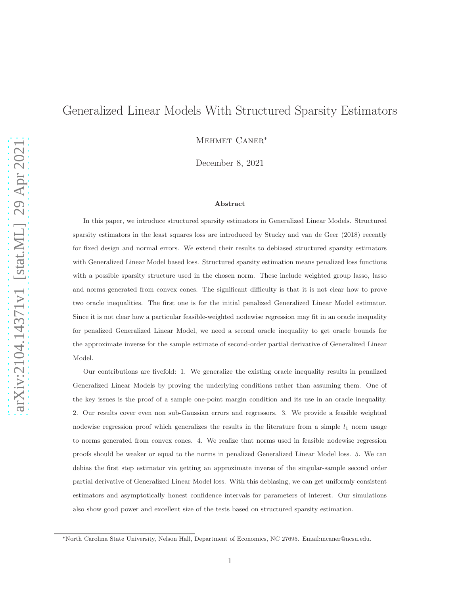# Generalized Linear Models With Structured Sparsity Estimators

Mehmet Caner<sup>∗</sup>

December 8, 2021

#### Abstract

In this paper, we introduce structured sparsity estimators in Generalized Linear Models. Structured sparsity estimators in the least squares loss are introduced by Stucky and van de Geer (2018) recently for fixed design and normal errors. We extend their results to debiased structured sparsity estimators with Generalized Linear Model based loss. Structured sparsity estimation means penalized loss functions with a possible sparsity structure used in the chosen norm. These include weighted group lasso, lasso and norms generated from convex cones. The significant difficulty is that it is not clear how to prove two oracle inequalities. The first one is for the initial penalized Generalized Linear Model estimator. Since it is not clear how a particular feasible-weighted nodewise regression may fit in an oracle inequality for penalized Generalized Linear Model, we need a second oracle inequality to get oracle bounds for the approximate inverse for the sample estimate of second-order partial derivative of Generalized Linear Model.

Our contributions are fivefold: 1. We generalize the existing oracle inequality results in penalized Generalized Linear Models by proving the underlying conditions rather than assuming them. One of the key issues is the proof of a sample one-point margin condition and its use in an oracle inequality. 2. Our results cover even non sub-Gaussian errors and regressors. 3. We provide a feasible weighted nodewise regression proof which generalizes the results in the literature from a simple  $l_1$  norm usage to norms generated from convex cones. 4. We realize that norms used in feasible nodewise regression proofs should be weaker or equal to the norms in penalized Generalized Linear Model loss. 5. We can debias the first step estimator via getting an approximate inverse of the singular-sample second order partial derivative of Generalized Linear Model loss. With this debiasing, we can get uniformly consistent estimators and asymptotically honest confidence intervals for parameters of interest. Our simulations also show good power and excellent size of the tests based on structured sparsity estimation.

<sup>∗</sup>North Carolina State University, Nelson Hall, Department of Economics, NC 27695. Email:mcaner@ncsu.edu.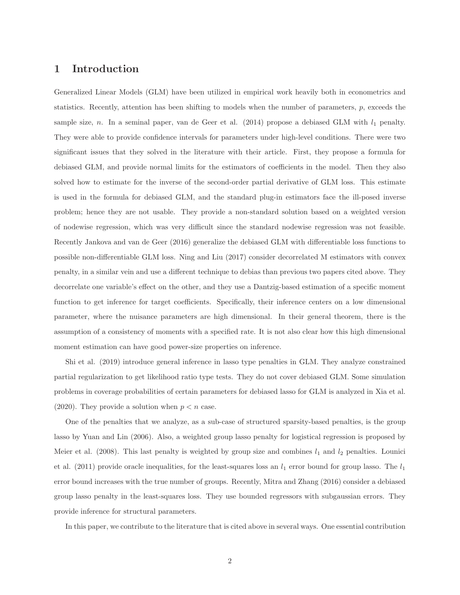# 1 Introduction

Generalized Linear Models (GLM) have been utilized in empirical work heavily both in econometrics and statistics. Recently, attention has been shifting to models when the number of parameters,  $p$ , exceeds the sample size, n. In a seminal paper, van de Geer et al.  $(2014)$  propose a debiased GLM with  $l_1$  penalty. They were able to provide confidence intervals for parameters under high-level conditions. There were two significant issues that they solved in the literature with their article. First, they propose a formula for debiased GLM, and provide normal limits for the estimators of coefficients in the model. Then they also solved how to estimate for the inverse of the second-order partial derivative of GLM loss. This estimate is used in the formula for debiased GLM, and the standard plug-in estimators face the ill-posed inverse problem; hence they are not usable. They provide a non-standard solution based on a weighted version of nodewise regression, which was very difficult since the standard nodewise regression was not feasible. Recently Jankova and van de Geer (2016) generalize the debiased GLM with differentiable loss functions to possible non-differentiable GLM loss. Ning and Liu (2017) consider decorrelated M estimators with convex penalty, in a similar vein and use a different technique to debias than previous two papers cited above. They decorrelate one variable's effect on the other, and they use a Dantzig-based estimation of a specific moment function to get inference for target coefficients. Specifically, their inference centers on a low dimensional parameter, where the nuisance parameters are high dimensional. In their general theorem, there is the assumption of a consistency of moments with a specified rate. It is not also clear how this high dimensional moment estimation can have good power-size properties on inference.

Shi et al. (2019) introduce general inference in lasso type penalties in GLM. They analyze constrained partial regularization to get likelihood ratio type tests. They do not cover debiased GLM. Some simulation problems in coverage probabilities of certain parameters for debiased lasso for GLM is analyzed in Xia et al. (2020). They provide a solution when  $p < n$  case.

One of the penalties that we analyze, as a sub-case of structured sparsity-based penalties, is the group lasso by Yuan and Lin (2006). Also, a weighted group lasso penalty for logistical regression is proposed by Meier et al. (2008). This last penalty is weighted by group size and combines  $l_1$  and  $l_2$  penalties. Lounici et al. (2011) provide oracle inequalities, for the least-squares loss an  $l_1$  error bound for group lasso. The  $l_1$ error bound increases with the true number of groups. Recently, Mitra and Zhang (2016) consider a debiased group lasso penalty in the least-squares loss. They use bounded regressors with subgaussian errors. They provide inference for structural parameters.

In this paper, we contribute to the literature that is cited above in several ways. One essential contribution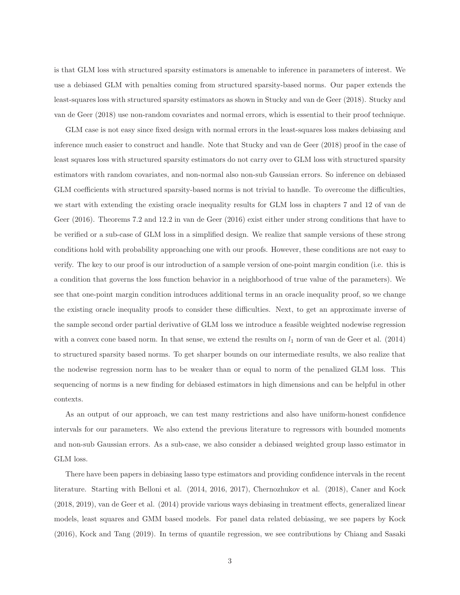is that GLM loss with structured sparsity estimators is amenable to inference in parameters of interest. We use a debiased GLM with penalties coming from structured sparsity-based norms. Our paper extends the least-squares loss with structured sparsity estimators as shown in Stucky and van de Geer (2018). Stucky and van de Geer (2018) use non-random covariates and normal errors, which is essential to their proof technique.

GLM case is not easy since fixed design with normal errors in the least-squares loss makes debiasing and inference much easier to construct and handle. Note that Stucky and van de Geer (2018) proof in the case of least squares loss with structured sparsity estimators do not carry over to GLM loss with structured sparsity estimators with random covariates, and non-normal also non-sub Gaussian errors. So inference on debiased GLM coefficients with structured sparsity-based norms is not trivial to handle. To overcome the difficulties, we start with extending the existing oracle inequality results for GLM loss in chapters 7 and 12 of van de Geer (2016). Theorems 7.2 and 12.2 in van de Geer (2016) exist either under strong conditions that have to be verified or a sub-case of GLM loss in a simplified design. We realize that sample versions of these strong conditions hold with probability approaching one with our proofs. However, these conditions are not easy to verify. The key to our proof is our introduction of a sample version of one-point margin condition (i.e. this is a condition that governs the loss function behavior in a neighborhood of true value of the parameters). We see that one-point margin condition introduces additional terms in an oracle inequality proof, so we change the existing oracle inequality proofs to consider these difficulties. Next, to get an approximate inverse of the sample second order partial derivative of GLM loss we introduce a feasible weighted nodewise regression with a convex cone based norm. In that sense, we extend the results on  $l_1$  norm of van de Geer et al. (2014) to structured sparsity based norms. To get sharper bounds on our intermediate results, we also realize that the nodewise regression norm has to be weaker than or equal to norm of the penalized GLM loss. This sequencing of norms is a new finding for debiased estimators in high dimensions and can be helpful in other contexts.

As an output of our approach, we can test many restrictions and also have uniform-honest confidence intervals for our parameters. We also extend the previous literature to regressors with bounded moments and non-sub Gaussian errors. As a sub-case, we also consider a debiased weighted group lasso estimator in GLM loss.

There have been papers in debiasing lasso type estimators and providing confidence intervals in the recent literature. Starting with Belloni et al. (2014, 2016, 2017), Chernozhukov et al. (2018), Caner and Kock (2018, 2019), van de Geer et al. (2014) provide various ways debiasing in treatment effects, generalized linear models, least squares and GMM based models. For panel data related debiasing, we see papers by Kock (2016), Kock and Tang (2019). In terms of quantile regression, we see contributions by Chiang and Sasaki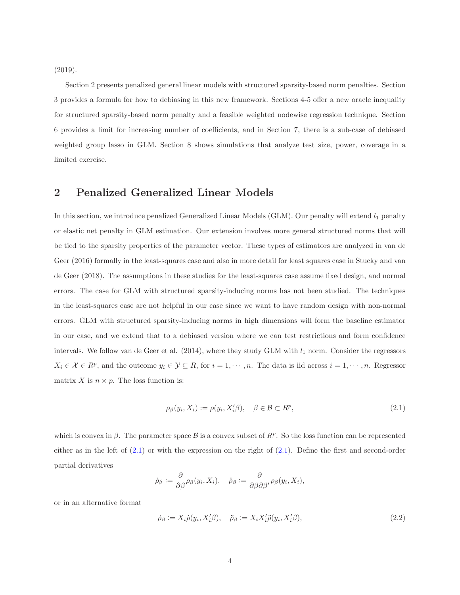(2019).

Section 2 presents penalized general linear models with structured sparsity-based norm penalties. Section 3 provides a formula for how to debiasing in this new framework. Sections 4-5 offer a new oracle inequality for structured sparsity-based norm penalty and a feasible weighted nodewise regression technique. Section 6 provides a limit for increasing number of coefficients, and in Section 7, there is a sub-case of debiased weighted group lasso in GLM. Section 8 shows simulations that analyze test size, power, coverage in a limited exercise.

# 2 Penalized Generalized Linear Models

In this section, we introduce penalized Generalized Linear Models (GLM). Our penalty will extend  $l_1$  penalty or elastic net penalty in GLM estimation. Our extension involves more general structured norms that will be tied to the sparsity properties of the parameter vector. These types of estimators are analyzed in van de Geer (2016) formally in the least-squares case and also in more detail for least squares case in Stucky and van de Geer (2018). The assumptions in these studies for the least-squares case assume fixed design, and normal errors. The case for GLM with structured sparsity-inducing norms has not been studied. The techniques in the least-squares case are not helpful in our case since we want to have random design with non-normal errors. GLM with structured sparsity-inducing norms in high dimensions will form the baseline estimator in our case, and we extend that to a debiased version where we can test restrictions and form confidence intervals. We follow van de Geer et al.  $(2014)$ , where they study GLM with  $l_1$  norm. Consider the regressors  $X_i \in \mathcal{X} \in \mathbb{R}^p$ , and the outcome  $y_i \in \mathcal{Y} \subseteq \mathbb{R}$ , for  $i = 1, \dots, n$ . The data is iid across  $i = 1, \dots, n$ . Regressor matrix X is  $n \times p$ . The loss function is:

<span id="page-3-0"></span>
$$
\rho_{\beta}(y_i, X_i) := \rho(y_i, X_i'\beta), \quad \beta \in \mathcal{B} \subset R^p,
$$
\n(2.1)

which is convex in  $\beta$ . The parameter space  $\beta$  is a convex subset of  $R^p$ . So the loss function can be represented either as in the left of  $(2.1)$  or with the expression on the right of  $(2.1)$ . Define the first and second-order partial derivatives

$$
\dot{\rho}_{\beta} := \frac{\partial}{\partial \beta} \rho_{\beta}(y_i, X_i), \quad \ddot{\rho}_{\beta} := \frac{\partial}{\partial \beta \partial \beta'} \rho_{\beta}(y_i, X_i),
$$

or in an alternative format

<span id="page-3-1"></span>
$$
\dot{\rho}_{\beta} := X_i \dot{\rho}(y_i, X_i^{\prime} \beta), \quad \ddot{\rho}_{\beta} := X_i X_i^{\prime} \ddot{\rho}(y_i, X_i^{\prime} \beta), \tag{2.2}
$$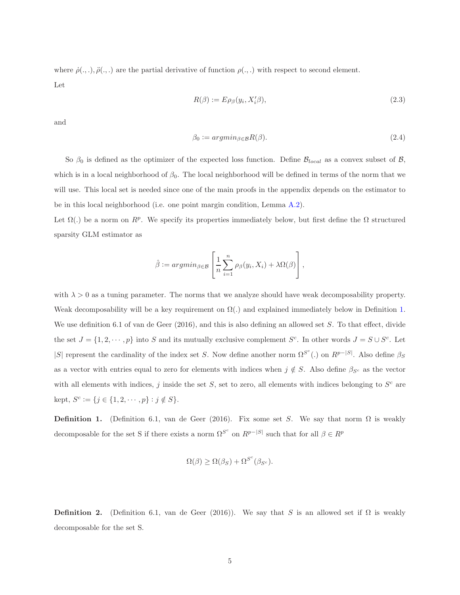where  $\dot{\rho}(\cdot,\cdot), \ddot{\rho}(\cdot,\cdot)$  are the partial derivative of function  $\rho(\cdot,\cdot)$  with respect to second element. Let

<span id="page-4-1"></span>
$$
R(\beta) := E \rho_{\beta}(y_i, X_i' \beta), \tag{2.3}
$$

and

<span id="page-4-2"></span>
$$
\beta_0 := \operatorname{argmin}_{\beta \in \mathcal{B}} R(\beta). \tag{2.4}
$$

So  $\beta_0$  is defined as the optimizer of the expected loss function. Define  $\mathcal{B}_{local}$  as a convex subset of  $\mathcal{B}$ , which is in a local neighborhood of  $\beta_0$ . The local neighborhood will be defined in terms of the norm that we will use. This local set is needed since one of the main proofs in the appendix depends on the estimator to be in this local neighborhood (i.e. one point margin condition, Lemma [A.2\)](#page-47-0).

Let  $\Omega(.)$  be a norm on  $R^p$ . We specify its properties immediately below, but first define the  $\Omega$  structured sparsity GLM estimator as

$$
\hat{\beta} := argmin_{\beta \in \mathcal{B}} \left[ \frac{1}{n} \sum_{i=1}^{n} \rho_{\beta}(y_i, X_i) + \lambda \Omega(\beta) \right],
$$

with  $\lambda > 0$  as a tuning parameter. The norms that we analyze should have weak decomposability property. Weak decomposability will be a key requirement on  $\Omega(.)$  and explained immediately below in Definition [1.](#page-4-0) We use definition 6.1 of van de Geer (2016), and this is also defining an allowed set S. To that effect, divide the set  $J = \{1, 2, \dots, p\}$  into S and its mutually exclusive complement  $S^c$ . In other words  $J = S \cup S^c$ . Let |S| represent the cardinality of the index set S. Now define another norm  $\Omega^{S^c}$  (.) on  $R^{p-|S|}$ . Also define  $\beta_S$ as a vector with entries equal to zero for elements with indices when  $j \notin S$ . Also define  $\beta_{S^c}$  as the vector with all elements with indices, j inside the set  $S$ , set to zero, all elements with indices belonging to  $S<sup>c</sup>$  are kept,  $S^c := \{ j \in \{1, 2, \dots, p\} : j \notin S \}.$ 

<span id="page-4-0"></span>**Definition 1.** (Definition 6.1, van de Geer (2016). Fix some set S. We say that norm  $\Omega$  is weakly decomposable for the set S if there exists a norm  $\Omega^{S^c}$  on  $R^{p-|S|}$  such that for all  $\beta \in R^p$ 

$$
\Omega(\beta) \ge \Omega(\beta_S) + \Omega^{S^c}(\beta_{S^c}).
$$

<span id="page-4-3"></span>**Definition 2.** (Definition 6.1, van de Geer (2016)). We say that S is an allowed set if  $\Omega$  is weakly decomposable for the set S.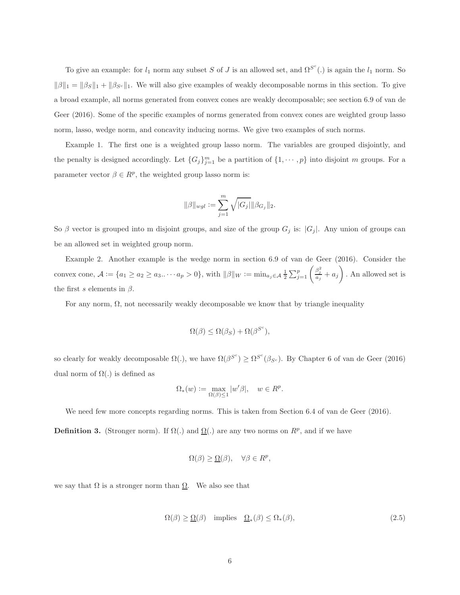To give an example: for  $l_1$  norm any subset S of J is an allowed set, and  $\Omega^{S^c}$ .) is again the  $l_1$  norm. So  $\|\beta\|_1 = \|\beta_S\|_1 + \|\beta_{S^c}\|_1$ . We will also give examples of weakly decomposable norms in this section. To give a broad example, all norms generated from convex cones are weakly decomposable; see section 6.9 of van de Geer (2016). Some of the specific examples of norms generated from convex cones are weighted group lasso norm, lasso, wedge norm, and concavity inducing norms. We give two examples of such norms.

Example 1. The first one is a weighted group lasso norm. The variables are grouped disjointly, and the penalty is designed accordingly. Let  $\{G_j\}_{j=1}^m$  be a partition of  $\{1, \dots, p\}$  into disjoint m groups. For a parameter vector  $\beta \in R^p$ , the weighted group lasso norm is:

$$
\|\beta\|_{wgl} := \sum_{j=1}^m \sqrt{|G_j|} \|\beta_{G_j}\|_2.
$$

So  $\beta$  vector is grouped into m disjoint groups, and size of the group  $G_j$  is:  $|G_j|$ . Any union of groups can be an allowed set in weighted group norm.

Example 2. Another example is the wedge norm in section 6.9 of van de Geer (2016). Consider the convex cone,  $\mathcal{A} := \{a_1 \geq a_2 \geq a_3 \ldots \cdot a_p > 0\}$ , with  $\|\beta\|_{W} := \min_{a_j \in \mathcal{A}} \frac{1}{2} \sum_{j=1}^p \left(\frac{\beta_j^2}{a_j} + a_j\right)$ . An allowed set is the first s elements in  $\beta$ .

For any norm,  $\Omega$ , not necessarily weakly decomposable we know that by triangle inequality

$$
\Omega(\beta) \leq \Omega(\beta_S) + \Omega(\beta^{S^c}),
$$

so clearly for weakly decomposable  $\Omega(.)$ , we have  $\Omega(\beta^{S^c}) \geq \Omega^{S^c}(\beta_{S^c})$ . By Chapter 6 of van de Geer (2016) dual norm of  $\Omega(.)$  is defined as

$$
\Omega_*(w) := \max_{\Omega(\beta) \le 1} |w'\beta|, \quad w \in R^p.
$$

We need few more concepts regarding norms. This is taken from Section 6.4 of van de Geer (2016).

**Definition 3.** (Stronger norm). If  $\Omega(.)$  and  $\Omega(.)$  are any two norms on  $R^p$ , and if we have

$$
\Omega(\beta) \ge \underline{\Omega}(\beta), \quad \forall \beta \in R^p,
$$

we say that  $\Omega$  is a stronger norm than  $\Omega$ . We also see that

$$
\Omega(\beta) \ge \underline{\Omega}(\beta) \quad \text{implies} \quad \underline{\Omega}_*(\beta) \le \Omega_*(\beta), \tag{2.5}
$$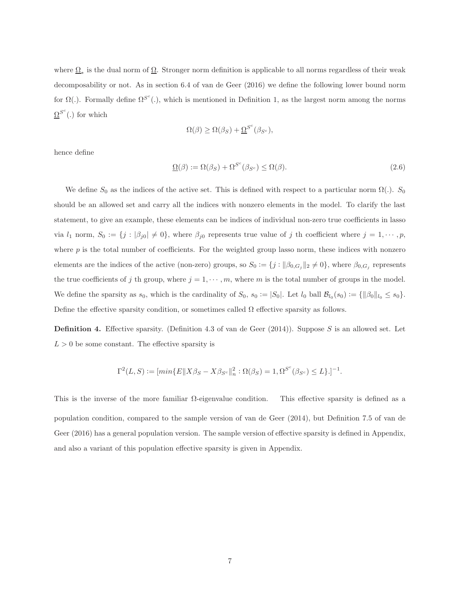where  $\Omega_*$  is the dual norm of  $\Omega$ . Stronger norm definition is applicable to all norms regardless of their weak decomposability or not. As in section 6.4 of van de Geer (2016) we define the following lower bound norm for  $\Omega(.)$ . Formally define  $\Omega^{S^c}(.)$ , which is mentioned in Definition 1, as the largest norm among the norms  $\Omega^{S^c}$ (.) for which

$$
\Omega(\beta) \ge \Omega(\beta_S) + \underline{\Omega}^{S^c}(\beta_{S^c}),
$$

hence define

<span id="page-6-1"></span>
$$
\underline{\Omega}(\beta) := \Omega(\beta_S) + \Omega^{S^c}(\beta_{S^c}) \le \Omega(\beta). \tag{2.6}
$$

We define  $S_0$  as the indices of the active set. This is defined with respect to a particular norm  $\Omega(.)$ .  $S_0$ should be an allowed set and carry all the indices with nonzero elements in the model. To clarify the last statement, to give an example, these elements can be indices of individual non-zero true coefficients in lasso via  $l_1$  norm,  $S_0 := \{j : |\beta_{j0}| \neq 0\}$ , where  $\beta_{j0}$  represents true value of j th coefficient where  $j = 1, \dots, p$ , where  $p$  is the total number of coefficients. For the weighted group lasso norm, these indices with nonzero elements are the indices of the active (non-zero) groups, so  $S_0 := \{j : ||\beta_{0,G_j}||_2 \neq 0\}$ , where  $\beta_{0,G_j}$  represents the true coefficients of j th group, where  $j = 1, \dots, m$ , where m is the total number of groups in the model. We define the sparsity as  $s_0$ , which is the cardinality of  $S_0$ ,  $s_0 := |S_0|$ . Let  $l_0$  ball  $\mathcal{B}_{l_0}(s_0) := \{ ||\beta_0||_{l_0} \leq s_0 \}$ . Define the effective sparsity condition, or sometimes called  $\Omega$  effective sparsity as follows.

<span id="page-6-0"></span>**Definition 4.** Effective sparsity. (Definition 4.3 of van de Geer  $(2014)$ ). Suppose S is an allowed set. Let  $L > 0$  be some constant. The effective sparsity is

$$
\Gamma^2(L,S) := [\min\{E \| X\beta_S - X\beta_{S^c} \|_n^2 : \Omega(\beta_S) = 1, \Omega^{S^c}(\beta_{S^c}) \le L \}].]^{-1}.
$$

This is the inverse of the more familiar  $\Omega$ -eigenvalue condition. This effective sparsity is defined as a population condition, compared to the sample version of van de Geer (2014), but Definition 7.5 of van de Geer (2016) has a general population version. The sample version of effective sparsity is defined in Appendix, and also a variant of this population effective sparsity is given in Appendix.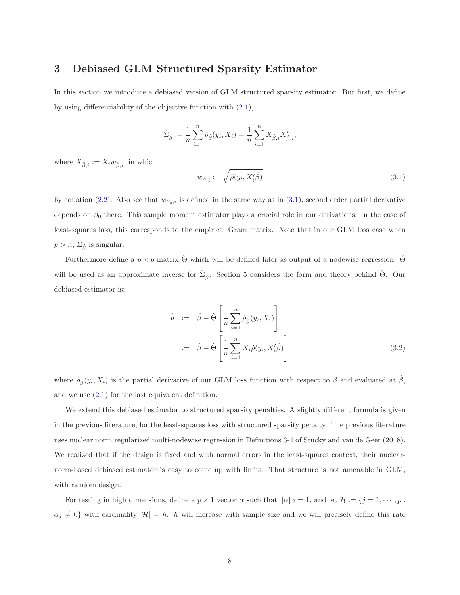# <span id="page-7-1"></span>3 Debiased GLM Structured Sparsity Estimator

In this section we introduce a debiased version of GLM structured sparsity estimator. But first, we define by using differentiability of the objective function with [\(2.1\)](#page-3-0),

$$
\hat{\Sigma}_{\hat{\beta}} := \frac{1}{n} \sum_{i=1}^{n} \ddot{\rho}_{\hat{\beta}}(y_i, X_i) = \frac{1}{n} \sum_{i=1}^{n} X_{\hat{\beta},i} X'_{\hat{\beta},i},
$$

where  $X_{\hat{\beta},i} := X_i w_{\hat{\beta},i}$ , in which

<span id="page-7-0"></span>
$$
w_{\hat{\beta},i} := \sqrt{\ddot{\rho}(y_i, X_i'\hat{\beta})}
$$
\n(3.1)

by equation [\(2.2\)](#page-3-1). Also see that  $w_{\beta_0,i}$  is defined in the same way as in [\(3.1\)](#page-7-0), second order partial derivative depends on  $\beta_0$  there. This sample moment estimator plays a crucial role in our derivations. In the case of least-squares loss, this corresponds to the empirical Gram matrix. Note that in our GLM loss case when  $p > n$ ,  $\hat{\Sigma}_{\hat{\beta}}$  is singular.

Furthermore define a  $p \times p$  matrix  $\hat{\Theta}$  which will be defined later as output of a nodewise regression.  $\hat{\Theta}$ will be used as an approximate inverse for  $\hat{\Sigma}_{\hat{\beta}}$ . Section 5 considers the form and theory behind  $\hat{\Theta}$ . Our debiased estimator is:

<span id="page-7-2"></span>
$$
\hat{b} := \hat{\beta} - \hat{\Theta} \left[ \frac{1}{n} \sum_{i=1}^{n} \dot{\rho}_{\hat{\beta}}(y_i, X_i) \right]
$$
  

$$
:= \hat{\beta} - \hat{\Theta} \left[ \frac{1}{n} \sum_{i=1}^{n} X_i \dot{\rho}(y_i, X'_i \hat{\beta}) \right]
$$
(3.2)

where  $\dot{\rho}_{\hat{\beta}}(y_i, X_i)$  is the partial derivative of our GLM loss function with respect to  $\beta$  and evaluated at  $\hat{\beta}$ , and we use  $(2.1)$  for the last equivalent definition.

We extend this debiased estimator to structured sparsity penalties. A slightly different formula is given in the previous literature, for the least-squares loss with structured sparsity penalty. The previous literature uses nuclear norm regularized multi-nodewise regression in Definitions 3-4 of Stucky and van de Geer (2018). We realized that if the design is fixed and with normal errors in the least-squares context, their nuclearnorm-based debiased estimator is easy to come up with limits. That structure is not amenable in GLM, with random design.

For testing in high dimensions, define a  $p \times 1$  vector  $\alpha$  such that  $\|\alpha\|_2 = 1$ , and let  $\mathcal{H} := \{j = 1, \dots, p :$  $\alpha_j \neq 0$  with cardinality  $|\mathcal{H}| = h$ . h will increase with sample size and we will precisely define this rate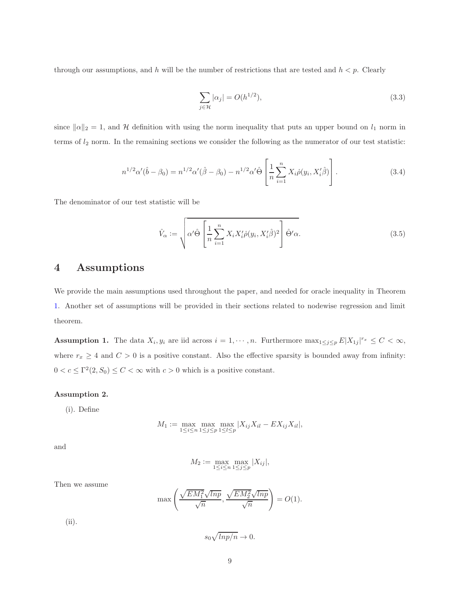through our assumptions, and h will be the number of restrictions that are tested and  $h < p$ . Clearly

<span id="page-8-2"></span>
$$
\sum_{j \in \mathcal{H}} |\alpha_j| = O(h^{1/2}),\tag{3.3}
$$

since  $\|\alpha\|_2 = 1$ , and H definition with using the norm inequality that puts an upper bound on  $l_1$  norm in terms of  $l_2$  norm. In the remaining sections we consider the following as the numerator of our test statistic:

$$
n^{1/2}\alpha'(\hat{b} - \beta_0) = n^{1/2}\alpha'(\hat{\beta} - \beta_0) - n^{1/2}\alpha'\hat{\Theta}\left[\frac{1}{n}\sum_{i=1}^n X_i \dot{\rho}(y_i, X_i'\hat{\beta})\right].
$$
\n(3.4)

The denominator of our test statistic will be

$$
\hat{V}_{\alpha} := \sqrt{\alpha' \hat{\Theta} \left[ \frac{1}{n} \sum_{i=1}^{n} X_i X_i' \dot{\rho}(y_i, X_i' \hat{\beta})^2 \right] \hat{\Theta}' \alpha}.
$$
\n(3.5)

# 4 Assumptions

<span id="page-8-0"></span>We provide the main assumptions used throughout the paper, and needed for oracle inequality in Theorem [1.](#page-10-0) Another set of assumptions will be provided in their sections related to nodewise regression and limit theorem.

**Assumption 1.** The data  $X_i, y_i$  are iid across  $i = 1, \dots, n$ . Furthermore  $\max_{1 \leq j \leq p} E|X_{1j}|^{r_x} \leq C < \infty$ , where  $r_x \geq 4$  and  $C > 0$  is a positive constant. Also the effective sparsity is bounded away from infinity:  $0 < c \leq \Gamma^2(2, S_0) \leq C < \infty$  with  $c > 0$  which is a positive constant.

#### <span id="page-8-1"></span>Assumption 2.

(i). Define

$$
M_1 := \max_{1 \le i \le n} \max_{1 \le j \le p} \max_{1 \le l \le p} |X_{ij} X_{il} - E X_{ij} X_{il}|,
$$

and

$$
M_2 := \max_{1 \le i \le n} \max_{1 \le j \le p} |X_{ij}|,
$$

Then we assume

$$
\max\left(\frac{\sqrt{EM_1^2}\sqrt{lnp}}{\sqrt{n}}, \frac{\sqrt{EM_2^2}\sqrt{lnp}}{\sqrt{n}}\right) = O(1).
$$

(ii).

$$
s_0\sqrt{lnp/n} \to 0.
$$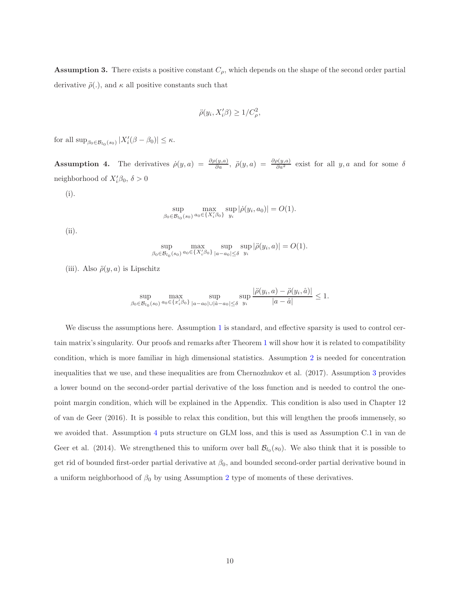<span id="page-9-0"></span>**Assumption 3.** There exists a positive constant  $C_{\rho}$ , which depends on the shape of the second order partial derivative  $\ddot{\rho}$ ., and  $\kappa$  all positive constants such that

$$
\ddot{\rho}(y_i, X_i'\beta) \ge 1/C_\rho^2,
$$

<span id="page-9-1"></span>for all  $\sup_{\beta_0 \in \mathcal{B}_{l_0}(s_0)} |X'_i(\beta - \beta_0)| \leq \kappa$ .

**Assumption 4.** The derivatives  $\dot{\rho}(y, a) = \frac{\partial \rho(y, a)}{\partial a}$ ,  $\ddot{\rho}(y, a) = \frac{\partial \rho(y, a)}{\partial a^2}$  exist for all y, a and for some  $\delta$ neighborhood of  $X_i'\beta_0$ ,  $\delta > 0$ 

(i).

$$
\sup_{\beta_0 \in \mathcal{B}_{l_0}(s_0)} \max_{a_0 \in \{X'_i \beta_0\}} \sup_{y_i} |\dot{\rho}(y_i, a_0)| = O(1).
$$

(ii).

$$
\sup_{\beta_0 \in \mathcal{B}_{l_0}(s_0)} \max_{a_0 \in \{X_i'\beta_0\}} \sup_{|a-a_0| \le \delta} \sup_{y_i} |\ddot{\rho}(y_i, a)| = O(1).
$$

(iii). Also  $\ddot{\rho}(y, a)$  is Lipschitz

$$
\sup_{\beta_0 \in \mathcal{B}_{l_0}(s_0)} \max_{a_0 \in \{x_i'\beta_0\}} \sup_{|a-a_0| \cup |\hat{a}-a_0| \le \delta} \sup_{y_i} \frac{|\ddot{\rho}(y_i, a) - \ddot{\rho}(y_i, \hat{a})|}{|a-\hat{a}|} \le 1.
$$

We discuss the assumptions here. Assumption [1](#page-8-0) is standard, and effective sparsity is used to control certain matrix's singularity. Our proofs and remarks after Theorem [1](#page-10-0) will show how it is related to compatibility condition, which is more familiar in high dimensional statistics. Assumption [2](#page-8-1) is needed for concentration inequalities that we use, and these inequalities are from Chernozhukov et al. (2017). Assumption [3](#page-9-0) provides a lower bound on the second-order partial derivative of the loss function and is needed to control the onepoint margin condition, which will be explained in the Appendix. This condition is also used in Chapter 12 of van de Geer (2016). It is possible to relax this condition, but this will lengthen the proofs immensely, so we avoided that. Assumption [4](#page-9-1) puts structure on GLM loss, and this is used as Assumption C.1 in van de Geer et al. (2014). We strengthened this to uniform over ball  $\mathcal{B}_{l_0}(s_0)$ . We also think that it is possible to get rid of bounded first-order partial derivative at  $\beta_0$ , and bounded second-order partial derivative bound in a uniform neighborhood of  $\beta_0$  by using Assumption [2](#page-8-1) type of moments of these derivatives.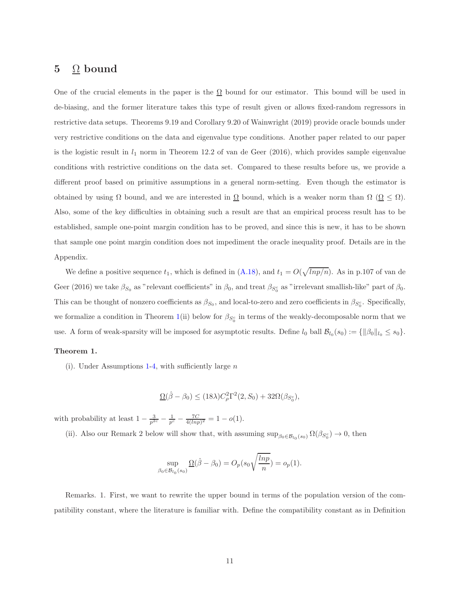# 5  $\Omega$  bound

One of the crucial elements in the paper is the  $\Omega$  bound for our estimator. This bound will be used in de-biasing, and the former literature takes this type of result given or allows fixed-random regressors in restrictive data setups. Theorems 9.19 and Corollary 9.20 of Wainwright (2019) provide oracle bounds under very restrictive conditions on the data and eigenvalue type conditions. Another paper related to our paper is the logistic result in  $l_1$  norm in Theorem 12.2 of van de Geer (2016), which provides sample eigenvalue conditions with restrictive conditions on the data set. Compared to these results before us, we provide a different proof based on primitive assumptions in a general norm-setting. Even though the estimator is obtained by using  $\Omega$  bound, and we are interested in  $\underline{\Omega}$  bound, which is a weaker norm than  $\Omega$  ( $\underline{\Omega} \leq \Omega$ ). Also, some of the key difficulties in obtaining such a result are that an empirical process result has to be established, sample one-point margin condition has to be proved, and since this is new, it has to be shown that sample one point margin condition does not impediment the oracle inequality proof. Details are in the Appendix.

We define a positive sequence  $t_1$ , which is defined in  $(A.18)$ , and  $t_1 = O(\sqrt{lnp/n})$ . As in p.107 of van de Geer (2016) we take  $\beta_{S_0}$  as "relevant coefficients" in  $\beta_0$ , and treat  $\beta_{S_0^c}$  as "irrelevant smallish-like" part of  $\beta_0$ . This can be thought of nonzero coefficients as  $\beta_{S_0}$ , and local-to-zero and zero coefficients in  $\beta_{S_0^c}$ . Specifically, we formalize a condition in Theorem [1\(](#page-10-0)ii) below for  $\beta_{S_0^c}$  in terms of the weakly-decomposable norm that we use. A form of weak-sparsity will be imposed for asymptotic results. Define  $l_0$  ball  $\mathcal{B}_{l_0}(s_0) := \{ ||\beta_0||_{l_0} \leq s_0 \}.$ 

### <span id="page-10-0"></span>Theorem 1.

(i). Under Assumptions [1](#page-8-0)[-4,](#page-9-1) with sufficiently large  $n$ 

$$
\underline{\Omega}(\hat{\beta}-\beta_0) \le (18\lambda)C_{\rho}^2\Gamma^2(2, S_0) + 32\Omega(\beta_{S_0^c}),
$$

with probability at least  $1 - \frac{3}{p^{2c}} - \frac{1}{p^c} - \frac{7C}{4(lnp)^2} = 1 - o(1)$ .

(ii). Also our Remark 2 below will show that, with assuming  $\sup_{\beta_0 \in \mathcal{B}_{l_0}(s_0)} \Omega(\beta_{S_0^c}) \to 0$ , then

$$
\sup_{\beta_0 \in \mathcal{B}_{l_0}(s_0)} \underline{\Omega}(\hat{\beta} - \beta_0) = O_p(s_0 \sqrt{\frac{\ln p}{n}}) = o_p(1).
$$

Remarks. 1. First, we want to rewrite the upper bound in terms of the population version of the compatibility constant, where the literature is familiar with. Define the compatibility constant as in Definition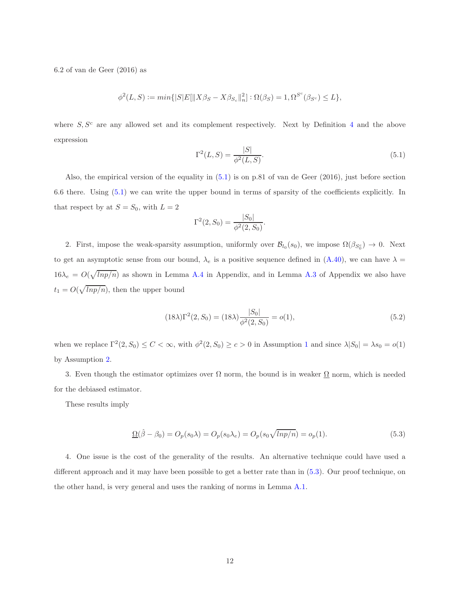6.2 of van de Geer (2016) as

$$
\phi^{2}(L, S) := min\{|S|E[\|X\beta_{S} - X\beta_{S_{c}}\|_{n}^{2}]: \Omega(\beta_{S}) = 1, \Omega^{S^{c}}(\beta_{S^{c}}) \le L\},\
$$

where  $S, S<sup>c</sup>$  are any allowed set and its complement respectively. Next by Definition [4](#page-6-0) and the above expression

<span id="page-11-0"></span>
$$
\Gamma^{2}(L, S) = \frac{|S|}{\phi^{2}(L, S)}.
$$
\n(5.1)

Also, the empirical version of the equality in  $(5.1)$  is on p.81 of van de Geer  $(2016)$ , just before section 6.6 there. Using [\(5.1\)](#page-11-0) we can write the upper bound in terms of sparsity of the coefficients explicitly. In that respect by at  $S = S_0$ , with  $L = 2$ 

$$
\Gamma^{2}(2, S_{0}) = \frac{|S_{0}|}{\phi^{2}(2, S_{0})}.
$$

2. First, impose the weak-sparsity assumption, uniformly over  $\mathcal{B}_{l_0}(s_0)$ , we impose  $\Omega(\beta_{S_0^c}) \to 0$ . Next to get an asymptotic sense from our bound,  $\lambda_e$  is a positive sequence defined in  $(A.40)$ , we can have  $\lambda =$  $16\lambda_e = O(\sqrt{lnp/n})$  as shown in Lemma [A.4](#page-50-0) in Appendix, and in Lemma [A.3](#page-50-1) of Appendix we also have  $t_1 = O(\sqrt{lnp/n})$ , then the upper bound

<span id="page-11-2"></span>
$$
(18\lambda)\Gamma^2(2, S_0) = (18\lambda)\frac{|S_0|}{\phi^2(2, S_0)} = o(1),\tag{5.2}
$$

when we replace  $\Gamma^2(2, S_0) \leq C < \infty$ , with  $\phi^2(2, S_0) \geq c > 0$  in Assumption [1](#page-8-0) and since  $\lambda |S_0| = \lambda s_0 = o(1)$ by Assumption [2.](#page-8-1)

3. Even though the estimator optimizes over  $\Omega$  norm, the bound is in weaker  $\Omega$  norm, which is needed for the debiased estimator.

These results imply

<span id="page-11-1"></span>
$$
\underline{\Omega}(\hat{\beta} - \beta_0) = O_p(s_0 \lambda) = O_p(s_0 \lambda_e) = O_p(s_0 \sqrt{lnp/n}) = o_p(1).
$$
\n(5.3)

4. One issue is the cost of the generality of the results. An alternative technique could have used a different approach and it may have been possible to get a better rate than in [\(5.3\)](#page-11-1). Our proof technique, on the other hand, is very general and uses the ranking of norms in Lemma [A.1.](#page-46-0)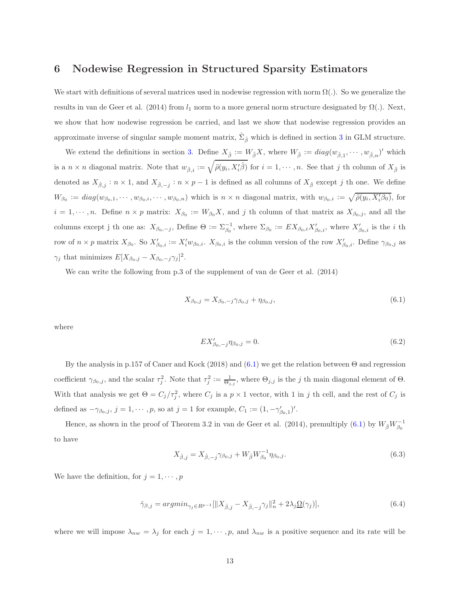# 6 Nodewise Regression in Structured Sparsity Estimators

We start with definitions of several matrices used in nodewise regression with norm  $\Omega(.)$ . So we generalize the results in van de Geer et al. (2014) from  $l_1$  norm to a more general norm structure designated by  $\Omega(.)$ . Next, we show that how nodewise regression be carried, and last we show that nodewise regression provides an approximate inverse of singular sample moment matrix,  $\hat{\Sigma}_{\hat{\beta}}$  which is defined in section [3](#page-7-1) in GLM structure.

We extend the definitions in section [3.](#page-7-1) Define  $X_{\hat{\beta}} := W_{\hat{\beta}} X$ , where  $W_{\hat{\beta}} := diag(w_{\hat{\beta},1}, \dots, w_{\hat{\beta},n})'$  which is a  $n \times n$  diagonal matrix. Note that  $w_{\hat{\beta},i} := \sqrt{\tilde{\rho}(y_i, X_i' \hat{\beta})}$  for  $i = 1, \dots, n$ . See that j th column of  $X_{\hat{\beta}}$  is denoted as  $X_{\hat{\beta},j} : n \times 1$ , and  $X_{\hat{\beta},-j} : n \times p-1$  is defined as all columns of  $X_{\hat{\beta}}$  except j th one. We define  $W_{\beta_0} := diag(w_{\beta_0,1},\cdots,w_{\beta_0,i},\cdots,w_{\beta_0,n})$  which is  $n \times n$  diagonal matrix, with  $w_{\beta_0,i} := \sqrt{\rho(y_i,X_i'\beta_0)}$ , for  $i = 1, \dots, n$ . Define  $n \times p$  matrix:  $X_{\beta_0} := W_{\beta_0} X$ , and j th column of that matrix as  $X_{\beta_0,j}$ , and all the columns except j th one as:  $X_{\beta_0,-j}$ , Define  $\Theta := \sum_{\beta_0}^{-1}$ , where  $\Sigma_{\beta_0} := EX_{\beta_0,i} X'_{\beta_0,i}$ , where  $X'_{\beta_0,i}$  is the *i* th row of  $n \times p$  matrix  $X_{\beta_0}$ . So  $X'_{\beta_0,i} := X'_i w_{\beta_0,i}$ .  $X_{\beta_0,i}$  is the column version of the row  $X'_{\beta_0,i}$ . Define  $\gamma_{\beta_0,j}$  as  $\gamma_j$  that minimizes  $E[X_{\beta_0,j} - X_{\beta_0,-j}\gamma_j]^2$ .

We can write the following from p.3 of the supplement of van de Geer et al. (2014)

<span id="page-12-0"></span>
$$
X_{\beta_0,j} = X_{\beta_0,-j}\gamma_{\beta_0,j} + \eta_{\beta_0,j},\tag{6.1}
$$

where

<span id="page-12-2"></span>
$$
EX'_{\beta_0,-j}\eta_{\beta_0,j} = 0.\tag{6.2}
$$

By the analysis in p.157 of Caner and Kock (2018) and [\(6.1\)](#page-12-0) we get the relation between  $\Theta$  and regression coefficient  $\gamma_{\beta_0,j}$ , and the scalar  $\tau_j^2$ . Note that  $\tau_j^2 := \frac{1}{\Theta_{j,j}}$ , where  $\Theta_{j,j}$  is the j th main diagonal element of  $\Theta$ . With that analysis we get  $\Theta = C_j / \tau_j^2$ , where  $C_j$  is a  $p \times 1$  vector, with 1 in j th cell, and the rest of  $C_j$  is defined as  $-\gamma_{\beta_0,j}$ ,  $j=1,\cdots,p$ , so at  $j=1$  for example,  $C_1 := (1, -\gamma'_{\beta_0,1})'$ .

Hence, as shown in the proof of Theorem 3.2 in van de Geer et al. (2014), premultiply [\(6.1\)](#page-12-0) by  $W_{\hat{\beta}}W_{\beta_0}^{-1}$ to have

<span id="page-12-3"></span>
$$
X_{\hat{\beta},j} = X_{\hat{\beta},-j} \gamma_{\beta_0,j} + W_{\hat{\beta}} W_{\beta_0}^{-1} \eta_{\beta_0,j}.
$$
\n(6.3)

We have the definition, for  $j = 1, \dots, p$ 

<span id="page-12-1"></span>
$$
\hat{\gamma}_{\beta,j} = \operatorname{argmin}_{\gamma_j \in R^{p-1}} [\|X_{\hat{\beta},j} - X_{\hat{\beta},-j} \gamma_j\|_{n}^2 + 2\lambda_j \Omega(\gamma_j)],\tag{6.4}
$$

where we will impose  $\lambda_{nw} = \lambda_j$  for each  $j = 1, \dots, p$ , and  $\lambda_{nw}$  is a positive sequence and its rate will be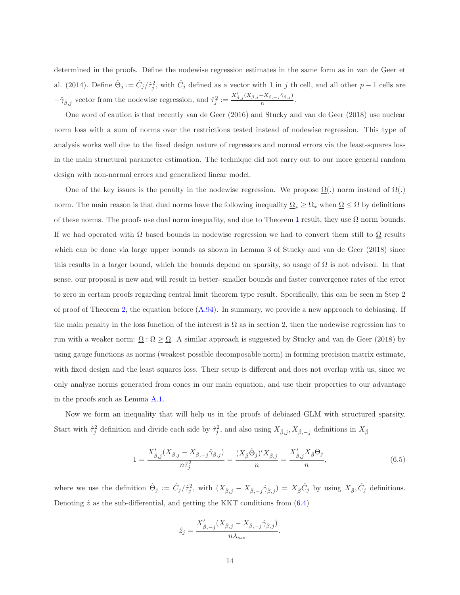determined in the proofs. Define the nodewise regression estimates in the same form as in van de Geer et al. (2014). Define  $\hat{\Theta}_j := \hat{C}_j / \hat{\tau}_j^2$ , with  $\hat{C}_j$  defined as a vector with 1 in j th cell, and all other  $p-1$  cells are  $-\hat{\gamma}_{\hat{\beta},j}$  vector from the nodewise regression, and  $\hat{\tau}_j^2 := \frac{X'_{\hat{\beta},j}(X_{\hat{\beta},j} - X_{\hat{\beta},-j}\hat{\gamma}_{\hat{\beta},j})}{n}$  $\frac{1-\beta, -j+\beta, j'}{n}$ .

One word of caution is that recently van de Geer (2016) and Stucky and van de Geer (2018) use nuclear norm loss with a sum of norms over the restrictions tested instead of nodewise regression. This type of analysis works well due to the fixed design nature of regressors and normal errors via the least-squares loss in the main structural parameter estimation. The technique did not carry out to our more general random design with non-normal errors and generalized linear model.

One of the key issues is the penalty in the nodewise regression. We propose  $\Omega(.)$  norm instead of  $\Omega(.)$ norm. The main reason is that dual norms have the following inequality  $\Omega_* \geq \Omega_*$  when  $\Omega \leq \Omega$  by definitions of these norms. The proofs use dual norm inequality, and due to Theorem [1](#page-10-0) result, they use  $\Omega$  norm bounds. If we had operated with  $\Omega$  based bounds in nodewise regression we had to convert them still to  $\Omega$  results which can be done via large upper bounds as shown in Lemma 3 of Stucky and van de Geer (2018) since this results in a larger bound, which the bounds depend on sparsity, so usage of  $\Omega$  is not advised. In that sense, our proposal is new and will result in better- smaller bounds and faster convergence rates of the error to zero in certain proofs regarding central limit theorem type result. Specifically, this can be seen in Step 2 of proof of Theorem [2,](#page-18-0) the equation before  $(A.94)$ . In summary, we provide a new approach to debiasing. If the main penalty in the loss function of the interest is  $\Omega$  as in section 2, then the nodewise regression has to run with a weaker norm:  $\Omega : \Omega \geq \Omega$ . A similar approach is suggested by Stucky and van de Geer (2018) by using gauge functions as norms (weakest possible decomposable norm) in forming precision matrix estimate, with fixed design and the least squares loss. Their setup is different and does not overlap with us, since we only analyze norms generated from cones in our main equation, and use their properties to our advantage in the proofs such as Lemma [A.1.](#page-46-0)

Now we form an inequality that will help us in the proofs of debiased GLM with structured sparsity. Start with  $\hat{\tau}_j^2$  definition and divide each side by  $\hat{\tau}_j^2$ , and also using  $X_{\hat{\beta},j}, X_{\hat{\beta},-j}$  definitions in  $X_{\hat{\beta}}$ 

<span id="page-13-0"></span>
$$
1 = \frac{X'_{\hat{\beta},j}(X_{\hat{\beta},j} - X_{\hat{\beta},-j}\hat{\gamma}_{\hat{\beta},j})}{n\hat{\tau}_j^2} = \frac{(X_{\hat{\beta}}\hat{\Theta}_j)'X_{\hat{\beta},j}}{n} = \frac{X'_{\hat{\beta},j}X_{\hat{\beta}}\Theta_j}{n},\tag{6.5}
$$

.

where we use the definition  $\hat{\Theta}_j := \hat{C}_j / \hat{\tau}_j^2$ , with  $(X_{\hat{\beta},j} - X_{\hat{\beta},-j} \hat{\gamma}_{\hat{\beta},j}) = X_{\hat{\beta}} \hat{C}_j$  by using  $X_{\hat{\beta}}, \hat{C}_j$  definitions. Denoting  $\hat{z}$  as the sub-differential, and getting the KKT conditions from  $(6.4)$ 

$$
\hat{z}_j = \frac{X'_{\hat{\beta},-j}(X_{\hat{\beta},j} - X_{\hat{\beta},-j}\hat{\gamma}_{\hat{\beta},j})}{n\lambda_{nw}}
$$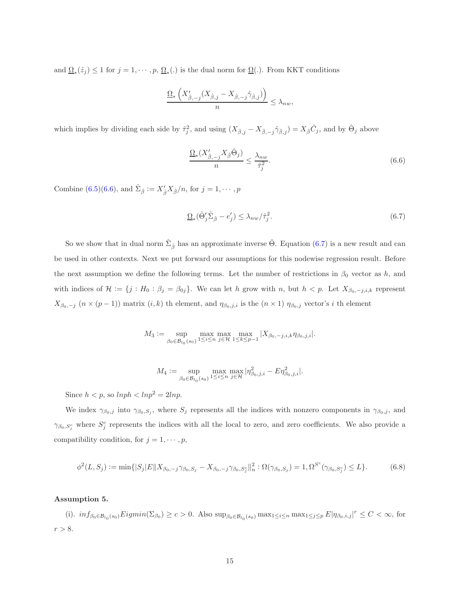and  $\Omega_*(\hat{z}_j) \leq 1$  for  $j = 1, \dots, p, \Omega_*(.)$  is the dual norm for  $\Omega(.)$ . From KKT conditions

$$
\frac{\Omega_{*}\left(X'_{\hat{\beta},-j}(X_{\hat{\beta},j}-X_{\hat{\beta},-j}\hat{\gamma}_{\hat{\beta},j})\right)}{n} \leq \lambda_{nw},
$$

which implies by dividing each side by  $\hat{\tau}_j^2$ , and using  $(X_{\hat{\beta},j} - X_{\hat{\beta},-j}\hat{\gamma}_{\hat{\beta},j}) = X_{\hat{\beta}}\hat{C}_j$ , and by  $\hat{\Theta}_j$  above

<span id="page-14-0"></span>
$$
\frac{\Omega_*(X'_{\hat{\beta},-j}X_{\hat{\beta}}\hat{\Theta}_j)}{n} \le \frac{\lambda_{nw}}{\hat{\tau}_j^2}.
$$
\n(6.6)

Combine [\(6.5\)](#page-13-0)[\(6.6\)](#page-14-0), and  $\hat{\Sigma}_{\hat{\beta}} := X'_{\hat{\beta}} X_{\hat{\beta}} / n$ , for  $j = 1, \dots, p$ 

<span id="page-14-1"></span>
$$
\underline{\Omega}_{*}(\hat{\Theta}_{j}^{\prime}\hat{\Sigma}_{\hat{\beta}} - e_{j}^{\prime}) \le \lambda_{nw}/\hat{\tau}_{j}^{2}.
$$
\n(6.7)

So we show that in dual norm  $\hat{\Sigma}_{\hat{\beta}}$  has an approximate inverse  $\hat{\Theta}$ . Equation ([6.7\)](#page-14-1) is a new result and can be used in other contexts. Next we put forward our assumptions for this nodewise regression result. Before the next assumption we define the following terms. Let the number of restrictions in  $\beta_0$  vector as h, and with indices of  $\mathcal{H} := \{j : H_0 : \beta_j = \beta_{0j}\}.$  We can let h grow with n, but  $h < p$ . Let  $X_{\beta_0,-j,i,k}$  represent  $X_{\beta_0,-j}$   $(n \times (p-1))$  matrix  $(i,k)$  th element, and  $\eta_{\beta_0,j,i}$  is the  $(n \times 1)$   $\eta_{\beta_0,j}$  vector's i th element

$$
M_3 := \sup_{\beta_0 \in \mathcal{B}_{l_0}(s_0)} \max_{1 \le i \le n} \max_{j \in \mathcal{H}} \max_{1 \le k \le p-1} |X_{\beta_0, -j, i, k} \eta_{\beta_0, j, i}|.
$$

$$
M_4 := \sup_{\beta_0 \in \mathcal{B}_{l_0}(s_0)} \max_{1 \le i \le n} \max_{j \in \mathcal{H}} |\eta_{\beta_0,j,i}^2 - E \eta_{\beta_0,j,i}^2|.
$$

Since  $h < p$ , so  $lnph < lnp^2 = 2lnp$ .

We index  $\gamma_{\beta_0,j}$  into  $\gamma_{\beta_0,S_j}$ , where  $S_j$  represents all the indices with nonzero components in  $\gamma_{\beta_0,j}$ , and  $\gamma_{\beta_0,S_j^c}$  where  $S_j^c$  represents the indices with all the local to zero, and zero coefficients. We also provide a compatibility condition, for  $j = 1, \dots, p$ ,

<span id="page-14-3"></span>
$$
\phi^{2}(L, S_{j}) := \min\{|S_{j}|E||X_{\beta_{0}, -j}\gamma_{\beta_{0}, S_{j}} - X_{\beta_{0}, -j}\gamma_{\beta_{0}, S_{j}^{c}}\|_{n}^{2} : \Omega(\gamma_{\beta_{0}, S_{j}}) = 1, \Omega^{S^{c}}(\gamma_{\beta_{0}, S_{j}^{c}}) \le L\}.
$$
 (6.8)

### <span id="page-14-2"></span>Assumption 5.

(i).  $inf_{\beta_0 \in \mathcal{B}_{l_0}(s_0)} Eigmin(\Sigma_{\beta_0}) \ge c > 0$ . Also  $sup_{\beta_0 \in \mathcal{B}_{l_0}(s_0)} max_{1 \le i \le n} max_{1 \le j \le p} E|\eta_{\beta_0, i,j}|^r \le C < \infty$ , for  $r > 8$ .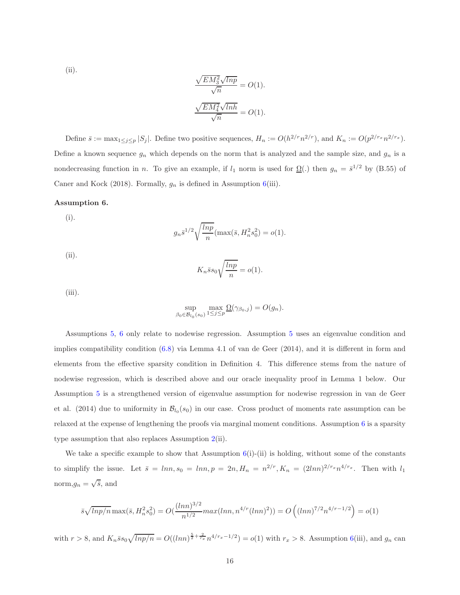(ii).

$$
\frac{\sqrt{EM_3^2}\sqrt{lnp}}{\sqrt{n}} = O(1).
$$
  

$$
\frac{\sqrt{EM_4^2}\sqrt{lnh}}{\sqrt{n}} = O(1).
$$

Define  $\bar{s} := \max_{1 \leq j \leq p} |S_j|$ . Define two positive sequences,  $H_n := O(h^{2/r} n^{2/r})$ , and  $K_n := O(p^{2/r_x} n^{2/r_x})$ . Define a known sequence  $g_n$  which depends on the norm that is analyzed and the sample size, and  $g_n$  is a nondecreasing function in n. To give an example, if  $l_1$  norm is used for  $\Omega(.)$  then  $g_n = \bar{s}^{1/2}$  by (B.55) of Caner and Kock (2018). Formally,  $g_n$  is defined in Assumption [6\(](#page-15-0)iii).

#### <span id="page-15-0"></span>Assumption 6.

(i).

$$
g_n \bar{s}^{1/2} \sqrt{\frac{\ln p}{n}} (\max(\bar{s}, H_n^2 s_0^2) = o(1).
$$

(ii).

$$
K_n \bar{s} s_0 \sqrt{\frac{\ln p}{n}} = o(1).
$$

 $(iii)$ .

$$
\sup_{\beta_0 \in \mathcal{B}_{l_0}(s_0)} \max_{1 \le j \le p} \underline{\Omega}(\gamma_{\beta_0,j}) = O(g_n).
$$

Assumptions [5,](#page-14-2) [6](#page-15-0) only relate to nodewise regression. Assumption [5](#page-14-2) uses an eigenvalue condition and implies compatibility condition [\(6.8\)](#page-14-3) via Lemma 4.1 of van de Geer (2014), and it is different in form and elements from the effective sparsity condition in Definition 4. This difference stems from the nature of nodewise regression, which is described above and our oracle inequality proof in Lemma 1 below. Our Assumption [5](#page-14-2) is a strengthened version of eigenvalue assumption for nodewise regression in van de Geer et al. (2014) due to uniformity in  $\mathcal{B}_{l_0}(s_0)$  in our case. Cross product of moments rate assumption can be relaxed at the expense of lengthening the proofs via marginal moment conditions. Assumption [6](#page-15-0) is a sparsity type assumption that also replaces Assumption [2\(](#page-8-1)ii).

We take a specific example to show that Assumption  $6(i)$  $6(i)$ -(ii) is holding, without some of the constants to simplify the issue. Let  $\bar{s} = lnn, s_0 = lnn, p = 2n, H_n = n^{2/r}, K_n = (2lnn)^{2/r_x} n^{4/r_x}$ . Then with  $l_1$ norm,  $g_n = \sqrt{\overline{s}}$ , and

$$
\bar{s}\sqrt{\ln p/n} \max(\bar{s}, H_n^2 s_0^2) = O(\frac{(\ln n)^{3/2}}{n^{1/2}} \max(\ln n, n^{4/r} (\ln n)^2)) = O\left((\ln n)^{7/2} n^{4/r - 1/2}\right) = o(1)
$$

with  $r > 8$ , and  $K_n \bar{s} s_0 \sqrt{lnp/n} = O((lnn)^{\frac{5}{2} + \frac{2}{r_x}} n^{4/r_x - 1/2}) = o(1)$  with  $r_x > 8$ . Assumption [6\(](#page-15-0)iii), and  $g_n$  can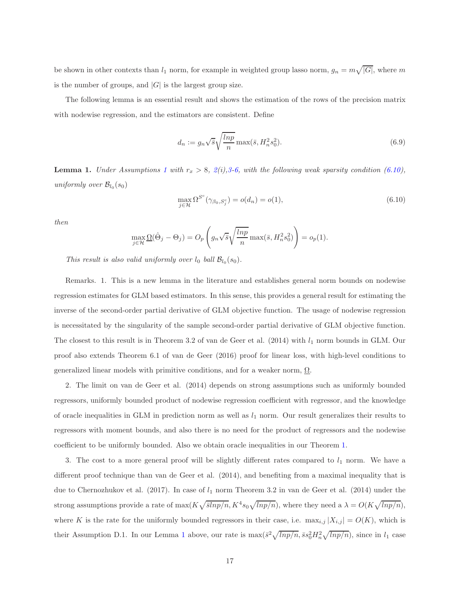be shown in other contexts than  $l_1$  norm, for example in weighted group lasso norm,  $g_n = m\sqrt{|G|}$ , where m is the number of groups, and  $|G|$  is the largest group size.

The following lemma is an essential result and shows the estimation of the rows of the precision matrix with nodewise regression, and the estimators are consistent. Define

<span id="page-16-2"></span>
$$
d_n := g_n \sqrt{\overline{s}} \sqrt{\frac{\ln p}{n}} \max(\overline{s}, H_n^2 s_0^2). \tag{6.9}
$$

<span id="page-16-1"></span>**Lemma [1](#page-8-0).** Under Assumptions 1 with  $r_x > 8$ ,  $2(i)$  $2(i)$ , 3[-6,](#page-15-0) with the following weak sparsity condition [\(6.10\)](#page-16-0), uniformly over  $\mathcal{B}_{l_0}(s_0)$ 

<span id="page-16-0"></span>
$$
\max_{j \in \mathcal{H}} \Omega^{S^c}(\gamma_{\beta_0, S_j^c}) = o(d_n) = o(1),\tag{6.10}
$$

then

$$
\max_{j \in \mathcal{H}} \underline{\Omega}(\hat{\Theta}_j - \Theta_j) = O_p\left(g_n \sqrt{\overline{s}} \sqrt{\frac{\ln p}{n}} \max(\overline{s}, H_n^2 s_0^2)\right) = o_p(1).
$$

This result is also valid uniformly over  $l_0$  ball  $\mathcal{B}_{l_0}(s_0)$ .

Remarks. 1. This is a new lemma in the literature and establishes general norm bounds on nodewise regression estimates for GLM based estimators. In this sense, this provides a general result for estimating the inverse of the second-order partial derivative of GLM objective function. The usage of nodewise regression is necessitated by the singularity of the sample second-order partial derivative of GLM objective function. The closest to this result is in Theorem 3.2 of van de Geer et al.  $(2014)$  with  $l_1$  norm bounds in GLM. Our proof also extends Theorem 6.1 of van de Geer (2016) proof for linear loss, with high-level conditions to generalized linear models with primitive conditions, and for a weaker norm, Ω.

2. The limit on van de Geer et al. (2014) depends on strong assumptions such as uniformly bounded regressors, uniformly bounded product of nodewise regression coefficient with regressor, and the knowledge of oracle inequalities in GLM in prediction norm as well as  $l_1$  norm. Our result generalizes their results to regressors with moment bounds, and also there is no need for the product of regressors and the nodewise coefficient to be uniformly bounded. Also we obtain oracle inequalities in our Theorem [1.](#page-10-0)

3. The cost to a more general proof will be slightly different rates compared to  $l_1$  norm. We have a different proof technique than van de Geer et al. (2014), and benefiting from a maximal inequality that is due to Chernozhukov et al. (2017). In case of  $l_1$  norm Theorem 3.2 in van de Geer et al. (2014) under the strong assumptions provide a rate of  $\max(K\sqrt{\overline{s}lnp/n}, K^4s_0\sqrt{lnp/n})$ , where they need a  $\lambda = O(K\sqrt{lnp/n}),$ where K is the rate for the uniformly bounded regressors in their case, i.e.  $\max_{i,j} |X_{i,j}| = O(K)$ , which is their Assumption D.[1](#page-16-1). In our Lemma 1 above, our rate is  $\max(\bar{s}^2 \sqrt{lnp/n}, \bar{s}s_0^2 H_n^2 \sqrt{lnp/n})$ , since in  $l_1$  case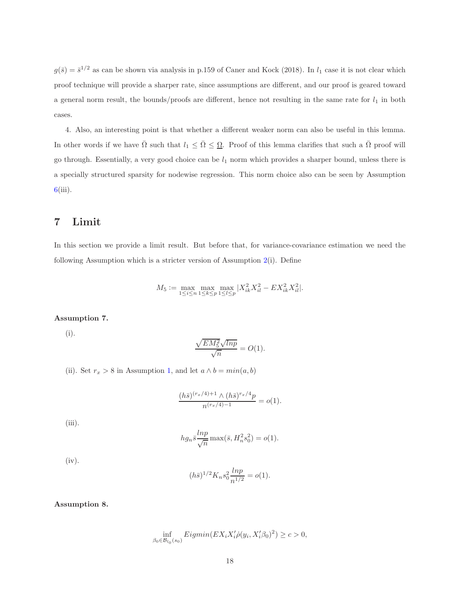$g(\bar{s}) = \bar{s}^{1/2}$  as can be shown via analysis in p.159 of Caner and Kock (2018). In  $l_1$  case it is not clear which proof technique will provide a sharper rate, since assumptions are different, and our proof is geared toward a general norm result, the bounds/proofs are different, hence not resulting in the same rate for  $l_1$  in both cases.

4. Also, an interesting point is that whether a different weaker norm can also be useful in this lemma. In other words if we have  $\overline{\Omega}$  such that  $l_1 \leq \overline{\Omega} \leq \underline{\Omega}$ . Proof of this lemma clarifies that such a  $\overline{\Omega}$  proof will go through. Essentially, a very good choice can be  $l_1$  norm which provides a sharper bound, unless there is a specially structured sparsity for nodewise regression. This norm choice also can be seen by Assumption [6\(](#page-15-0)iii).

# 7 Limit

In this section we provide a limit result. But before that, for variance-covariance estimation we need the following Assumption which is a stricter version of Assumption [2\(](#page-8-1)i). Define

$$
M_5 := \max_{1 \le i \le n} \max_{1 \le k \le p} \max_{1 \le l \le p} |X_{ik}^2 X_{il}^2 - E X_{ik}^2 X_{il}^2|.
$$

### <span id="page-17-0"></span>Assumption 7.

(i).

$$
\frac{\sqrt{EM_5^2}\sqrt{lnp}}{\sqrt{n}} = O(1).
$$

(ii). Set  $r_x > 8$  in Assumption [1,](#page-8-0) and let  $a \wedge b = min(a, b)$ 

$$
\frac{(h\bar{s})^{(r_x/4)+1} \wedge (h\bar{s})^{r_x/4}p}{n^{(r_x/4)-1}} = o(1).
$$

 $(iii)$ .

$$
hg_n\bar{s}\frac{lnp}{\sqrt{n}}\max(\bar{s}, H_n^2s_0^2) = o(1).
$$

(iv).

$$
(h\bar{s})^{1/2} K_n s_0^2 \frac{lnp}{n^{1/2}} = o(1).
$$

<span id="page-17-1"></span>Assumption 8.

$$
\inf_{\beta_0 \in \mathcal{B}_{l_0}(s_0)} Eigmin(EX_i X_i' \dot{\rho}(y_i, X_i' \beta_0)^2) \ge c > 0,
$$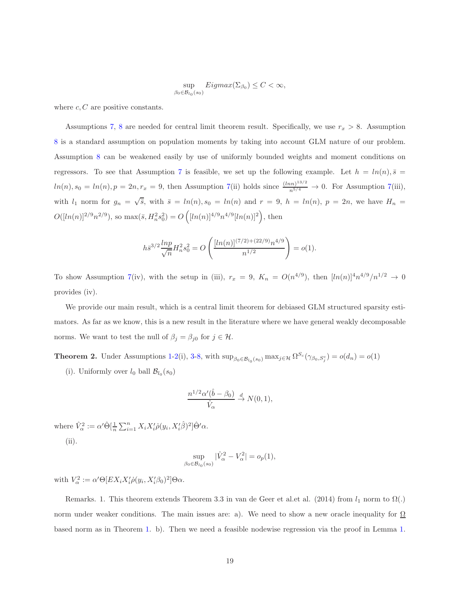$$
\sup_{\beta_0 \in \mathcal{B}_{l_0}(s_0)} Eigenax(\Sigma_{\beta_0}) \le C < \infty,
$$

where  $c, C$  are positive constants.

Assumptions [7,](#page-17-0) [8](#page-17-1) are needed for central limit theorem result. Specifically, we use  $r_x > 8$ . Assumption [8](#page-17-1) is a standard assumption on population moments by taking into account GLM nature of our problem. Assumption [8](#page-17-1) can be weakened easily by use of uniformly bounded weights and moment conditions on regressors. To see that Assumption [7](#page-17-0) is feasible, we set up the following example. Let  $h = ln(n), \bar{s} =$  $ln(n), s_0 = ln(n), p = 2n, r_x = 9$ , then Assumption [7\(](#page-17-0)ii) holds since  $\frac{(ln n)^{13/2}}{n^{5/4}} \to 0$ . For Assumption 7(iii), with  $l_1$  norm for  $g_n = \sqrt{\overline{s}}$ , with  $\overline{s} = ln(n), s_0 = ln(n)$  and  $r = 9$ ,  $h = ln(n), p = 2n$ , we have  $H_n =$  $O([ln(n)]^{2/9}n^{2/9}),$  so max $(\bar{s}, H_n^2 s_0^2) = O(|ln(n)|^{4/9}n^{4/9}[ln(n)]^2),$  then

$$
h\bar{s}^{3/2}\frac{\ln p}{\sqrt{n}}H_n^2s_0^2 = O\left(\frac{[\ln(n)]^{(7/2)+(22/9)}n^{4/9}}{n^{1/2}}\right) = o(1).
$$

To show Assumption [7\(](#page-17-0)iv), with the setup in (iii),  $r_x = 9$ ,  $K_n = O(n^{4/9})$ , then  $[ln(n)]^4 n^{4/9} / n^{1/2} \rightarrow 0$ provides (iv).

We provide our main result, which is a central limit theorem for debiased GLM structured sparsity estimators. As far as we know, this is a new result in the literature where we have general weakly decomposable norms. We want to test the null of  $\beta_j = \beta_{j0}$  for  $j \in \mathcal{H}$ .

<span id="page-18-0"></span>**Theorem 2.** Under Assumptions [1](#page-8-0)[-2\(](#page-8-1)i), [3-](#page-9-0)[8,](#page-17-1) with  $\sup_{\beta_0 \in \mathcal{B}_{l_0}(s_0)} \max_{j \in \mathcal{H}} \Omega^{S_c}(\gamma_{\beta_0, S_j^c}) = o(d_n) = o(1)$ 

(i). Uniformly over  $l_0$  ball  $\mathcal{B}_{l_0}(s_0)$ 

$$
\frac{n^{1/2}\alpha'(\hat{b}-\beta_0)}{\hat{V}_{\alpha}} \stackrel{d}{\rightarrow} N(0,1),
$$

where  $\hat{V}_{\alpha}^2 := \alpha' \hat{\Theta}[\frac{1}{n} \sum_{i=1}^n X_i X_i' \hat{\rho}(y_i, X_i' \hat{\beta})^2] \hat{\Theta}' \alpha$ . (ii).

$$
\sup_{\beta_0 \in \mathcal{B}_{l_0}(s_0)} |\hat{V}_{\alpha}^2 - V_{\alpha}^2| = o_p(1),
$$

with  $V_{\alpha}^2 := \alpha' \Theta [EX_i X_i' \dot{\rho}(y_i, X_i' \beta_0)^2] \Theta \alpha$ .

Remarks. 1. This theorem extends Theorem 3.3 in van de Geer et al.et al. (2014) from  $l_1$  norm to  $\Omega(.)$ norm under weaker conditions. The main issues are: a). We need to show a new oracle inequality for  $\Omega$ based norm as in Theorem [1.](#page-10-0) b). Then we need a feasible nodewise regression via the proof in Lemma [1.](#page-16-1)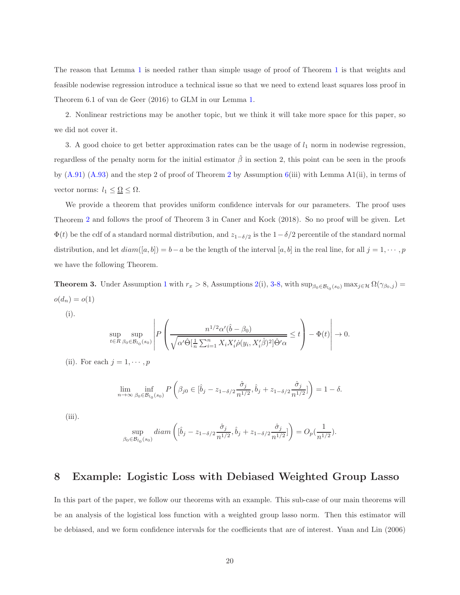The reason that Lemma [1](#page-16-1) is needed rather than simple usage of proof of Theorem [1](#page-10-0) is that weights and feasible nodewise regression introduce a technical issue so that we need to extend least squares loss proof in Theorem 6.1 of van de Geer (2016) to GLM in our Lemma [1.](#page-16-1)

2. Nonlinear restrictions may be another topic, but we think it will take more space for this paper, so we did not cover it.

3. A good choice to get better approximation rates can be the usage of  $l_1$  norm in nodewise regression, regardless of the penalty norm for the initial estimator  $\hat{\beta}$  in section 2, this point can be seen in the proofs by  $(A.91)$   $(A.93)$  and the step [2](#page-18-0) of proof of Theorem 2 by Assumption [6\(](#page-15-0)iii) with Lemma A1(ii), in terms of vector norms:  $l_1 \leq \underline{\Omega} \leq \Omega$ .

We provide a theorem that provides uniform confidence intervals for our parameters. The proof uses Theorem [2](#page-18-0) and follows the proof of Theorem 3 in Caner and Kock (2018). So no proof will be given. Let  $\Phi(t)$  be the cdf of a standard normal distribution, and  $z_{1-\delta/2}$  is the  $1-\delta/2$  percentile of the standard normal distribution, and let  $diam([a, b]) = b - a$  be the length of the interval  $[a, b]$  in the real line, for all  $j = 1, \dots, p$ we have the following Theorem.

**Theorem 3.** Under Assumption [1](#page-8-0) with  $r_x > 8$ , Assumptions [2\(](#page-8-1)i), [3-](#page-9-0)[8,](#page-17-1) with  $\sup_{\beta_0 \in \mathcal{B}_{l_0}(s_0)} \max_{j \in \mathcal{H}} \Omega(\gamma_{\beta_0,j}) =$  $o(d_n) = o(1)$ 

(i).

$$
\sup_{t\in\mathcal{R}}\sup_{\beta_0\in\mathcal{B}_{l_0}(s_0)}\left|P\left(\frac{n^{1/2}\alpha'(\hat{b}-\beta_0)}{\sqrt{\alpha'\hat{\Theta}[\frac{1}{n}\sum_{i=1}^n X_iX_i'\hat{\rho}(y_i,X_i'\hat{\beta})^2]\hat{\Theta}'\alpha}}\leq t\right)-\Phi(t)\right|\to 0.
$$

(ii). For each  $j = 1, \dots, p$ 

$$
\lim_{n \to \infty} \inf_{\beta_0 \in \mathcal{B}_{l_0}(s_0)} P\left(\beta_{j0} \in [\hat{b}_j - z_{1-\delta/2} \frac{\hat{\sigma}_j}{n^{1/2}}, \hat{b}_j + z_{1-\delta/2} \frac{\hat{\sigma}_j}{n^{1/2}}]\right) = 1 - \delta.
$$

(iii).

$$
\sup_{\beta_0 \in \mathcal{B}_{l_0}(s_0)} diam\left([\hat{b}_j - z_{1-\delta/2} \frac{\hat{\sigma}_j}{n^{1/2}}, \hat{b}_j + z_{1-\delta/2} \frac{\hat{\sigma}_j}{n^{1/2}}]\right) = O_p(\frac{1}{n^{1/2}}).
$$

# 8 Example: Logistic Loss with Debiased Weighted Group Lasso

In this part of the paper, we follow our theorems with an example. This sub-case of our main theorems will be an analysis of the logistical loss function with a weighted group lasso norm. Then this estimator will be debiased, and we form confidence intervals for the coefficients that are of interest. Yuan and Lin (2006)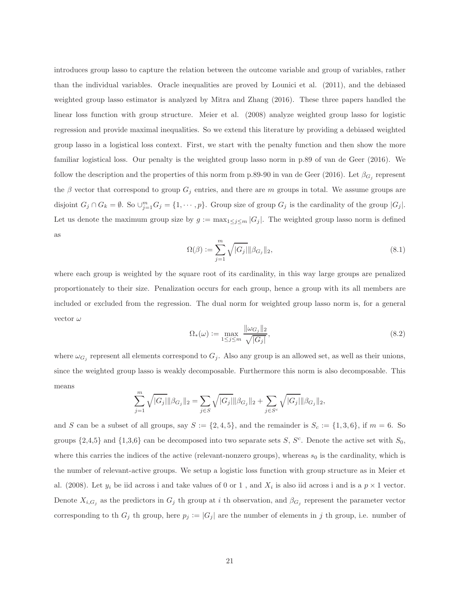introduces group lasso to capture the relation between the outcome variable and group of variables, rather than the individual variables. Oracle inequalities are proved by Lounici et al. (2011), and the debiased weighted group lasso estimator is analyzed by Mitra and Zhang (2016). These three papers handled the linear loss function with group structure. Meier et al. (2008) analyze weighted group lasso for logistic regression and provide maximal inequalities. So we extend this literature by providing a debiased weighted group lasso in a logistical loss context. First, we start with the penalty function and then show the more familiar logistical loss. Our penalty is the weighted group lasso norm in p.89 of van de Geer (2016). We follow the description and the properties of this norm from p.89-90 in van de Geer (2016). Let  $\beta_{G_j}$  represent the  $\beta$  vector that correspond to group  $G_j$  entries, and there are m groups in total. We assume groups are disjoint  $G_j \cap G_k = \emptyset$ . So  $\cup_{j=1}^m G_j = \{1, \dots, p\}$ . Group size of group  $G_j$  is the cardinality of the group  $|G_j|$ . Let us denote the maximum group size by  $g := \max_{1 \leq j \leq m} |G_j|$ . The weighted group lasso norm is defined as

$$
\Omega(\beta) := \sum_{j=1}^{m} \sqrt{|G_j|} \|\beta_{G_j}\|_2,
$$
\n(8.1)

where each group is weighted by the square root of its cardinality, in this way large groups are penalized proportionately to their size. Penalization occurs for each group, hence a group with its all members are included or excluded from the regression. The dual norm for weighted group lasso norm is, for a general vector  $\omega$ 

$$
\Omega_*(\omega) := \max_{1 \le j \le m} \frac{\|\omega_{G_j}\|_2}{\sqrt{|G_j|}},\tag{8.2}
$$

where  $\omega_{G_j}$  represent all elements correspond to  $G_j$ . Also any group is an allowed set, as well as their unions, since the weighted group lasso is weakly decomposable. Furthermore this norm is also decomposable. This means

$$
\sum_{j=1}^{m} \sqrt{|G_j|} ||\beta_{G_j}||_2 = \sum_{j \in S} \sqrt{|G_j|} ||\beta_{G_j}||_2 + \sum_{j \in S^c} \sqrt{|G_j|} ||\beta_{G_j}||_2,
$$

and S can be a subset of all groups, say  $S := \{2, 4, 5\}$ , and the remainder is  $S_c := \{1, 3, 6\}$ , if  $m = 6$ . So groups  $\{2,4,5\}$  and  $\{1,3,6\}$  can be decomposed into two separate sets S, S<sup>c</sup>. Denote the active set with  $S_0$ , where this carries the indices of the active (relevant-nonzero groups), whereas  $s_0$  is the cardinality, which is the number of relevant-active groups. We setup a logistic loss function with group structure as in Meier et al. (2008). Let  $y_i$  be iid across i and take values of 0 or 1, and  $X_i$  is also iid across i and is a  $p \times 1$  vector. Denote  $X_{i,G_j}$  as the predictors in  $G_j$  th group at i th observation, and  $\beta_{G_j}$  represent the parameter vector corresponding to th  $G_j$  th group, here  $p_j := |G_j|$  are the number of elements in j th group, i.e. number of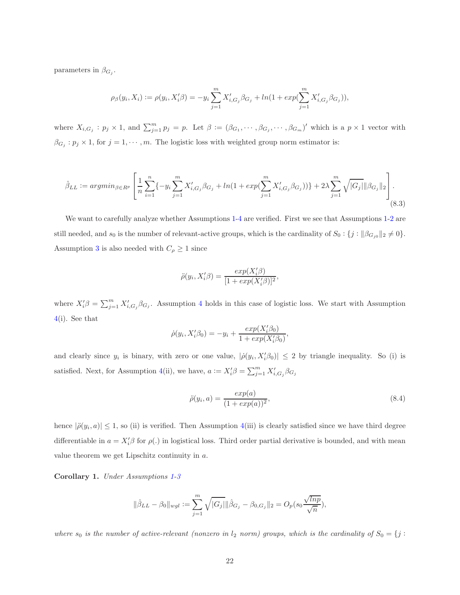parameters in  $\beta_{G_j}$ .

$$
\rho_{\beta}(y_i, X_i) := \rho(y_i, X'_i \beta) = -y_i \sum_{j=1}^m X'_{i, G_j} \beta_{G_j} + \ln(1 + \exp(\sum_{j=1}^m X'_{i, G_j} \beta_{G_j})),
$$

where  $X_{i,G_j}: p_j \times 1$ , and  $\sum_{j=1}^m p_j = p$ . Let  $\beta := (\beta_{G_1}, \cdots, \beta_{G_j}, \cdots, \beta_{G_m})'$  which is a  $p \times 1$  vector with  $\beta_{G_j} : p_j \times 1$ , for  $j = 1, \dots, m$ . The logistic loss with weighted group norm estimator is:

<span id="page-21-0"></span>
$$
\hat{\beta}_{LL} := \operatorname{argmin}_{\beta \in R^p} \left[ \frac{1}{n} \sum_{i=1}^n \{-y_i \sum_{j=1}^m X'_{i, G_j} \beta_{G_j} + \ln(1 + \exp(\sum_{j=1}^m X'_{i, G_j} \beta_{G_j}))\} + 2\lambda \sum_{j=1}^m \sqrt{|G_j|} \|\beta_{G_j}\|_2 \right].
$$
\n(8.3)

We want to carefully analyze whether Assumptions [1-](#page-8-0)[4](#page-9-1) are verified. First we see that Assumptions [1](#page-8-0)[-2](#page-8-1) are still needed, and  $s_0$  is the number of relevant-active groups, which is the cardinality of  $S_0: \{j : ||\beta_{G_{j0}}||_2 \neq 0\}$ . Assumption [3](#page-9-0) is also needed with  $C_\rho \geq 1$  since

$$
\ddot{\rho}(y_i, X_i'\beta) = \frac{exp(X_i'\beta)}{[1 + exp(X_i'\beta)]^2},
$$

where  $X'_i\beta = \sum_{j=1}^m X'_{i,G_j}\beta_{G_j}$ . Assumption [4](#page-9-1) holds in this case of logistic loss. We start with Assumption [4\(](#page-9-1)i). See that

$$
\dot{\rho}(y_i, X_i'\beta_0) = -y_i + \frac{exp(X_i'\beta_0)}{1 + exp(X_i'\beta_0)},
$$

and clearly since  $y_i$  is binary, with zero or one value,  $|\dot{\rho}(y_i, X_i'\beta_0)| \leq 2$  by triangle inequality. So (i) is satisfied. Next, for Assumption [4\(](#page-9-1)ii), we have,  $a := X'_i \beta = \sum_{j=1}^m X'_{i,G_j} \beta_{G_j}$ 

<span id="page-21-1"></span>
$$
\ddot{\rho}(y_i, a) = \frac{exp(a)}{(1 + exp(a))^2},
$$
\n(8.4)

hence  $|\ddot{\rho}(y_i, a)| \le 1$ , so (ii) is verified. Then Assumption [4\(](#page-9-1)iii) is clearly satisfied since we have third degree differentiable in  $a = X'_i \beta$  for  $\rho(.)$  in logistical loss. Third order partial derivative is bounded, and with mean value theorem we get Lipschitz continuity in a.

Corollary 1. Under Assumptions [1](#page-8-0)[-3](#page-9-0)

$$
\|\hat{\beta}_{LL} - \beta_0\|_{wgl} := \sum_{j=1}^m \sqrt{|G_j|} \|\hat{\beta}_{G_j} - \beta_{0,G_j}\|_2 = O_p(s_0 \frac{\sqrt{lnp}}{\sqrt{n}}),
$$

where  $s_0$  is the number of active-relevant (nonzero in  $l_2$  norm) groups, which is the cardinality of  $S_0 = \{j :$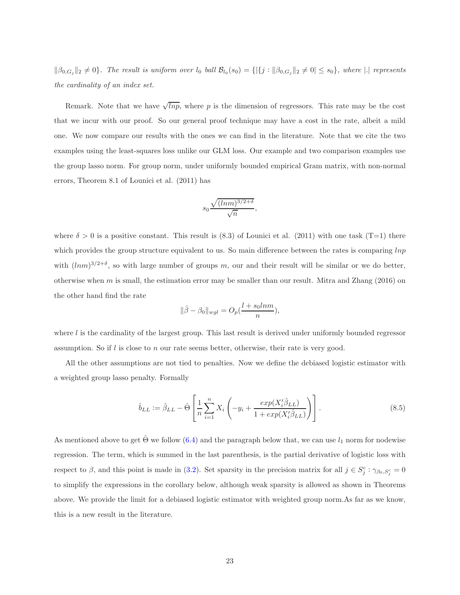$\|\beta_{0,G_j}\|_2 \neq 0\}$ . The result is uniform over  $l_0$  ball  $\mathcal{B}_{l_0}(s_0) = \{|\{j : \|\beta_{0,G_j}\|_2 \neq 0 | \leq s_0\}$ , where  $|.|$  represents the cardinality of an index set.

Remark. Note that we have  $\sqrt{lnp}$ , where p is the dimension of regressors. This rate may be the cost that we incur with our proof. So our general proof technique may have a cost in the rate, albeit a mild one. We now compare our results with the ones we can find in the literature. Note that we cite the two examples using the least-squares loss unlike our GLM loss. Our example and two comparison examples use the group lasso norm. For group norm, under uniformly bounded empirical Gram matrix, with non-normal errors, Theorem 8.1 of Lounici et al. (2011) has

$$
s_0 \frac{\sqrt{(\ln m)^{3/2+\delta}}}{\sqrt{n}},
$$

where  $\delta > 0$  is a positive constant. This result is (8.3) of Lounici et al. (2011) with one task (T=1) there which provides the group structure equivalent to us. So main difference between the rates is comparing  $ln p$ with  $(lnm)^{3/2+\delta}$ , so with large number of groups m, our and their result will be similar or we do better, otherwise when  $m$  is small, the estimation error may be smaller than our result. Mitra and Zhang (2016) on the other hand find the rate

$$
\|\hat{\beta} - \beta_0\|_{wgl} = O_p(\frac{l + s_0 ln m}{n}),
$$

where l is the cardinality of the largest group. This last result is derived under uniformly bounded regressor assumption. So if  $l$  is close to n our rate seems better, otherwise, their rate is very good.

All the other assumptions are not tied to penalties. Now we define the debiased logistic estimator with a weighted group lasso penalty. Formally

<span id="page-22-0"></span>
$$
\hat{b}_{LL} := \hat{\beta}_{LL} - \hat{\Theta} \left[ \frac{1}{n} \sum_{i=1}^{n} X_i \left( -y_i + \frac{exp(X_i' \hat{\beta}_{LL})}{1 + exp(X_i' \hat{\beta}_{LL})} \right) \right]. \tag{8.5}
$$

As mentioned above to get  $\hat{\Theta}$  we follow ([6.4\)](#page-12-1) and the paragraph below that, we can use  $l_1$  norm for nodewise regression. The term, which is summed in the last parenthesis, is the partial derivative of logistic loss with respect to  $\beta$ , and this point is made in [\(3.2\)](#page-7-2). Set sparsity in the precision matrix for all  $j \in S_j^c : \gamma_{\beta_0, S_j^c} = 0$ to simplify the expressions in the corollary below, although weak sparsity is allowed as shown in Theorems above. We provide the limit for a debiased logistic estimator with weighted group norm.As far as we know, this is a new result in the literature.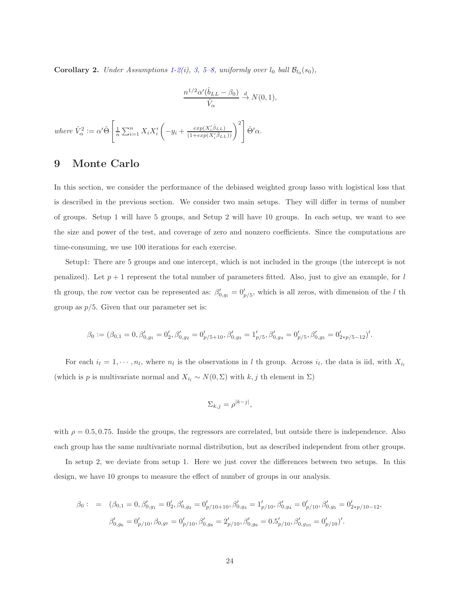**Corollary 2.** Under Assumptions [1](#page-8-0)[-2\(](#page-8-1)i), [3,](#page-9-0) 5-[8,](#page-17-1) uniformly over  $l_0$  ball  $\mathcal{B}_{l_0}(s_0)$ ,

$$
\frac{n^{1/2}\alpha'(\hat{b}_{LL}-\beta_0)}{\hat{V}_{\alpha}} \stackrel{d}{\rightarrow} N(0,1),
$$

where  $\hat{V}_{\alpha}^2 := \alpha' \hat{\Theta} \left[ \frac{1}{n} \sum_{i=1}^n X_i X_i' \right]$  $\left(-y_i+\frac{exp(X_i'\hat{\beta}_{LL})}{(1+exp(X_i'\hat{\beta}_{LL})}\right)$  $\frac{exp(X_i'\hat{\beta}_{LL})}{(1+exp(X_i'\hat{\beta}_{LL}))}\bigg)^2 \left[\hat{\Theta}'\alpha.\right]$ 

# 9 Monte Carlo

In this section, we consider the performance of the debiased weighted group lasso with logistical loss that is described in the previous section. We consider two main setups. They will differ in terms of number of groups. Setup 1 will have 5 groups, and Setup 2 will have 10 groups. In each setup, we want to see the size and power of the test, and coverage of zero and nonzero coefficients. Since the computations are time-consuming, we use 100 iterations for each exercise.

Setup1: There are 5 groups and one intercept, which is not included in the groups (the intercept is not penalized). Let  $p + 1$  represent the total number of parameters fitted. Also, just to give an example, for l th group, the row vector can be represented as:  $\beta'_{0,g_l} = 0'_{p/5}$ , which is all zeros, with dimension of the l th group as  $p/5$ . Given that our parameter set is:

$$
\beta_0:=(\beta_{0,1}=0,\beta_{0,g_1}'=0_2',\beta_{0,g_2}'=0_{p/5+10}',\beta_{0,g_3}'=1_{p/5}',\beta_{0,g_4}'=0_{p/5}',\beta_{0,g_5}'=0_{2*p/5-12}')'.
$$

For each  $i_l = 1, \dots, n_l$ , where  $n_l$  is the observations in l th group. Across  $i_l$ , the data is iid, with  $X_{i_l}$ (which is p is multivariate normal and  $X_{i_l} \sim N(0, \Sigma)$  with  $k, j$  th element in  $\Sigma$ )

$$
\Sigma_{k,j} = \rho^{|k-j|},
$$

with  $\rho = 0.5, 0.75$ . Inside the groups, the regressors are correlated, but outside there is independence. Also each group has the same multivariate normal distribution, but as described independent from other groups.

In setup 2, we deviate from setup 1. Here we just cover the differences between two setups. In this design, we have 10 groups to measure the effect of number of groups in our analysis.

$$
\beta_0: = (\beta_{0,1} = 0, \beta'_{0,g_1} = 0'_2, \beta'_{0,g_2} = 0'_{p/10+10}, \beta'_{0,g_3} = 1'_{p/10}, \beta'_{0,g_4} = 0'_{p/10}, \beta'_{0,g_5} = 0'_{2*p/10-12},
$$
  

$$
\beta'_{0,g_6} = 0'_{p/10}, \beta_{0,g_7} = 0'_{p/10}, \beta'_{0,g_8} = 2'_{p/10}, \beta'_{0,g_9} = 0.5'_{p/10}, \beta'_{0,g_{10}} = 0'_{p/10}'.
$$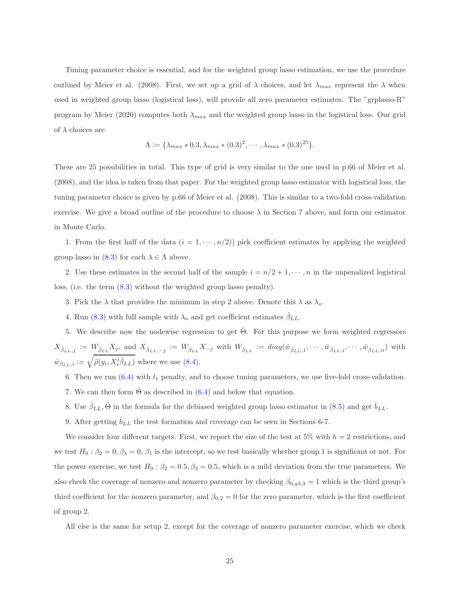Tuning parameter choice is essential, and for the weighted group lasso estimation, we use the procedure outlined by Meier et al. (2008). First, we set up a grid of  $\lambda$  choices, and let  $\lambda_{max}$  represent the  $\lambda$  when used in weighted group lasso (logistical loss), will provide all zero parameter estimates. The "grplasso-R" program by Meier (2020) computes both  $\lambda_{max}$  and the weighted group lasso in the logistical loss. Our grid of  $\lambda$  choices are

$$
\Lambda := \{ \lambda_{max} * 0.3, \lambda_{max} * (0.3)^2, \cdots, \lambda_{max} * (0.3)^{25} \}.
$$

These are 25 possibilities in total. This type of grid is very similar to the one used in p.66 of Meier et al. (2008), and the idea is taken from that paper. For the weighted group lasso estimator with logistical loss, the tuning parameter choice is given by p.66 of Meier et al. (2008). This is similar to a two-fold cross-validation exercise. We give a broad outline of the procedure to choose  $\lambda$  in Section 7 above, and form our estimator in Monte Carlo.

1. From the first half of the data  $(i = 1, \dots, n/2)$  pick coefficient estimates by applying the weighted group lasso in  $(8.3)$  for each  $\lambda \in \Lambda$  above.

2. Use these estimates in the second half of the sample  $i = n/2 + 1, \dots, n$  in the unpenalized logistical loss, (i.e. the term [\(8.3\)](#page-21-0) without the weighted group lasso penalty).

- 3. Pick the  $\lambda$  that provides the minimum in step 2 above. Denote this  $\lambda$  as  $\lambda_o$ .
- 4. Run [\(8.3\)](#page-21-0) with full sample with  $\lambda_o$  and get coefficient estimates  $\beta_{LL}$ .

5. We describe now the nodewise regression to get  $\hat{\Theta}$ . For this purpose we form weighted regressors  $X_{\hat{\beta}_{LL},j} := W_{\hat{\beta}_{LL}} X_j$ , and  $X_{\hat{\beta}_{LL},-j} := W_{\hat{\beta}_{LL}} X_{-j}$  with  $W_{\hat{\beta}_{LL}} := diag(\hat{w}_{\hat{\beta}_{LL},1},\cdots,\hat{w}_{\hat{\beta}_{LL},i},\cdots,\hat{w}_{\hat{\beta}_{LL},n})$  with  $\hat{w}_{\beta_{LL},i} := \sqrt{\ddot{\rho}(y_i, X_i' \hat{\beta}_{LL})}$  where we use [\(8.4\)](#page-21-1).

- 6. Then we run  $(6.4)$  with  $l_1$  penalty, and to choose tuning parameters, we use five-fold cross-validation.
- 7. We can then form  $\hat{\Theta}$  as described in ([6.4\)](#page-12-1) and below that equation.
- 8. Use  $\hat{\beta}_{LL}$ ,  $\hat{\Theta}$  in the formula for the debiased weighted group lasso estimator in ([8.5\)](#page-22-0) and get  $\hat{b}_{LL}$ .
- 9. After getting  $\hat{b}_{LL}$  the test formation and coverage can be seen in Sections 6-7.

We consider four different targets. First, we report the size of the test at 5% with  $h = 2$  restrictions, and we test  $H_0: \beta_2 = 0, \beta_3 = 0, \beta_1$  is the intercept, so we test basically whether group 1 is significant or not. For the power exercise, we test  $H_0: \beta_2 = 0.5, \beta_3 = 0.5$ , which is a mild deviation from the true parameters. We also check the coverage of nonzero and nonzero parameter by checking  $\beta_{0,g3,3} = 1$  which is the third group's third coefficient for the nonzero parameter, and  $\beta_{0,2}=0$  for the zero parameter, which is the first coefficient of group 2.

All else is the same for setup 2, except for the coverage of nonzero parameter exercise, which we check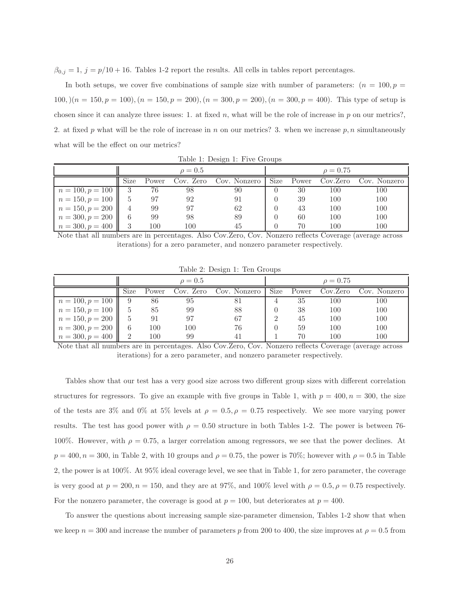$\beta_{0,j} = 1, j = p/10 + 16$ . Tables 1-2 report the results. All cells in tables report percentages.

In both setups, we cover five combinations of sample size with number of parameters:  $(n = 100, p = 100)$  $100, (n = 150, p = 100), (n = 150, p = 200), (n = 300, p = 200), (n = 300, p = 400).$  This type of setup is chosen since it can analyze three issues: 1. at fixed  $n$ , what will be the role of increase in  $p$  on our metrics?, 2. at fixed p what will be the role of increase in n on our metrics? 3. when we increase p, n simultaneously what will be the effect on our metrics?

|                    | $\rho = 0.5$ |       |           |              |      | $\rho = 0.75$ |          |              |  |
|--------------------|--------------|-------|-----------|--------------|------|---------------|----------|--------------|--|
|                    | Size         | Power | Cov. Zero | Cov. Nonzero | Size | Power         | Cov.Zero | Cov. Nonzero |  |
| $n = 100, p = 100$ |              | 76    | 98        | 90           |      | 30            | 100      | 100          |  |
| $n = 150, p = 100$ |              | 97    | 92        | 91           |      | 39            | 100      | 100          |  |
| $n = 150, p = 200$ |              | 99    | 97        | 62           |      | 43            | 100      | 100          |  |
| $n = 300, p = 200$ | 6            | 99    | 98        | 89           |      | 60            | 100      | 100          |  |
| $n = 300, p = 400$ | 3            | 100   | 100       | 45           |      | 70            | 00       | 100          |  |

Table 1: Design 1: Five Groups

Note that all numbers are in percentages. Also Cov.Zero, Cov. Nonzero reflects Coverage (average across iterations) for a zero parameter, and nonzero parameter respectively.

|                    | $\rho = 0.5$ |       |           |              |      | $\rho = 0.75$ |          |              |  |
|--------------------|--------------|-------|-----------|--------------|------|---------------|----------|--------------|--|
|                    | Size         | Power | Cov. Zero | Cov. Nonzero | Size | Power         | Cov.Zero | Cov. Nonzero |  |
| $n = 100, p = 100$ |              | 86    | 95        |              |      | 35            | 100      | 100          |  |
| $n = 150, p = 100$ |              | 85    | 99        | 88           |      | 38            | 100      | 100          |  |
| $n = 150, p = 200$ | 5            | 91    | 97        | 67           |      | 45            | 100      | 100          |  |
| $n = 300, p = 200$ | 6            | 100   | 100       | 76           |      | 59            | 100      | 100          |  |
| $n = 300, p = 400$ |              | 100   | 99        |              |      | 70            | 100      | 100          |  |

Table 2: Design 1: Ten Groups

Note that all numbers are in percentages. Also Cov.Zero, Cov. Nonzero reflects Coverage (average across iterations) for a zero parameter, and nonzero parameter respectively.

Tables show that our test has a very good size across two different group sizes with different correlation structures for regressors. To give an example with five groups in Table 1, with  $p = 400$ ,  $n = 300$ , the size of the tests are 3% and 0% at 5% levels at  $\rho = 0.5, \rho = 0.75$  respectively. We see more varying power results. The test has good power with  $\rho = 0.50$  structure in both Tables 1-2. The power is between 76-100%. However, with  $\rho = 0.75$ , a larger correlation among regressors, we see that the power declines. At  $p = 400$ ,  $n = 300$ , in Table 2, with 10 groups and  $\rho = 0.75$ , the power is 70%; however with  $\rho = 0.5$  in Table 2, the power is at 100%. At 95% ideal coverage level, we see that in Table 1, for zero parameter, the coverage is very good at  $p = 200, n = 150$ , and they are at 97%, and 100% level with  $\rho = 0.5, \rho = 0.75$  respectively. For the nonzero parameter, the coverage is good at  $p = 100$ , but deteriorates at  $p = 400$ .

To answer the questions about increasing sample size-parameter dimension, Tables 1-2 show that when we keep  $n = 300$  and increase the number of parameters p from 200 to 400, the size improves at  $\rho = 0.5$  from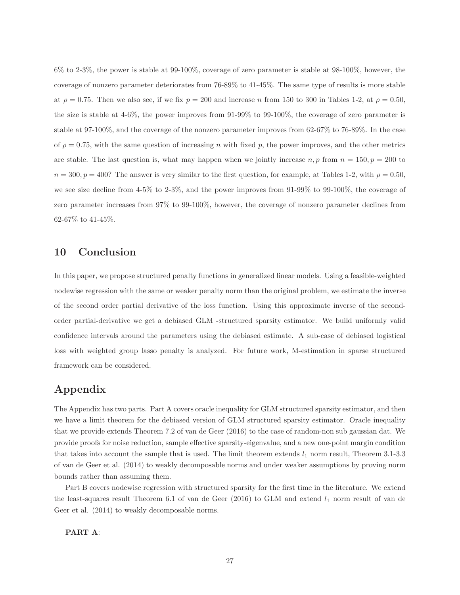$6\%$  to 2-3%, the power is stable at 99-100%, coverage of zero parameter is stable at 98-100%, however, the coverage of nonzero parameter deteriorates from 76-89% to 41-45%. The same type of results is more stable at  $\rho = 0.75$ . Then we also see, if we fix  $p = 200$  and increase n from 150 to 300 in Tables 1-2, at  $\rho = 0.50$ , the size is stable at 4-6%, the power improves from 91-99% to 99-100%, the coverage of zero parameter is stable at 97-100%, and the coverage of the nonzero parameter improves from 62-67% to 76-89%. In the case of  $\rho = 0.75$ , with the same question of increasing n with fixed p, the power improves, and the other metrics are stable. The last question is, what may happen when we jointly increase  $n, p$  from  $n = 150, p = 200$  to  $n = 300, p = 400$ ? The answer is very similar to the first question, for example, at Tables 1-2, with  $\rho = 0.50$ , we see size decline from 4-5% to 2-3%, and the power improves from 91-99% to 99-100%, the coverage of zero parameter increases from 97% to 99-100%, however, the coverage of nonzero parameter declines from 62-67% to 41-45%.

# 10 Conclusion

In this paper, we propose structured penalty functions in generalized linear models. Using a feasible-weighted nodewise regression with the same or weaker penalty norm than the original problem, we estimate the inverse of the second order partial derivative of the loss function. Using this approximate inverse of the secondorder partial-derivative we get a debiased GLM -structured sparsity estimator. We build uniformly valid confidence intervals around the parameters using the debiased estimate. A sub-case of debiased logistical loss with weighted group lasso penalty is analyzed. For future work, M-estimation in sparse structured framework can be considered.

# Appendix

The Appendix has two parts. Part A covers oracle inequality for GLM structured sparsity estimator, and then we have a limit theorem for the debiased version of GLM structured sparsity estimator. Oracle inequality that we provide extends Theorem 7.2 of van de Geer (2016) to the case of random-non sub gaussian dat. We provide proofs for noise reduction, sample effective sparsity-eigenvalue, and a new one-point margin condition that takes into account the sample that is used. The limit theorem extends  $l_1$  norm result, Theorem 3.1-3.3 of van de Geer et al. (2014) to weakly decomposable norms and under weaker assumptions by proving norm bounds rather than assuming them.

Part B covers nodewise regression with structured sparsity for the first time in the literature. We extend the least-squares result Theorem 6.1 of van de Geer (2016) to GLM and extend  $l_1$  norm result of van de Geer et al. (2014) to weakly decomposable norms.

### PART A: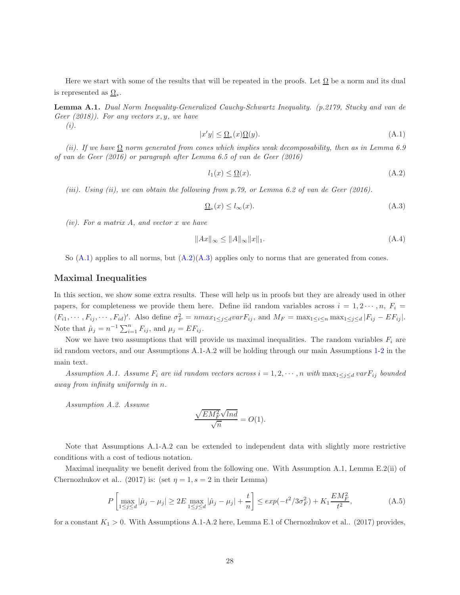Here we start with some of the results that will be repeated in the proofs. Let  $\Omega$  be a norm and its dual is represented as  $\Omega_*$ .

Lemma A.1. Dual Norm Inequality-Generalized Cauchy-Schwartz Inequality. (p.2179, Stucky and van de Geer  $(2018)$ ). For any vectors x, y, we have (i).

$$
|x'y| \le \underline{\Omega}_*(x)\underline{\Omega}(y). \tag{A.1}
$$

(ii). If we have  $\Omega$  norm generated from cones which implies weak decomposability, then as in Lemma 6.9 of van de Geer (2016) or paragraph after Lemma 6.5 of van de Geer (2016)

$$
l_1(x) \le \underline{\Omega}(x). \tag{A.2}
$$

(iii). Using (ii), we can obtain the following from p.79, or Lemma 6.2 of van de Geer (2016).

$$
\underline{\Omega}_*(x) \le l_\infty(x). \tag{A.3}
$$

 $(iv)$ . For a matrix A, and vector x we have

$$
||Ax||_{\infty} \le ||A||_{\infty} ||x||_1.
$$
 (A.4)

So  $(A.1)$  applies to all norms, but  $(A.2)(A.3)$  $(A.2)(A.3)$  applies only to norms that are generated from cones.

### Maximal Inequalities

In this section, we show some extra results. These will help us in proofs but they are already used in other papers, for completeness we provide them here. Define iid random variables across  $i = 1, 2 \cdots, n$ ,  $F_i =$  $(F_{i1},\dots, F_{ij},\dots, F_{id})'$ . Also define  $\sigma_F^2 = nmax_{1 \leq j \leq d} var F_{ij}$ , and  $M_F = \max_{1 \leq i \leq n} \max_{1 \leq j \leq d} |F_{ij} - EF_{ij}|$ . Note that  $\hat{\mu}_j = n^{-1} \sum_{i=1}^n F_{ij}$ , and  $\mu_j = EF_{ij}$ .

Now we have two assumptions that will provide us maximal inequalities. The random variables  $F_i$  are iid random vectors, and our Assumptions A.1-A.2 will be holding through our main Assumptions [1-](#page-8-0)[2](#page-8-1) in the main text.

Assumption A.1. Assume  $F_i$  are iid random vectors across  $i = 1, 2, \cdots, n$  with  $\max_{1 \leq j \leq d} \text{var} F_{ij}$  bounded away from infinity uniformly in n.

Assumption A.2. Assume

$$
\frac{\sqrt{EM_F^2}\sqrt{ln d}}{\sqrt{n}} = O(1).
$$

Note that Assumptions A.1-A.2 can be extended to independent data with slightly more restrictive conditions with a cost of tedious notation.

Maximal inequality we benefit derived from the following one. With Assumption A.1, Lemma E.2(ii) of Chernozhukov et al.. (2017) is: (set  $\eta = 1$ ,  $s = 2$  in their Lemma)

$$
P\left[\max_{1 \le j \le d} |\hat{\mu}_j - \mu_j| \ge 2E \max_{1 \le j \le d} |\hat{\mu}_j - \mu_j| + \frac{t}{n}\right] \le exp(-t^2/3\sigma_F^2) + K_1 \frac{EM_F^2}{t^2},\tag{A.5}
$$

for a constant  $K_1 > 0$ . With Assumptions A.1-A.2 here, Lemma E.1 of Chernozhukov et al.. (2017) provides,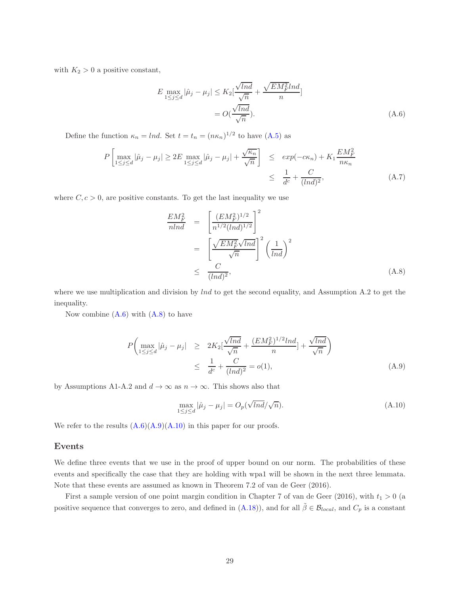with  $K_2 > 0$  a positive constant,

$$
E \max_{1 \le j \le d} |\hat{\mu}_j - \mu_j| \le K_2 \left[ \frac{\sqrt{ln d}}{\sqrt{n}} + \frac{\sqrt{EM_F^2} ln d}{n} \right]
$$

$$
= O\left(\frac{\sqrt{ln d}}{\sqrt{n}}\right).
$$
(A.6)

Define the function  $\kappa_n = \ln d$ . Set  $t = t_n = (n\kappa_n)^{1/2}$  to have  $(A.5)$  as

$$
P\left[\max_{1\leq j\leq d}|\hat{\mu}_j - \mu_j| \geq 2E \max_{1\leq j\leq d}|\hat{\mu}_j - \mu_j| + \frac{\sqrt{\kappa_n}}{\sqrt{n}}\right] \leq exp(-c\kappa_n) + K_1 \frac{EM_F^2}{n\kappa_n} \leq \frac{1}{d^c} + \frac{C}{(Ind)^2},
$$
\n(A.7)

where  $C, c > 0$ , are positive constants. To get the last inequality we use

$$
\frac{EM_F^2}{nln d} = \left[\frac{(EM_F^2)^{1/2}}{n^{1/2}(ln d)^{1/2}}\right]^2
$$
\n
$$
= \left[\frac{\sqrt{EM_F^2}\sqrt{ln d}}{\sqrt{n}}\right]^2 \left(\frac{1}{ln d}\right)^2
$$
\n
$$
\leq \frac{C}{(ln d)^2}, \tag{A.8}
$$

where we use multiplication and division by  $lnd$  to get the second equality, and Assumption A.2 to get the inequality.

Now combine  $(A.6)$  with  $(A.8)$  to have

$$
P\left(\max_{1 \le j \le d} |\hat{\mu}_j - \mu_j| \ge 2K_2[\frac{\sqrt{lnd}}{\sqrt{n}} + \frac{(EM_F^2)^{1/2}lnd}{n}] + \frac{\sqrt{lnd}}{\sqrt{n}}\right) \le \frac{1}{d^c} + \frac{C}{(lnd)^2} = o(1),
$$
\n(A.9)

by Assumptions A1-A.2 and  $d \to \infty$  as  $n \to \infty$ . This shows also that

$$
\max_{1 \le j \le d} |\hat{\mu}_j - \mu_j| = O_p(\sqrt{lnd}/\sqrt{n}).\tag{A.10}
$$

We refer to the results  $(A.6)(A.9)(A.10)$  $(A.6)(A.9)(A.10)$  $(A.6)(A.9)(A.10)$  in this paper for our proofs.

#### Events

We define three events that we use in the proof of upper bound on our norm. The probabilities of these events and specifically the case that they are holding with wpa1 will be shown in the next three lemmata. Note that these events are assumed as known in Theorem 7.2 of van de Geer (2016).

First a sample version of one point margin condition in Chapter 7 of van de Geer (2016), with  $t_1 > 0$  (a positive sequence that converges to zero, and defined in [\(A.18\)](#page-49-0)), and for all  $\tilde{\beta} \in \mathcal{B}_{local}$ , and  $C_p$  is a constant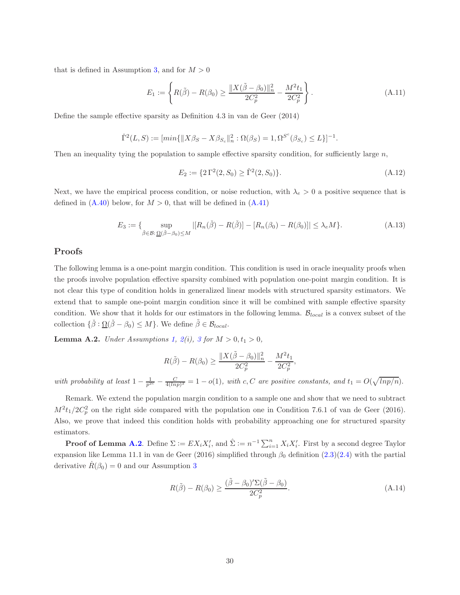that is defined in Assumption [3,](#page-9-0) and for  $M > 0$ 

$$
E_1 := \left\{ R(\tilde{\beta}) - R(\beta_0) \ge \frac{\|X(\tilde{\beta} - \beta_0)\|_n^2}{2C_p^2} - \frac{M^2 t_1}{2C_p^2} \right\}.
$$
 (A.11)

Define the sample effective sparsity as Definition 4.3 in van de Geer (2014)

$$
\hat{\Gamma}^2(L, S) := [min{\{||X\beta_{S} - X\beta_{S_c}||_n^2 : \Omega(\beta_{S}) = 1, \Omega^{S^c}(\beta_{S_c}) \le L\}}]^{-1}.
$$

Then an inequality tying the population to sample effective sparsity condition, for sufficiently large  $n$ ,

$$
E_2 := \{ 2\Gamma^2(2, S_0) \ge \hat{\Gamma}^2(2, S_0) \}. \tag{A.12}
$$

Next, we have the empirical process condition, or noise reduction, with  $\lambda_e > 0$  a positive sequence that is defined in  $(A.40)$  below, for  $M > 0$ , that will be defined in  $(A.41)$ 

$$
E_3 := \{ \sup_{\check{\beta} \in \mathcal{B}: \underline{\Omega}(\check{\beta} - \beta_0) \le M} |[R_n(\check{\beta}) - R(\check{\beta})] - [R_n(\beta_0) - R(\beta_0)]| \le \lambda_e M \}. \tag{A.13}
$$

### Proofs

The following lemma is a one-point margin condition. This condition is used in oracle inequality proofs when the proofs involve population effective sparsity combined with population one-point margin condition. It is not clear this type of condition holds in generalized linear models with structured sparsity estimators. We extend that to sample one-point margin condition since it will be combined with sample effective sparsity condition. We show that it holds for our estimators in the following lemma.  $\mathcal{B}_{local}$  is a convex subset of the collection  $\{\check{\beta} : \underline{\Omega}(\check{\beta} - \beta_0) \leq M\}$ . We define  $\tilde{\beta} \in \mathcal{B}_{local}$ .

**Lemma A.2.** Under Assumptions [1,](#page-8-0)  $2(i)$  $2(i)$ , [3](#page-9-0) for  $M > 0, t_1 > 0$ ,

$$
R(\tilde{\beta}) - R(\beta_0) \ge \frac{\|X(\tilde{\beta} - \beta_0)\|_n^2}{2C_p^2} - \frac{M^2 t_1}{2C_p^2}
$$

with probability at least  $1 - \frac{1}{p^{2c}} - \frac{C}{4(lnp)^2} = 1 - o(1)$ , with c, C are positive constants, and  $t_1 = O(\sqrt{lnp/n})$ .

Remark. We extend the population margin condition to a sample one and show that we need to subtract  $M^2t_1/2C_p^2$  on the right side compared with the population one in Condition 7.6.1 of van de Geer (2016). Also, we prove that indeed this condition holds with probability approaching one for structured sparsity estimators.

**Proof of Lemma [A.2](#page-47-0).** Define  $\Sigma := EX_i X'_i$ , and  $\hat{\Sigma} := n^{-1} \sum_{i=1}^n X_i X'_i$ . First by a second degree Taylor expansion like Lemma 11.1 in van de Geer (2016) simplified through  $\beta_0$  definition [\(2.3\)](#page-4-1)[\(2.4\)](#page-4-2) with the partial derivative  $R(\beta_0) = 0$  and our Assumption [3](#page-9-0)

$$
R(\tilde{\beta}) - R(\beta_0) \ge \frac{(\tilde{\beta} - \beta_0)' \Sigma (\tilde{\beta} - \beta_0)}{2C_p^2}.
$$
\n(A.14)

,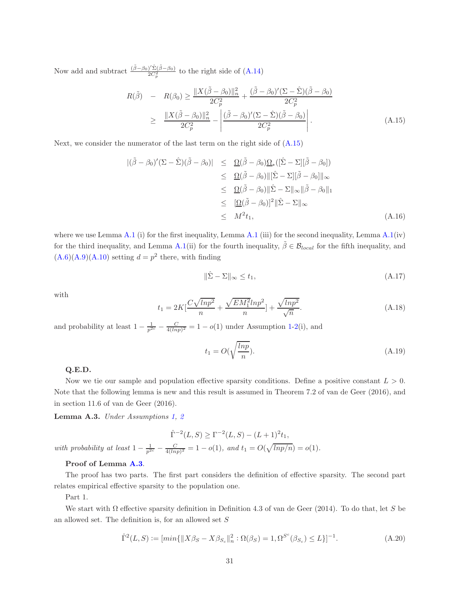Now add and subtract  $\frac{(\tilde{\beta} - \beta_0)' \hat{\Sigma} (\tilde{\beta} - \beta_0)}{2C^2}$  $\frac{12(p-p_0)}{2C_p^2}$  to the right side of  $(A.14)$ 

$$
R(\tilde{\beta}) - R(\beta_0) \ge \frac{\|X(\tilde{\beta} - \beta_0)\|_n^2}{2C_p^2} + \frac{(\tilde{\beta} - \beta_0)'(\Sigma - \hat{\Sigma})(\tilde{\beta} - \beta_0)}{2C_p^2} \ge \frac{\|X(\tilde{\beta} - \beta_0)\|_n^2}{2C_p^2} - \left| \frac{(\tilde{\beta} - \beta_0)'(\Sigma - \hat{\Sigma})(\tilde{\beta} - \beta_0)}{2C_p^2} \right|.
$$
\n(A.15)

Next, we consider the numerator of the last term on the right side of [\(A.15\)](#page-48-1)

$$
\begin{aligned}\n|(\tilde{\beta} - \beta_0)'(\Sigma - \hat{\Sigma})(\tilde{\beta} - \beta_0)| &\leq \Omega(\tilde{\beta} - \beta_0)\Omega_*([\hat{\Sigma} - \Sigma][\tilde{\beta} - \beta_0]) \\
&\leq \Omega(\tilde{\beta} - \beta_0) \|\hat{\Sigma} - \Sigma\| \tilde{\beta} - \beta_0 \|_{\infty} \\
&\leq \Omega(\tilde{\beta} - \beta_0) \|\hat{\Sigma} - \Sigma\|_{\infty} \|\tilde{\beta} - \beta_0 \|_{1} \\
&\leq \frac{[\Omega(\tilde{\beta} - \beta_0)]^2 \|\hat{\Sigma} - \Sigma\|_{\infty}}{\Delta t} \\
&\leq M^2 t_1,\n\end{aligned}
$$
\n(A.16)

where we use Lemma [A.1](#page-46-0) (i) for the first inequality, Lemma A.1 (iii) for the second inequality, Lemma [A.1\(](#page-46-0)iv) for the third inequality, and Lemma [A.1\(](#page-46-0)ii) for the fourth inequality,  $\tilde{\beta} \in \mathcal{B}_{local}$  for the fifth inequality, and  $(A.6)(A.9)(A.10)$  $(A.6)(A.9)(A.10)$  $(A.6)(A.9)(A.10)$  setting  $d = p^2$  there, with finding

$$
\|\hat{\Sigma} - \Sigma\|_{\infty} \le t_1,\tag{A.17}
$$

with

$$
t_1 = 2K\left[\frac{C\sqrt{lnp^2}}{n} + \frac{\sqrt{EM_1^2}lnp^2}{n}\right] + \frac{\sqrt{lnp^2}}{\sqrt{n}}.
$$
\n(A.18)

and probability at least  $1 - \frac{1}{p^{2c}} - \frac{C}{4(lnp)^2} = 1 - o(1)$  under Assumption [1-](#page-8-0)[2\(](#page-8-1)i), and

$$
t_1 = O(\sqrt{\frac{\ln p}{n}}). \tag{A.19}
$$

#### Q.E.D.

Now we tie our sample and population effective sparsity conditions. Define a positive constant  $L > 0$ . Note that the following lemma is new and this result is assumed in Theorem 7.2 of van de Geer (2016), and in section 11.6 of van de Geer (2016).

Lemma A.3. Under Assumptions [1,](#page-8-0) [2](#page-8-1)

$$
\hat{\Gamma}^{-2}(L, S) \ge \Gamma^{-2}(L, S) - (L+1)^2 t_1,
$$
  
with probability at least  $1 - \frac{1}{p^{2c}} - \frac{C}{4(lnp)^2} = 1 - o(1)$ , and  $t_1 = O(\sqrt{lnp/n}) = o(1)$ .

#### Proof of Lemma [A.3](#page-50-1).

The proof has two parts. The first part considers the definition of effective sparsity. The second part relates empirical effective sparsity to the population one.

Part 1.

We start with  $\Omega$  effective sparsity definition in Definition 4.3 of van de Geer (2014). To do that, let S be an allowed set. The definition is, for an allowed set  $S$ 

$$
\hat{\Gamma}^2(L, S) := [min\{\|X\beta_S - X\beta_{S_c}\|_n^2 : \Omega(\beta_S) = 1, \Omega^{S^c}(\beta_{S_c}) \le L\}]^{-1}.
$$
\n(A.20)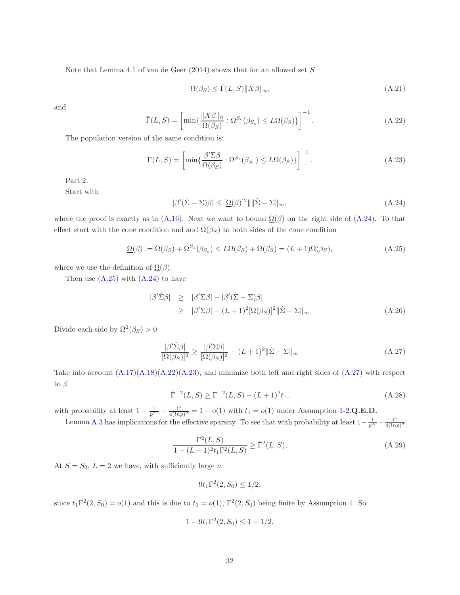Note that Lemma 4.1 of van de Geer  $(2014)$  shows that for an allowed set S

$$
\Omega(\beta_S) \le \hat{\Gamma}(L, S) \|X\beta\|_n,\tag{A.21}
$$

and

$$
\hat{\Gamma}(L, S) = \left[ \min \{ \frac{\|X\beta\|_n}{\Omega(\beta_S)} : \Omega^{S_c}(\beta_{S_c}) \le L\Omega(\beta_S) \} \right]^{-1}.
$$
\n(A.22)

The population version of the same condition is:

$$
\Gamma(L, S) = \left[ \min \{ \frac{\beta' \Sigma \beta}{\Omega(\beta_S)} : \Omega^{S_c}(\beta_{S_c}) \le L\Omega(\beta_S) \} \right]^{-1}.
$$
\n(A.23)

Part 2.

Start with

$$
|\beta'(\hat{\Sigma} - \Sigma)\beta| \leq [\underline{\Omega}(\beta)]^2 |||\hat{\Sigma} - \Sigma||_{\infty},
$$
\n(A.24)

where the proof is exactly as in [\(A.16\)](#page-48-2). Next we want to bound  $\Omega(\beta)$  on the right side of [\(A.24\)](#page-51-0). To that effect start with the cone condition and add  $\Omega(\beta_S)$  to both sides of the cone condition

$$
\underline{\Omega}(\beta) := \Omega(\beta_S) + \Omega^{S_c}(\beta_{S_c}) \le L\Omega(\beta_S) + \Omega(\beta_S) = (L+1)\Omega(\beta_S),\tag{A.25}
$$

where we use the definition of  $\Omega(\beta)$ .

Then use  $(A.25)$  with  $(A.24)$  to have

$$
|\beta'\hat{\Sigma}\beta| \geq |\beta'\Sigma\beta| - |\beta'(\hat{\Sigma} - \Sigma)\beta|
$$
  
\n
$$
\geq |\beta'\Sigma\beta| - (L+1)^2[\Omega(\beta_S)]^2 ||\hat{\Sigma} - \Sigma||_{\infty}
$$
 (A.26)

Divide each side by  $\Omega^2(\beta_S) > 0$ 

$$
\frac{|\beta'\hat{\Sigma}\beta|}{[\Omega(\beta_S)]^2} \ge \frac{|\beta'\Sigma\beta|}{[\Omega(\beta_S)]^2} - (L+1)^2 \|\hat{\Sigma} - \Sigma\|_{\infty}
$$
\n(A.27)

Take into account  $(A.17)(A.18)(A.22)(A.23)$  $(A.17)(A.18)(A.22)(A.23)$  $(A.17)(A.18)(A.22)(A.23)$  $(A.17)(A.18)(A.22)(A.23)$ , and minimize both left and right sides of  $(A.27)$  with respect to  $\beta$ 

$$
\hat{\Gamma}^{-2}(L, S) \ge \Gamma^{-2}(L, S) - (L+1)^2 t_1,
$$
\n(A.28)

with probability at least  $1 - \frac{1}{p^{2c}} - \frac{C}{4(lnp)^2} = 1 - o(1)$  with  $t_1 = o(1)$  under Assumption [1-](#page-8-0)[2.](#page-8-1)Q.E.D. Lemma [A.3](#page-50-1) has implications for the effective sparsity. To see that with probability at least  $1-\frac{1}{p^{2c}}-\frac{C}{4(ln p)^2}$ 

$$
\frac{\Gamma^2(L, S)}{1 - (L+1)^2 t_1 \Gamma^2(L, S)} \ge \hat{\Gamma}^2(L, S),
$$
\n(A.29)

At  $S = S_0$ ,  $L = 2$  we have, with sufficiently large n

$$
9t_1\Gamma^2(2, S_0) \le 1/2,
$$

since  $t_1 \Gamma^2(2, S_0) = o(1)$  and this is due to  $t_1 = o(1)$ ,  $\Gamma^2(2, S_0)$  being finite by Assumption [1.](#page-8-0) So

$$
1 - 9t_1\Gamma^2(2, S_0) \le 1 - 1/2.
$$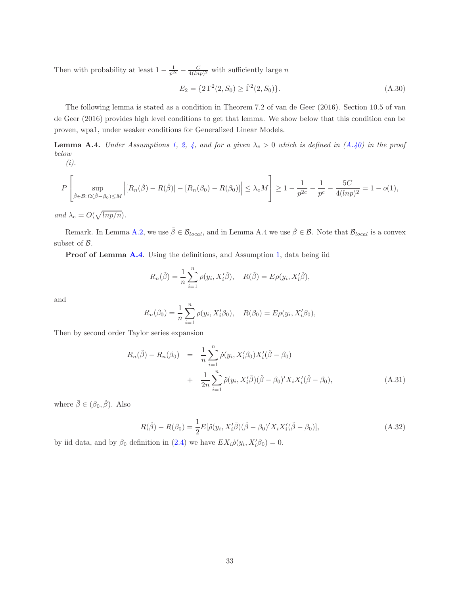Then with probability at least  $1 - \frac{1}{p^{2c}} - \frac{C}{4(lnp)^2}$  with sufficiently large n

$$
E_2 = \{2\Gamma^2(2, S_0) \ge \hat{\Gamma}^2(2, S_0)\}.
$$
\n(A.30)

The following lemma is stated as a condition in Theorem 7.2 of van de Geer (2016). Section 10.5 of van de Geer (2016) provides high level conditions to get that lemma. We show below that this condition can be proven, wpa1, under weaker conditions for Generalized Linear Models.

**Lemma A.4.** Under Assumptions [1,](#page-8-0) [2,](#page-8-1) [4,](#page-9-1) and for a given  $\lambda_e > 0$  which is defined in  $(A.40)$  in the proof below  $(i).$ 

$$
-(i
$$

$$
P\left[\sup_{\check{\beta}\in\mathcal{B}:\,\underline{\Omega}(\check{\beta}-\beta_0)\leq M}\left|[R_n(\check{\beta})-R(\check{\beta})]-[R_n(\beta_0)-R(\beta_0)]\right|\leq \lambda_e M\right]\geq 1-\frac{1}{p^{2c}}-\frac{1}{p^c}-\frac{5C}{4(lnp)^2}=1-o(1),
$$

and  $\lambda_e = O(\sqrt{\ln p/n}).$ 

Remark. In Lemma [A.2,](#page-47-0) we use  $\tilde{\beta} \in \mathcal{B}_{local}$ , and in Lemma A.4 we use  $\tilde{\beta} \in \mathcal{B}$ . Note that  $\mathcal{B}_{local}$  is a convex subset of B.

Proof of Lemma [A.4](#page-50-0). Using the definitions, and Assumption [1,](#page-8-0) data being iid

$$
R_n(\check{\beta}) = \frac{1}{n} \sum_{i=1}^n \rho(y_i, X'_i \check{\beta}), \quad R(\check{\beta}) = E \rho(y_i, X'_i \check{\beta}),
$$

and

$$
R_n(\beta_0) = \frac{1}{n} \sum_{i=1}^n \rho(y_i, X_i'\beta_0), \quad R(\beta_0) = E\rho(y_i, X_i'\beta_0),
$$

Then by second order Taylor series expansion

$$
R_n(\check{\beta}) - R_n(\beta_0) = \frac{1}{n} \sum_{i=1}^n \dot{\rho}(y_i, X_i'\beta_0) X_i'(\check{\beta} - \beta_0)
$$
  
+ 
$$
\frac{1}{2n} \sum_{i=1}^n \ddot{\rho}(y_i, X_i'\bar{\beta})(\check{\beta} - \beta_0)' X_i X_i'(\check{\beta} - \beta_0),
$$
 (A.31)

where  $\bar{\beta} \in (\beta_0, \check{\beta})$ . Also

$$
R(\check{\beta}) - R(\beta_0) = \frac{1}{2} E[\ddot{\rho}(y_i, X'_i \bar{\beta})(\check{\beta} - \beta_0)' X_i X'_i (\check{\beta} - \beta_0)], \tag{A.32}
$$

by iid data, and by  $\beta_0$  definition in [\(2.4\)](#page-4-2) we have  $EX_i\dot{\rho}(y_i, X_i'\beta_0) = 0$ .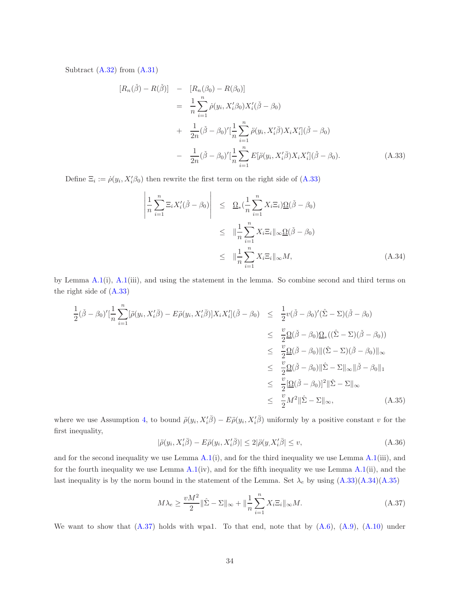Subtract [\(A.32\)](#page-53-0) from [\(A.31\)](#page-53-1)

$$
[R_n(\check{\beta}) - R(\check{\beta})] = [R_n(\beta_0) - R(\beta_0)]
$$
  
\n
$$
= \frac{1}{n} \sum_{i=1}^n \dot{\rho}(y_i, X_i'\beta_0) X_i'(\check{\beta} - \beta_0)
$$
  
\n
$$
+ \frac{1}{2n} (\check{\beta} - \beta_0)' \Big[\frac{1}{n} \sum_{i=1}^n \ddot{\rho}(y_i, X_i'\tilde{\beta}) X_i X_i' \Big](\check{\beta} - \beta_0)
$$
  
\n
$$
- \frac{1}{2n} (\check{\beta} - \beta_0)' \Big[\frac{1}{n} \sum_{i=1}^n E[\ddot{\rho}(y_i, X_i'\tilde{\beta}) X_i X_i'](\check{\beta} - \beta_0).
$$
 (A.33)

Define  $\Xi_i := \dot{\rho}(y_i, X_i'\beta_0)$  then rewrite the first term on the right side of [\(A.33\)](#page-53-2)

$$
\left| \frac{1}{n} \sum_{i=1}^{n} \Xi_{i} X_{i}'(\check{\beta} - \beta_{0}) \right| \leq \underline{\Omega}_{*} (\frac{1}{n} \sum_{i=1}^{n} X_{i} \Xi_{i}) \underline{\Omega} (\check{\beta} - \beta_{0})
$$
  

$$
\leq \|\frac{1}{n} \sum_{i=1}^{n} X_{i} \Xi_{i} \|_{\infty} \underline{\Omega} (\check{\beta} - \beta_{0})
$$
  

$$
\leq \|\frac{1}{n} \sum_{i=1}^{n} X_{i} \Xi_{i} \|_{\infty} M,
$$
 (A.34)

by Lemma  $A.1(i)$  $A.1(i)$ ,  $A.1(iii)$ , and using the statement in the lemma. So combine second and third terms on the right side of [\(A.33\)](#page-53-2)

$$
\frac{1}{2}(\check{\beta} - \beta_0)'[\frac{1}{n}\sum_{i=1}^n[\ddot{\rho}(y_i, X_i'\bar{\beta}) - E\ddot{\rho}(y_i, X_i'\bar{\beta})]X_iX_i'](\check{\beta} - \beta_0) \leq \frac{1}{2}v(\check{\beta} - \beta_0)'(\hat{\Sigma} - \Sigma)(\check{\beta} - \beta_0)
$$
\n
$$
\leq \frac{v}{2}\Omega(\check{\beta} - \beta_0)\Omega_*((\hat{\Sigma} - \Sigma)(\check{\beta} - \beta_0))
$$
\n
$$
\leq \frac{v}{2}\Omega(\check{\beta} - \beta_0)\|(\hat{\Sigma} - \Sigma)(\check{\beta} - \beta_0)\|_{\infty}
$$
\n
$$
\leq \frac{v}{2}\Omega(\check{\beta} - \beta_0)\|\hat{\Sigma} - \Sigma\|_{\infty}\|\check{\beta} - \beta_0\|_1
$$
\n
$$
\leq \frac{v}{2}\Omega(\check{\beta} - \beta_0)\|^2\|\hat{\Sigma} - \Sigma\|_{\infty}
$$
\n
$$
\leq \frac{v}{2}M^2\|\hat{\Sigma} - \Sigma\|_{\infty}, \tag{A.35}
$$

where we use Assumption [4,](#page-9-1) to bound  $\ddot{\rho}(y_i, X'_i\bar{\beta}) - E\ddot{\rho}(y_i, X'_i\bar{\beta})$  uniformly by a positive constant v for the first inequality,

$$
|\ddot{\rho}(y_i, X_i'\bar{\beta}) - E\ddot{\rho}(y_i, X_i'\bar{\beta})| \le 2|\ddot{\rho}(y, X_i'\bar{\beta})| \le v,
$$
\n(A.36)

and for the second inequality we use Lemma  $A.1(i)$  $A.1(i)$ , and for the third inequality we use Lemma  $A.1(iii)$ , and for the fourth inequality we use Lemma [A.1\(](#page-46-0)iv), and for the fifth inequality we use Lemma [A.1\(](#page-46-0)ii), and the last inequality is by the norm bound in the statement of the Lemma. Set  $\lambda_e$  by using  $(A.33)(A.34)(A.35)$  $(A.33)(A.34)(A.35)$  $(A.33)(A.34)(A.35)$ 

$$
M\lambda_e \ge \frac{vM^2}{2} \|\hat{\Sigma} - \Sigma\|_{\infty} + \|\frac{1}{n}\sum_{i=1}^n X_i \Xi_i\|_{\infty} M. \tag{A.37}
$$

We want to show that  $(A.37)$  holds with wpa1. To that end, note that by  $(A.6)$ ,  $(A.9)$ ,  $(A.10)$  under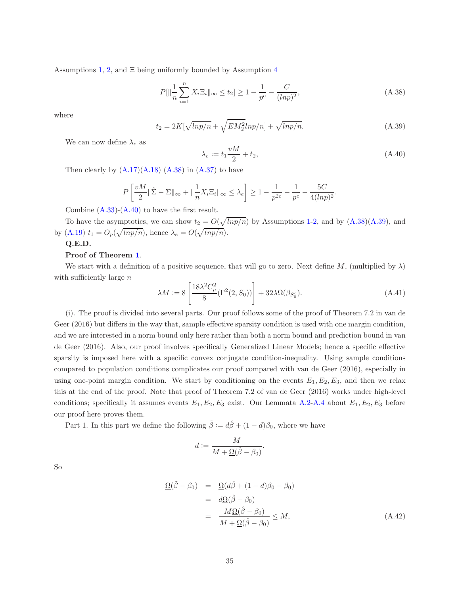Assumptions [1,](#page-8-0) [2,](#page-8-1) and  $\Xi$  being uniformly bounded by Assumption [4](#page-9-1)

$$
P[\|\frac{1}{n}\sum_{i=1}^{n}X_{i}\Xi_{i}\|_{\infty}\leq t_{2}]\geq 1-\frac{1}{p^{c}}-\frac{C}{(ln p)^{2}},\tag{A.38}
$$

where

$$
t_2 = 2K[\sqrt{\ln p/n} + \sqrt{EM_2^2 \ln p/n}] + \sqrt{\ln p/n}.
$$
\n(A.39)

We can now define  $\lambda_e$  as

$$
\lambda_e := t_1 \frac{vM}{2} + t_2,\tag{A.40}
$$

.

Then clearly by  $(A.17)(A.18)$  $(A.17)(A.18)$   $(A.38)$  in  $(A.37)$  to have

$$
P\left[\frac{vM}{2}\|\hat{\Sigma} - \Sigma\|_{\infty} + \|\frac{1}{n}X_i\Xi_i\|_{\infty} \le \lambda_e\right] \ge 1 - \frac{1}{p^{2c}} - \frac{1}{p^c} - \frac{5C}{4(lnp)^2}
$$

Combine  $(A.33)-(A.40)$  $(A.33)-(A.40)$  to have the first result.

To have the asymptotics, we can show  $t_2 = O(\sqrt{lnp/n})$  by Assumptions [1](#page-8-0)[-2,](#page-8-1) and by  $(A.38)(A.39)$  $(A.38)(A.39)$ , and by [\(A.19\)](#page-50-2)  $t_1 = O_p(\sqrt{lnp/n})$ , hence  $\lambda_e = O(\sqrt{lnp/n})$ .

## Q.E.D.

### Proof of Theorem [1](#page-10-0).

We start with a definition of a positive sequence, that will go to zero. Next define M, (multiplied by  $\lambda$ ) with sufficiently large  $n$ 

$$
\lambda M := 8 \left[ \frac{18\lambda^2 C_\rho^2}{8} (\Gamma^2(2, S_0)) \right] + 32\lambda \Omega(\beta_{S_0^c}). \tag{A.41}
$$

(i). The proof is divided into several parts. Our proof follows some of the proof of Theorem 7.2 in van de Geer (2016) but differs in the way that, sample effective sparsity condition is used with one margin condition, and we are interested in a norm bound only here rather than both a norm bound and prediction bound in van de Geer (2016). Also, our proof involves specifically Generalized Linear Models; hence a specific effective sparsity is imposed here with a specific convex conjugate condition-inequality. Using sample conditions compared to population conditions complicates our proof compared with van de Geer (2016), especially in using one-point margin condition. We start by conditioning on the events  $E_1, E_2, E_3$ , and then we relax this at the end of the proof. Note that proof of Theorem 7.2 of van de Geer (2016) works under high-level conditions; specifically it assumes events  $E_1, E_2, E_3$  exist. Our Lemmata [A.2-](#page-47-0)[A.4](#page-50-0) about  $E_1, E_2, E_3$  before our proof here proves them.

Part 1. In this part we define the following  $\tilde{\beta} := d\hat{\beta} + (1 - d)\beta_0$ , where we have

$$
d:=\frac{M}{M+\underline{\Omega}(\hat{\beta}-\beta_0)}.
$$

So

$$
\begin{aligned}\n\Omega(\tilde{\beta} - \beta_0) &= \Omega(d\hat{\beta} + (1 - d)\beta_0 - \beta_0) \\
&= d\Omega(\hat{\beta} - \beta_0) \\
&= \frac{M\Omega(\hat{\beta} - \beta_0)}{M + \Omega(\hat{\beta} - \beta_0)} \leq M,\n\end{aligned} \tag{A.42}
$$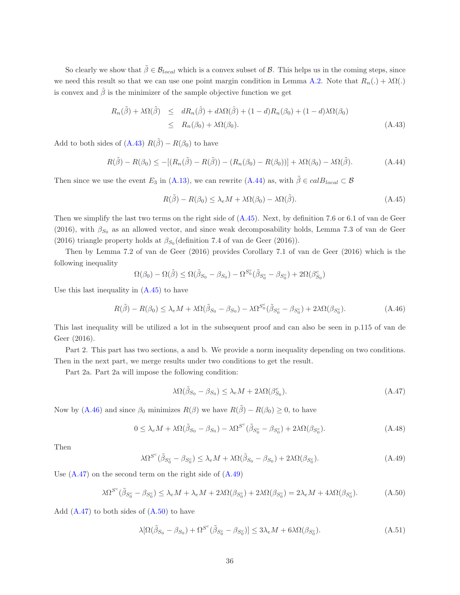So clearly we show that  $\tilde{\beta} \in \mathcal{B}_{local}$  which is a convex subset of  $\beta$ . This helps us in the coming steps, since we need this result so that we can use one point margin condition in Lemma [A.2.](#page-47-0) Note that  $R_n(.) + \lambda \Omega(.)$ is convex and  $\hat{\beta}$  is the minimizer of the sample objective function we get

$$
R_n(\tilde{\beta}) + \lambda \Omega(\tilde{\beta}) \leq dR_n(\hat{\beta}) + d\lambda \Omega(\hat{\beta}) + (1 - d)R_n(\beta_0) + (1 - d)\lambda \Omega(\beta_0)
$$
  
 
$$
\leq R_n(\beta_0) + \lambda \Omega(\beta_0).
$$
 (A.43)

Add to both sides of [\(A.43\)](#page-55-0)  $R(\tilde{\beta}) - R(\beta_0)$  to have

$$
R(\tilde{\beta}) - R(\beta_0) \le -[(R_n(\tilde{\beta}) - R(\tilde{\beta})) - (R_n(\beta_0) - R(\beta_0))] + \lambda \Omega(\beta_0) - \lambda \Omega(\tilde{\beta}). \tag{A.44}
$$

Then since we use the event  $E_3$  in [\(A.13\)](#page-47-4), we can rewrite [\(A.44\)](#page-55-1) as, with  $\tilde{\beta} \in calB_{local} \subset \mathcal{B}$ 

$$
R(\tilde{\beta}) - R(\beta_0) \le \lambda_e M + \lambda \Omega(\beta_0) - \lambda \Omega(\tilde{\beta}).
$$
\n(A.45)

Then we simplify the last two terms on the right side of [\(A.45\)](#page-55-2). Next, by definition 7.6 or 6.1 of van de Geer (2016), with  $\beta_{S_0}$  as an allowed vector, and since weak decomposability holds, Lemma 7.3 of van de Geer (2016) triangle property holds at  $\beta_{S_0}$  (definition 7.4 of van de Geer (2016)).

Then by Lemma 7.2 of van de Geer (2016) provides Corollary 7.1 of van de Geer (2016) which is the following inequality

$$
\Omega(\beta_0)-\Omega(\tilde{\beta})\leq \Omega(\tilde{\beta}_{S_0}-\beta_{S_0})-\Omega^{S_0^c}(\tilde{\beta}_{S_0^c}-\beta_{S_0^c})+2\Omega(\beta_{S_0}^c)
$$

Use this last inequality in  $(A.45)$  to have

$$
R(\tilde{\beta}) - R(\beta_0) \le \lambda_e M + \lambda \Omega(\tilde{\beta}_{S_0} - \beta_{S_0}) - \lambda \Omega^{S_0^c}(\tilde{\beta}_{S_0^c} - \beta_{S_0^c}) + 2\lambda \Omega(\beta_{S_0^c}).
$$
\n(A.46)

This last inequality will be utilized a lot in the subsequent proof and can also be seen in p.115 of van de Geer (2016).

Part 2. This part has two sections, a and b. We provide a norm inequality depending on two conditions. Then in the next part, we merge results under two conditions to get the result.

Part 2a. Part 2a will impose the following condition:

$$
\lambda \Omega(\tilde{\beta}_{S_0} - \beta_{S_0}) \le \lambda_e M + 2\lambda \Omega(\beta_{S_0}^c). \tag{A.47}
$$

Now by [\(A.46\)](#page-55-3) and since  $\beta_0$  minimizes  $R(\beta)$  we have  $R(\tilde{\beta}) - R(\beta_0) \geq 0$ , to have

$$
0 \leq \lambda_e M + \lambda \Omega(\tilde{\beta}_{S_0} - \beta_{S_0}) - \lambda \Omega^{S^c}(\tilde{\beta}_{S_0^c} - \beta_{S_0^c}) + 2\lambda \Omega(\beta_{S_0^c}).
$$
\n(A.48)

Then

$$
\lambda \Omega^{S^c} (\tilde{\beta}_{S_0^c} - \beta_{S_0^c}) \le \lambda_e M + \lambda \Omega (\tilde{\beta}_{S_0} - \beta_{S_0}) + 2\lambda \Omega (\beta_{S_0^c}). \tag{A.49}
$$

Use  $(A.47)$  on the second term on the right side of  $(A.49)$ 

$$
\lambda \Omega^{S^c} (\tilde{\beta}_{S_0^c} - \beta_{S_0^c}) \le \lambda_e M + \lambda_e M + 2\lambda \Omega(\beta_{S_0^c}) + 2\lambda \Omega(\beta_{S_0^c}) = 2\lambda_e M + 4\lambda \Omega(\beta_{S_0^c}). \tag{A.50}
$$

Add  $(A.47)$  to both sides of  $(A.50)$  to have

$$
\lambda[\Omega(\tilde{\beta}_{S_0} - \beta_{S_0}) + \Omega^{S^c}(\tilde{\beta}_{S_0^c} - \beta_{S_0^c})] \le 3\lambda_e M + 6\lambda \Omega(\beta_{S_0^c}).\tag{A.51}
$$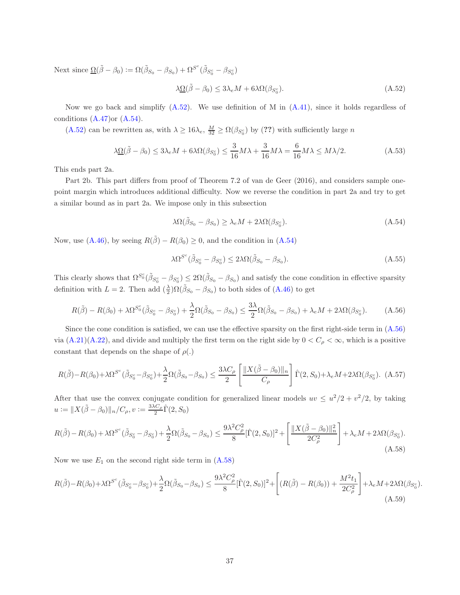Next since  $\underline{\Omega}(\tilde{\beta} - \beta_0) := \Omega(\tilde{\beta}_{S_0} - \beta_{S_0}) + \Omega^{S^c}(\tilde{\beta}_{S_0^c} - \beta_{S_0^c})$ 

$$
\lambda \underline{\Omega}(\tilde{\beta} - \beta_0) \le 3\lambda_e M + 6\lambda \Omega(\beta_{S_0^c}).\tag{A.52}
$$

Now we go back and simplify  $(A.52)$ . We use definition of M in  $(A.41)$ , since it holds regardless of conditions  $(A.47)$ or  $(A.54)$ .

[\(A.52\)](#page-57-0) can be rewritten as, with  $\lambda \ge 16\lambda_e$ ,  $\frac{M}{32} \ge \Omega(\beta_{S_0^c})$  by (??) with sufficiently large n

$$
\lambda \underline{\Omega}(\tilde{\beta} - \beta_0) \le 3\lambda_e M + 6\lambda \Omega(\beta_{S_0^c}) \le \frac{3}{16} M\lambda + \frac{3}{16} M\lambda = \frac{6}{16} M\lambda \le M\lambda/2. \tag{A.53}
$$

This ends part 2a.

Part 2b. This part differs from proof of Theorem 7.2 of van de Geer (2016), and considers sample onepoint margin which introduces additional difficulty. Now we reverse the condition in part 2a and try to get a similar bound as in part 2a. We impose only in this subsection

$$
\lambda \Omega(\tilde{\beta}_{S_0} - \beta_{S_0}) \ge \lambda_e M + 2\lambda \Omega(\beta_{S_0^c}).
$$
\n(A.54)

Now, use [\(A.46\)](#page-55-3), by seeing  $R(\tilde{\beta}) - R(\beta_0) \geq 0$ , and the condition in [\(A.54\)](#page-57-1)

$$
\lambda \Omega^{S^c} (\tilde{\beta}_{S_0^c} - \beta_{S_0^c}) \le 2\lambda \Omega (\tilde{\beta}_{S_0} - \beta_{S_0}). \tag{A.55}
$$

This clearly shows that  $\Omega^{S_0^c}(\tilde{\beta}_{S_0^c} - \beta_{S_0^c}) \leq 2\Omega(\tilde{\beta}_{S_0} - \beta_{S_0})$  and satisfy the cone condition in effective sparsity definition with  $L = 2$ . Then add  $(\frac{\lambda}{2})\Omega(\tilde{\beta}_{S_0} - \beta_{S_0})$  to both sides of [\(A.46\)](#page-55-3) to get

$$
R(\tilde{\beta}) - R(\beta_0) + \lambda \Omega^{S_0^c} (\tilde{\beta}_{S_0^c} - \beta_{S_0^c}) + \frac{\lambda}{2} \Omega(\tilde{\beta}_{S_0} - \beta_{S_0}) \le \frac{3\lambda}{2} \Omega(\tilde{\beta}_{S_0} - \beta_{S_0}) + \lambda_e M + 2\lambda \Omega(\beta_{S_0^c}).
$$
 (A.56)

Since the cone condition is satisfied, we can use the effective sparsity on the first right-side term in [\(A.56\)](#page-57-2) via  $(A.21)(A.22)$  $(A.21)(A.22)$ , and divide and multiply the first term on the right side by  $0 < C_\rho < \infty$ , which is a positive constant that depends on the shape of  $\rho(.)$ 

$$
R(\tilde{\beta}) - R(\beta_0) + \lambda \Omega^{S^c}(\tilde{\beta}_{S_0^c} - \beta_{S_0^c}) + \frac{\lambda}{2} \Omega(\tilde{\beta}_{S_0} - \beta_{S_0}) \le \frac{3\lambda C_\rho}{2} \left[ \frac{\|X(\tilde{\beta} - \beta_0)\|_n}{C_\rho} \right] \hat{\Gamma}(2, S_0) + \lambda_e M + 2\lambda \Omega(\beta_{S_0^c}).
$$
 (A.57)

After that use the convex conjugate condition for generalized linear models  $uv \leq u^2/2 + v^2/2$ , by taking  $u := \|X(\tilde{\beta} - \beta_0)\|_n / C_\rho, v := \frac{3\lambda C_\rho}{2}$  $\frac{C_{\rho}}{2} \hat{\Gamma}(2,S_0)$ 

$$
R(\tilde{\beta}) - R(\beta_0) + \lambda \Omega^{S^c} (\tilde{\beta}_{S_0^c} - \beta_{S_0^c}) + \frac{\lambda}{2} \Omega (\tilde{\beta}_{S_0} - \beta_{S_0}) \le \frac{9\lambda^2 C_\rho^2}{8} [\hat{\Gamma}(2, S_0)]^2 + \left[ \frac{\|X(\tilde{\beta} - \beta_0)\|_n^2}{2C_\rho^2} \right] + \lambda_e M + 2\lambda \Omega(\beta_{S_0^c}).
$$
\n(A.58)

Now we use  $E_1$  on the second right side term in  $(A.58)$ 

$$
R(\tilde{\beta}) - R(\beta_0) + \lambda \Omega^{S^c}(\tilde{\beta}_{S_0^c} - \beta_{S_0^c}) + \frac{\lambda}{2} \Omega(\tilde{\beta}_{S_0} - \beta_{S_0}) \le \frac{9\lambda^2 C_\rho^2}{8} [\hat{\Gamma}(2, S_0)]^2 + \left[ (R(\tilde{\beta}) - R(\beta_0)) + \frac{M^2 t_1}{2C_\rho^2} \right] + \lambda_e M + 2\lambda \Omega(\beta_{S_0^c}).
$$
\n(A.59)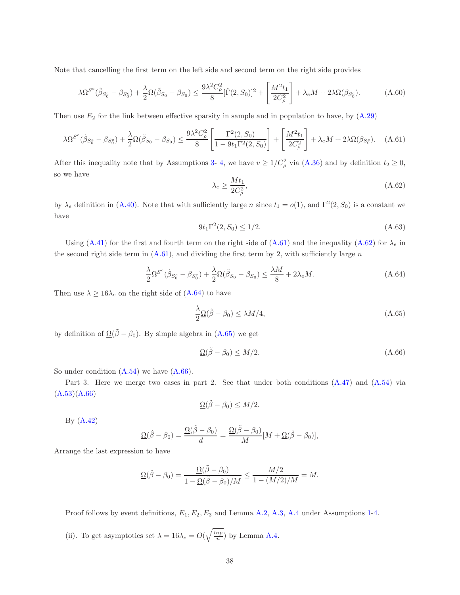Note that cancelling the first term on the left side and second term on the right side provides

$$
\lambda \Omega^{S^c} (\tilde{\beta}_{S_0^c} - \beta_{S_0^c}) + \frac{\lambda}{2} \Omega (\tilde{\beta}_{S_0} - \beta_{S_0}) \le \frac{9\lambda^2 C_\rho^2}{8} [\hat{\Gamma}(2, S_0)]^2 + \left[ \frac{M^2 t_1}{2C_\rho^2} \right] + \lambda_e M + 2\lambda \Omega (\beta_{S_0^c}). \tag{A.60}
$$

Then use  $E_2$  for the link between effective sparsity in sample and in population to have, by  $(A.29)$ 

$$
\lambda \Omega^{S^c}(\tilde{\beta}_{S_0^c} - \beta_{S_0^c}) + \frac{\lambda}{2} \Omega(\tilde{\beta}_{S_0} - \beta_{S_0}) \le \frac{9\lambda^2 C_\rho^2}{8} \left[ \frac{\Gamma^2(2, S_0)}{1 - 9t_1 \Gamma^2(2, S_0)} \right] + \left[ \frac{M^2 t_1}{2C_\rho^2} \right] + \lambda_e M + 2\lambda \Omega(\beta_{S_0^c}). \tag{A.61}
$$

After this inequality note that by Assumptions [3-](#page-9-0) [4,](#page-9-1) we have  $v \ge 1/C_\rho^2$  via  $(A.36)$  and by definition  $t_2 \ge 0$ , so we have

$$
\lambda_e \ge \frac{Mt_1}{2C_\rho^2},\tag{A.62}
$$

by  $\lambda_e$  definition in [\(A.40\)](#page-54-0). Note that with sufficiently large n since  $t_1 = o(1)$ , and  $\Gamma^2(2, S_0)$  is a constant we have

$$
9t_1\Gamma^2(2, S_0) \le 1/2. \tag{A.63}
$$

Using [\(A.41\)](#page-54-1) for the first and fourth term on the right side of [\(A.61\)](#page-58-0) and the inequality [\(A.62\)](#page-58-1) for  $\lambda_e$  in the second right side term in  $(A.61)$ , and dividing the first term by 2, with sufficiently large n

$$
\frac{\lambda}{2}\Omega^{S^c}(\tilde{\beta}_{S_0^c} - \beta_{S_0^c}) + \frac{\lambda}{2}\Omega(\tilde{\beta}_{S_0} - \beta_{S_0}) \le \frac{\lambda M}{8} + 2\lambda_e M. \tag{A.64}
$$

Then use  $\lambda \ge 16\lambda_e$  on the right side of [\(A.64\)](#page-58-2) to have

$$
\frac{\lambda}{2} \Omega(\tilde{\beta} - \beta_0) \le \lambda M/4,\tag{A.65}
$$

by definition of  $\Omega(\tilde{\beta} - \beta_0)$ . By simple algebra in [\(A.65\)](#page-59-0) we get

$$
\underline{\Omega}(\tilde{\beta} - \beta_0) \le M/2. \tag{A.66}
$$

So under condition  $(A.54)$  we have  $(A.66)$ .

Part 3. Here we merge two cases in part 2. See that under both conditions [\(A.47\)](#page-55-4) and [\(A.54\)](#page-57-1) via  $(A.53)(A.66)$  $(A.53)(A.66)$ 

$$
\Omega(\tilde{\beta}-\beta_0)\leq M/2.
$$

By [\(A.42\)](#page-54-5)

$$
\underline{\Omega}(\hat{\beta}-\beta_0) = \frac{\underline{\Omega}(\tilde{\beta}-\beta_0)}{d} = \frac{\underline{\Omega}(\tilde{\beta}-\beta_0)}{M}[M+\underline{\Omega}(\hat{\beta}-\beta_0)],
$$

Arrange the last expression to have

$$
\underline{\Omega}(\hat{\beta}-\beta_0)=\frac{\underline{\Omega}(\tilde{\beta}-\beta_0)}{1-\underline{\Omega}(\tilde{\beta}-\beta_0)/M}\leq \frac{M/2}{1-(M/2)/M}=M.
$$

Proof follows by event definitions,  $E_1, E_2, E_3$  and Lemma [A.2,](#page-47-0) [A.3,](#page-50-1) [A.4](#page-50-0) under Assumptions [1-](#page-8-0)[4.](#page-9-1)

(ii). To get asymptotics set  $\lambda = 16\lambda_e = O(\sqrt{\frac{lnp}{n}})$  by Lemma [A.4.](#page-50-0)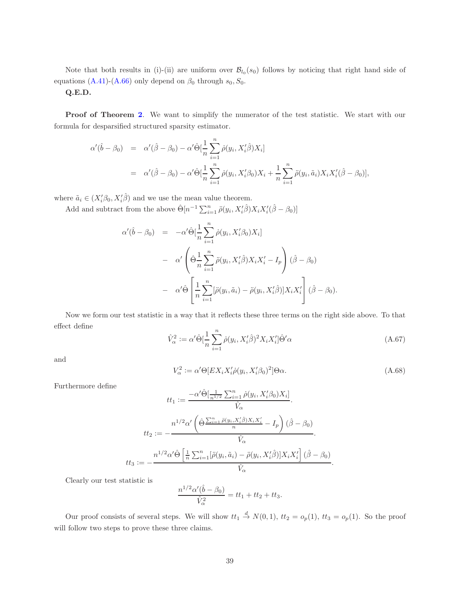Note that both results in (i)-(ii) are uniform over  $\mathcal{B}_{l_0}(s_0)$  follows by noticing that right hand side of equations [\(A.41\)](#page-54-1)-[\(A.66\)](#page-60-0) only depend on  $\beta_0$  through  $s_0$ ,  $S_0$ .

### Q.E.D.

**Proof of Theorem [2](#page-18-0).** We want to simplify the numerator of the test statistic. We start with our formula for desparsified structured sparsity estimator.

$$
\alpha'(\hat{b} - \beta_0) = \alpha'(\hat{\beta} - \beta_0) - \alpha' \hat{\Theta}[\frac{1}{n} \sum_{i=1}^n \dot{\rho}(y_i, X_i'\hat{\beta})X_i]
$$
  
=  $\alpha'(\hat{\beta} - \beta_0) - \alpha' \hat{\Theta}[\frac{1}{n} \sum_{i=1}^n \dot{\rho}(y_i, X_i'\beta_0)X_i + \frac{1}{n} \sum_{i=1}^n \ddot{\rho}(y_i, \tilde{a}_i)X_iX_i'(\hat{\beta} - \beta_0)],$ 

where  $\tilde{a}_i \in (X_i'\beta_0, X_i'\hat{\beta})$  and we use the mean value theorem.

 $\alpha'$ 

Add and subtract from the above  $\hat{\Theta}[n^{-1}\sum_{i=1}^{n}\ddot{\rho}(y_i, X_i'\hat{\beta})X_iX_i'(\hat{\beta}-\beta_0)]$ 

$$
(\hat{b} - \beta_0) = -\alpha' \hat{\Theta} \left[ \frac{1}{n} \sum_{i=1}^n \dot{\rho}(y_i, X_i' \beta_0) X_i \right]
$$
  

$$
- \alpha' \left( \hat{\Theta} \frac{1}{n} \sum_{i=1}^n \ddot{\rho}(y_i, X_i' \hat{\beta}) X_i X_i' - I_p \right) (\hat{\beta} - \beta_0)
$$
  

$$
- \alpha' \hat{\Theta} \left[ \frac{1}{n} \sum_{i=1}^n [\ddot{\rho}(y_i, \tilde{a}_i) - \ddot{\rho}(y_i, X_i' \hat{\beta})] X_i X_i' \right] (\hat{\beta} - \beta_0).
$$

Now we form our test statistic in a way that it reflects these three terms on the right side above. To that effect define

$$
\hat{V}_{\alpha}^{2} := \alpha' \hat{\Theta} \left[\frac{1}{n} \sum_{i=1}^{n} \dot{\rho}(y_i, X_i' \hat{\beta})^2 X_i X_i' \right] \hat{\Theta}' \alpha \tag{A.67}
$$

and

$$
V_{\alpha}^{2} := \alpha' \Theta \left[ EX_{i} X_{i}' \dot{\rho} (y_{i}, X_{i}' \beta_{0})^{2} \right] \Theta \alpha.
$$
\n(A.68)

Furthermore define

$$
tt_1 := \frac{-\alpha' \hat{\Theta}[\frac{1}{n^{1/2}} \sum_{i=1}^n \dot{\rho}(y_i, X_i'\beta_0) X_i]}{\hat{V}_{\alpha}}.
$$

$$
tt_2 := -\frac{n^{1/2} \alpha' \left(\hat{\Theta}^{\frac{n}{2}} \frac{\sum_{i=1}^n \ddot{\rho}(y_i, X_i'\hat{\beta}) X_i X_i'}{n} - I_p\right) (\hat{\beta} - \beta_0)}{\hat{V}_{\alpha}}.
$$

$$
tt_3 := -\frac{n^{1/2} \alpha' \hat{\Theta}[\frac{1}{n} \sum_{i=1}^n [\ddot{\rho}(y_i, \tilde{a}_i) - \ddot{\rho}(y_i, X_i'\hat{\beta})] X_i X_i'] (\hat{\beta} - \beta_0)}{\hat{V}_{\alpha}}.
$$

Clearly our test statistic is

$$
\frac{n^{1/2}\alpha'(\hat{b} - \beta_0)}{\hat{V}_\alpha^2} = tt_1 + tt_2 + tt_3.
$$

Our proof consists of several steps. We will show  $tt_1 \stackrel{d}{\to} N(0,1)$ ,  $tt_2 = o_p(1)$ ,  $tt_3 = o_p(1)$ . So the proof will follow two steps to prove these three claims.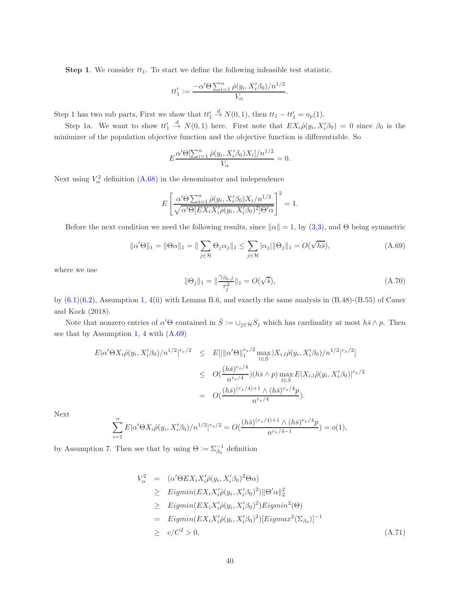**Step 1.** We consider  $tt_1$ . To start we define the following infeasible test statistic.

$$
tt_1' := \frac{-\alpha' \Theta \sum_{i=1}^n \dot{\rho}(y_i, X_i' \beta_0)/n^{1/2}}{V_{\alpha}}.
$$

Step 1 has two sub parts, First we show that  $tt'_1$  $\stackrel{d}{\to} N(0, 1)$ , then  $tt_1 - tt'_1 = o_p(1)$ .

Step 1a. We want to show  $tt'_1$  $\stackrel{d}{\rightarrow} N(0,1)$  here. First note that  $EX_i\dot{\rho}(y_i,X_i'\beta_0) = 0$  since  $\beta_0$  is the minimizer of the population objective function and the objective function is differentiable. So

$$
E \frac{\alpha' \Theta[\sum_{i=1}^{n} \dot{\rho}(y_i, X_i' \beta_0) X_i]/n^{1/2}}{V_{\alpha}} = 0.
$$

Next using  $V_\alpha^2$  definition [\(A.68\)](#page-60-1) in the denominator and independence

$$
E\left[\frac{\alpha'\Theta\sum_{i=1}^n \dot{\rho}(y_i, X_i'\beta_0)X_i/n^{1/2}}{\sqrt{\alpha'\Theta[EX_iX_i'\dot{\rho}(y_i, X_i'\beta_0)^2]\Theta'\alpha}}\right]^2 = 1.
$$

Before the next condition we need the following results, since  $\|\alpha\| = 1$ , by [\(3.3\)](#page-8-2), and Θ being symmetric

$$
\|\alpha'\Theta\|_1 = \|\Theta\alpha\|_1 = \|\sum_{j\in\mathcal{H}} \Theta_j\alpha_j\|_1 \le \sum_{j\in\mathcal{H}} |\alpha_j| \|\Theta_j\|_1 = O(\sqrt{h\bar{s}}),
$$
\n(A.69)

where we use

<span id="page-39-1"></span>
$$
\|\Theta_j\|_1 = \|\frac{\gamma_{\beta_0,j}}{\tau_j^2}\|_1 = O(\sqrt{\overline{s}}),\tag{A.70}
$$

by  $(6.1)(6.2)$  $(6.1)(6.2)$ , Assumption [1,](#page-8-0) [4\(](#page-9-1)ii) with Lemma B.6, and exactly the same analysis in  $(B.48)-(B.55)$  of Caner and Kock (2018).

Note that nonzero entries of  $\alpha' \Theta$  contained in  $\overline{S} := \cup_{j \in \mathcal{H}} S_j$  which has cardinality at most  $h\overline{s} \wedge p$ . Then see that by Assumption [1,](#page-8-0) [4](#page-9-1) with [\(A.69\)](#page-60-2)

$$
E|\alpha'\Theta X_i\dot{\rho}(y_i, X_i'\beta_0)/n^{1/2}|^{r_x/2} \leq E[||\alpha'\Theta||_1^{r_x/2} \max_{l\in \overline{S}} |X_{i,l}\dot{\rho}(y_i, X_i'\beta_0)/n^{1/2}|^{r_x/2}]
$$
  

$$
\leq O(\frac{(h\overline{s})^{r_x/4}}{n^{r_x/4}})(h\overline{s}\wedge p) \max_{l\in \overline{S}} E|X_{i,l}\ddot{\rho}(y_i, X_i'\beta_0)|^{r_x/2}
$$
  

$$
= O(\frac{(h\overline{s})^{(r_x/4)+1}\wedge (h\overline{s})^{r_x/4}p}{n^{r_x/4}}).
$$

Next

$$
\sum_{i=1}^{n} E|\alpha' \Theta X_i \dot{\rho}(y_i, X_i' \beta_0)/n^{1/2}|^{r_x/2} = O(\frac{(h\bar{s})^{(r_x/4)+1} \wedge (h\bar{s})^{r_x/4}p}{n^{r_x/4-1}}) = o(1),
$$

by Assumption [7.](#page-17-0) Then see that by using  $\Theta := \sum_{\beta_0}^{-1}$  definition

<span id="page-39-0"></span>
$$
V_{\alpha}^{2} = (\alpha' \Theta E X_{i} X_{i}' \dot{\rho}(y_{i}, X_{i}' \beta_{0})^{2} \Theta \alpha)
$$
  
\n
$$
\geq Eigmin(E X_{i} X_{i}' \dot{\rho}(y_{i}, X_{i}' \beta_{0})^{2}) ||\Theta' \alpha||_{2}^{2}
$$
  
\n
$$
\geq Eigmin(E X_{i} X_{i}' \dot{\rho}(y_{i}, X_{i}' \beta_{0})^{2}) Eigmin^{2}(\Theta)
$$
  
\n
$$
= Eigmin(E X_{i} X_{i}' \dot{\rho}(y_{i}, X_{i}' \beta_{0})^{2}) [Eigmax^{2}(\Sigma_{\beta_{0}})]^{-1}
$$
  
\n
$$
\geq c/C^{2} > 0,
$$
 (A.71)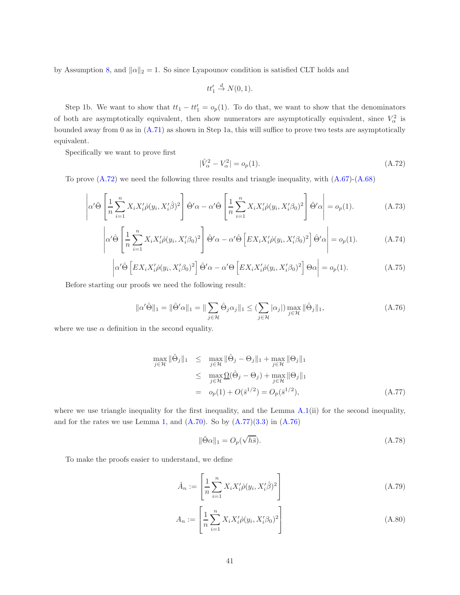by Assumption [8,](#page-17-1) and  $\|\alpha\|_2 = 1$ . So since Lyapounov condition is satisfied CLT holds and

$$
tt'_1 \stackrel{d}{\to} N(0,1).
$$

Step 1b. We want to show that  $tt_1 - tt'_1 = o_p(1)$ . To do that, we want to show that the denominators of both are asymptotically equivalent, then show numerators are asymptotically equivalent, since  $V^2_{\alpha}$  is bounded away from 0 as in [\(A.71\)](#page-39-0) as shown in Step 1a, this will suffice to prove two tests are asymptotically equivalent.

Specifically we want to prove first

<span id="page-40-0"></span>
$$
|\hat{V}_{\alpha}^2 - V_{\alpha}^2| = o_p(1). \tag{A.72}
$$

To prove [\(A.72\)](#page-40-0) we need the following three results and triangle inequality, with [\(A.67\)](#page-60-3)-[\(A.68\)](#page-60-1)

<span id="page-40-3"></span>
$$
\left|\alpha'\hat{\Theta}\left[\frac{1}{n}\sum_{i=1}^{n}X_{i}X_{i}'\dot{\rho}(y_{i},X_{i}'\hat{\beta})^{2}\right]\hat{\Theta}'\alpha-\alpha'\hat{\Theta}\left[\frac{1}{n}\sum_{i=1}^{n}X_{i}X_{i}'\dot{\rho}(y_{i},X_{i}'\beta_{0})^{2}\right]\hat{\Theta}'\alpha\right|=o_{p}(1).
$$
 (A.73)

<span id="page-40-5"></span>
$$
\left| \alpha' \hat{\Theta} \left[ \frac{1}{n} \sum_{i=1}^{n} X_i X_i' \hat{\rho}(y_i, X_i' \beta_0)^2 \right] \hat{\Theta}' \alpha - \alpha' \hat{\Theta} \left[ E X_i X_i' \hat{\rho}(y_i, X_i' \beta_0)^2 \right] \hat{\Theta}' \alpha \right| = o_p(1).
$$
 (A.74)

<span id="page-40-6"></span>
$$
\left| \alpha' \hat{\Theta} \left[ E X_i X_i' \dot{\rho} (y_i, X_i' \beta_0)^2 \right] \hat{\Theta}' \alpha - \alpha' \Theta \left[ E X_i X_i' \dot{\rho} (y_i, X_i' \beta_0)^2 \right] \Theta \alpha \right| = o_p(1).
$$
 (A.75)

Before starting our proofs we need the following result:

<span id="page-40-2"></span>
$$
\|\alpha'\hat{\Theta}\|_1 = \|\hat{\Theta}'\alpha\|_1 = \|\sum_{j\in\mathcal{H}} \hat{\Theta}_j\alpha_j\|_1 \leq (\sum_{j\in\mathcal{H}}|\alpha_j|) \max_{j\in\mathcal{H}} \|\hat{\Theta}_j\|_1,
$$
\n(A.76)

where we use  $\alpha$  definition in the second equality.

<span id="page-40-1"></span>
$$
\max_{j \in \mathcal{H}} \|\hat{\Theta}_j\|_1 \leq \max_{j \in \mathcal{H}} \|\hat{\Theta}_j - \Theta_j\|_1 + \max_{j \in \mathcal{H}} \|\Theta_j\|_1
$$
  
\n
$$
\leq \max_{j \in \mathcal{H}} \underline{\Omega}(\hat{\Theta}_j - \Theta_j) + \max_{j \in \mathcal{H}} \|\Theta_j\|_1
$$
  
\n
$$
= o_p(1) + O(\bar{s}^{1/2}) = O_p(\bar{s}^{1/2}), \qquad (A.77)
$$

where we use triangle inequality for the first inequality, and the Lemma [A.1\(](#page-46-0)ii) for the second inequality, and for the rates we use Lemma [1,](#page-16-1) and  $(A.70)$ . So by  $(A.77)(3.3)$  $(A.77)(3.3)$  in  $(A.76)$ 

<span id="page-40-4"></span>
$$
\|\hat{\Theta}\alpha\|_1 = O_p(\sqrt{h\bar{s}}). \tag{A.78}
$$

To make the proofs easier to understand, we define

$$
\hat{A}_n := \left[ \frac{1}{n} \sum_{i=1}^n X_i X_i' \dot{\rho}(y_i, X_i' \hat{\beta})^2 \right]
$$
\n(A.79)

$$
A_n := \left[ \frac{1}{n} \sum_{i=1}^n X_i X_i' \dot{\rho}(y_i, X_i' \beta_0)^2 \right]
$$
 (A.80)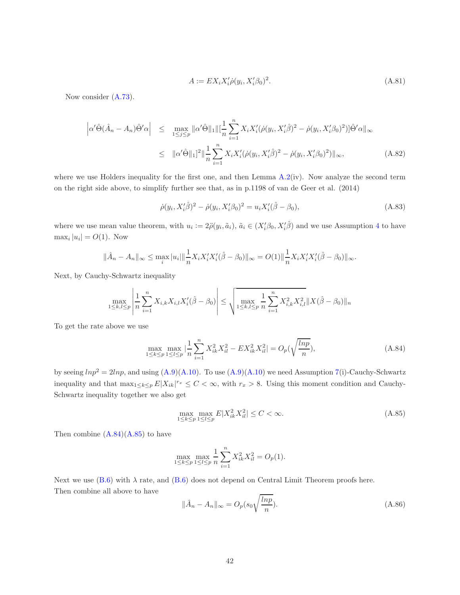$$
A := EX_i X_i' \dot{\rho}(y_i, X_i' \beta_0)^2. \tag{A.81}
$$

Now consider [\(A.73\)](#page-40-3).

<span id="page-41-2"></span>
$$
\left| \alpha' \hat{\Theta} (\hat{A}_n - A_n) \hat{\Theta}' \alpha \right| \leq \max_{1 \leq j \leq p} \| \alpha' \hat{\Theta} \|_1 \| [\frac{1}{n} \sum_{i=1}^n X_i X_i' (\dot{\rho}(y_i, X_i' \hat{\beta})^2 - \dot{\rho}(y_i, X_i' \beta_0)^2)] \hat{\Theta}' \alpha \|_{\infty}
$$
  

$$
\leq \| \alpha' \hat{\Theta} \|_1 ]^2 \| \frac{1}{n} \sum_{i=1}^n X_i X_i' (\dot{\rho}(y_i, X_i' \hat{\beta})^2 - \dot{\rho}(y_i, X_i' \beta_0)^2) \|_{\infty},
$$
(A.82)

where we use Holders inequality for the first one, and then Lemma [A.2\(](#page-47-0)iv). Now analyze the second term on the right side above, to simplify further see that, as in p.1198 of van de Geer et al. (2014)

$$
\dot{\rho}(y_i, X_i'\hat{\beta})^2 - \dot{\rho}(y_i, X_i'\beta_0)^2 = u_i X_i'(\hat{\beta} - \beta_0),\tag{A.83}
$$

where we use mean value theorem, with  $u_i := 2\ddot{\rho}(y_i, \tilde{a}_i), \tilde{a}_i \in (X_i' \beta_0, X_i' \hat{\beta})$  and we use Assumption [4](#page-9-1) to have  $\max_i |u_i| = O(1)$ . Now

$$
\|\hat{A}_n - A_n\|_{\infty} \leq \max_i |u_i| \|\frac{1}{n} X_i X_i' X_i' (\hat{\beta} - \beta_0) \|_{\infty} = O(1) \|\frac{1}{n} X_i X_i' X_i' (\hat{\beta} - \beta_0) \|_{\infty}.
$$

Next, by Cauchy-Schwartz inequality

$$
\max_{1 \leq k,l \leq p} \left| \frac{1}{n} \sum_{i=1}^{n} X_{i,k} X_{i,l} X_i'(\hat{\beta} - \beta_0) \right| \leq \sqrt{\max_{1 \leq k,l \leq p} \frac{1}{n} \sum_{i=1}^{n} X_{i,k}^2 X_{i,l}^2} \| X(\hat{\beta} - \beta_0) \|_n
$$

To get the rate above we use

<span id="page-41-0"></span>
$$
\max_{1 \le k \le p} \max_{1 \le l \le p} |\frac{1}{n} \sum_{i=1}^{n} X_{ik}^2 X_{il}^2 - EX_{ik}^2 X_{il}^2| = O_p(\sqrt{\frac{ln p}{n}}),
$$
\n(A.84)

by seeing  $ln p^2 = 2ln p$ , and using  $(A.9)(A.10)$  $(A.9)(A.10)$ . To use  $(A.9)(A.10)$  we need Assumption [7\(](#page-17-0)i)-Cauchy-Schwartz inequality and that  $\max_{1 \leq k \leq p} E|X_{ik}|^{r_x} \leq C < \infty$ , with  $r_x > 8$ . Using this moment condition and Cauchy-Schwartz inequality together we also get

<span id="page-41-1"></span>
$$
\max_{1 \le k \le p} \max_{1 \le l \le p} E|X_{ik}^2 X_{il}^2| \le C < \infty.
$$
\n(A.85)

Then combine  $(A.84)(A.85)$  $(A.84)(A.85)$  to have

$$
\max_{1 \le k \le p} \max_{1 \le l \le p} \frac{1}{n} \sum_{i=1}^n X_{ik}^2 X_{il}^2 = O_p(1).
$$

Next we use  $(B.6)$  with  $\lambda$  rate, and  $(B.6)$  does not depend on Central Limit Theorem proofs here. Then combine all above to have

<span id="page-41-3"></span>
$$
\|\hat{A}_n - A_n\|_{\infty} = O_p(s_0 \sqrt{\frac{\ln p}{n}}). \tag{A.86}
$$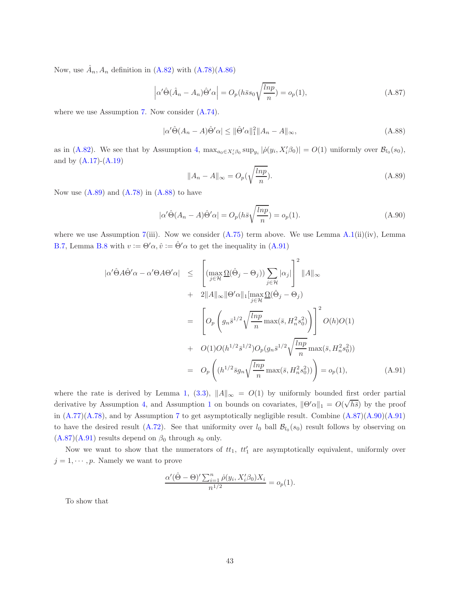Now, use  $\hat{A}_n$ ,  $A_n$  definition in [\(A.82\)](#page-41-2) with [\(A.78\)](#page-40-4)[\(A.86\)](#page-41-3)

<span id="page-42-3"></span>
$$
\left| \alpha' \hat{\Theta} (\hat{A}_n - A_n) \hat{\Theta}' \alpha \right| = O_p(h \bar{s} s_0 \sqrt{\frac{\ln p}{n}}) = o_p(1), \tag{A.87}
$$

where we use Assumption [7.](#page-17-0) Now consider [\(A.74\)](#page-40-5).

<span id="page-42-2"></span>
$$
|\alpha' \hat{\Theta}(A_n - A)\hat{\Theta}'\alpha| \le ||\hat{\Theta}'\alpha||_1^2 ||A_n - A||_{\infty},
$$
\n(A.88)

as in [\(A.82\)](#page-41-2). We see that by Assumption [4,](#page-9-1)  $\max_{a_0 \in X'_i \beta_0} \sup_{y_i} |\dot{\rho}(y_i, X'_i \beta_0)| = O(1)$  uniformly over  $\mathcal{B}_{l_0}(s_0)$ , and by  $(A.17)-(A.19)$  $(A.17)-(A.19)$ 

<span id="page-42-1"></span>
$$
||A_n - A||_{\infty} = O_p(\sqrt{\frac{\ln p}{n}}). \tag{A.89}
$$

Now use  $(A.89)$  and  $(A.78)$  in  $(A.88)$  to have

<span id="page-42-4"></span>
$$
|\alpha'\hat{\Theta}(A_n - A)\hat{\Theta}'\alpha| = O_p(h\bar{s}\sqrt{\frac{lnp}{n}}) = o_p(1).
$$
 (A.90)

where we use Assumption [7\(](#page-17-0)iii). Now we consider  $(A.75)$  term above. We use Lemma  $A.1(ii)(iv)$  $A.1(ii)(iv)$ , Lemma [B.7,](#page-60-4) Lemma [B.8](#page-60-5) with  $v := \Theta' \alpha$ ,  $\hat{v} := \hat{\Theta}' \alpha$  to get the inequality in [\(A.91\)](#page-42-0)

<span id="page-42-0"></span>
$$
|\alpha' \hat{\Theta} A \hat{\Theta}' \alpha - \alpha' \Theta A \Theta' \alpha| \leq \left[ (\max_{j \in \mathcal{H}} \Omega(\hat{\Theta}_j - \Theta_j)) \sum_{j \in \mathcal{H}} |\alpha_j| \right]^2 ||A||_{\infty}
$$
  
+ 
$$
2||A||_{\infty} ||\Theta' \alpha||_1 [\max_{j \in \mathcal{H}} \Omega(\hat{\Theta}_j - \Theta_j)
$$
  
= 
$$
\left[ O_p \left( g_n \bar{s}^{1/2} \sqrt{\frac{\ln p}{n}} \max(\bar{s}, H_n^2 s_0^2) \right) \right]^2 O(h)O(1)
$$
  
+ 
$$
O(1)O(h^{1/2} \bar{s}^{1/2}) O_p(g_n \bar{s}^{1/2} \sqrt{\frac{\ln p}{n}} \max(\bar{s}, H_n^2 s_0^2))
$$
  
= 
$$
O_p \left( (h^{1/2} \bar{s} g_n \sqrt{\frac{\ln p}{n}} \max(\bar{s}, H_n^2 s_0^2)) \right) = o_p(1), \quad (A.91)
$$

where the rate is derived by Lemma [1,](#page-16-1) [\(3.3\)](#page-8-2),  $||A||_{\infty} = O(1)$  by uniformly bounded first order partial derivative by Assumption [4,](#page-9-1) and Assumption [1](#page-8-0) on bounds on covariates,  $\|\Theta'\alpha\|_1 = O(\sqrt{h\bar{s}})$  by the proof in  $(A.77)(A.78)$  $(A.77)(A.78)$ , and by Assumption [7](#page-17-0) to get asymptotically negligible result. Combine  $(A.87)(A.90)(A.91)$  $(A.87)(A.90)(A.91)$  $(A.87)(A.90)(A.91)$ to have the desired result [\(A.72\)](#page-40-0). See that uniformity over  $l_0$  ball  $\mathcal{B}_{l_0}(s_0)$  result follows by observing on  $(A.87)(A.91)$  $(A.87)(A.91)$  results depend on  $\beta_0$  through  $s_0$  only.

Now we want to show that the numerators of  $tt_1$ ,  $tt'_1$  are asymptotically equivalent, uniformly over  $j = 1, \dots, p$ . Namely we want to prove

$$
\frac{\alpha'(\hat{\Theta} - \Theta)' \sum_{i=1}^n \dot{\rho}(y_i, X_i'\beta_0)X_i}{n^{1/2}} = o_p(1).
$$

To show that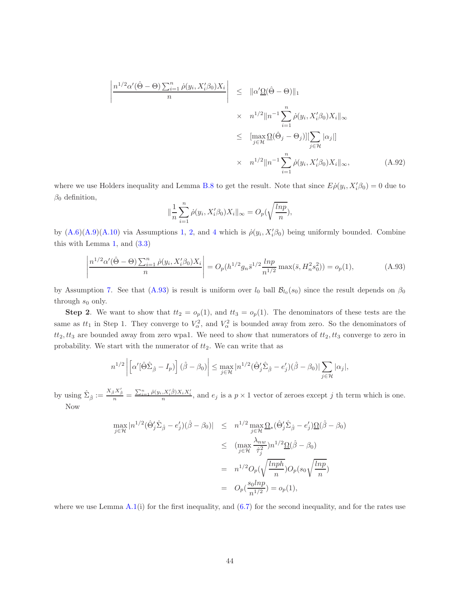$$
\left| \frac{n^{1/2} \alpha'(\hat{\Theta} - \Theta) \sum_{i=1}^{n} \dot{\rho}(y_i, X_i' \beta_0) X_i}{n} \right| \leq \| \alpha' \underline{\Omega}(\hat{\Theta} - \Theta) \|_1
$$
  
 
$$
\times n^{1/2} \| n^{-1} \sum_{i=1}^{n} \dot{\rho}(y_i, X_i' \beta_0) X_i \|_{\infty}
$$
  
 
$$
\leq \left[ \max_{j \in \mathcal{H}} \underline{\Omega}(\hat{\Theta}_j - \Theta_j) \right] \left[ \sum_{j \in \mathcal{H}} |\alpha_j| \right]
$$
  
 
$$
\times n^{1/2} \| n^{-1} \sum_{i=1}^{n} \dot{\rho}(y_i, X_i' \beta_0) X_i \|_{\infty}, \tag{A.92}
$$

where we use Holders inequality and Lemma [B.8](#page-60-5) to get the result. Note that since  $E\dot{\rho}(y_i, X_i'\beta_0) = 0$  due to  $\beta_0$  definition,

$$
\|\frac{1}{n}\sum_{i=1}^n \dot{\rho}(y_i, X_i'\beta_0)X_i\|_{\infty} = O_p(\sqrt{\frac{\ln p}{n}}),
$$

by  $(A.6)(A.9)(A.10)$  $(A.6)(A.9)(A.10)$  $(A.6)(A.9)(A.10)$  via Assumptions [1,](#page-8-0) [2,](#page-8-1) and [4](#page-9-1) which is  $\rho(y_i, X_i'\beta_0)$  being uniformly bounded. Combine this with Lemma [1,](#page-16-1) and  $(3.3)$ 

<span id="page-43-0"></span>
$$
\left| \frac{n^{1/2} \alpha'(\hat{\Theta} - \Theta) \sum_{i=1}^n \dot{\rho}(y_i, X_i' \beta_0) X_i}{n} \right| = O_p(h^{1/2} g_n \bar{s}^{1/2} \frac{\ln p}{n^{1/2}} \max(\bar{s}, H_n^2 s_0^2)) = o_p(1), \tag{A.93}
$$

by Assumption [7.](#page-17-0) See that [\(A.93\)](#page-43-0) is result is uniform over  $l_0$  ball  $\mathcal{B}_{l_0}(s_0)$  since the result depends on  $\beta_0$ through  $s_0$  only.

**Step 2.** We want to show that  $tt_2 = o_p(1)$ , and  $tt_3 = o_p(1)$ . The denominators of these tests are the same as  $tt_1$  in Step 1. They converge to  $V_\alpha^2$ , and  $V_\alpha^2$  is bounded away from zero. So the denominators of  $tt_2, tt_3$  are bounded away from zero wpa1. We need to show that numerators of  $tt_2, tt_3$  converge to zero in probability. We start with the numerator of  $tt_2$ . We can write that as

$$
n^{1/2} \left| \left[ \alpha'[\hat{\Theta} \hat{\Sigma}_{\hat{\beta}} - I_p) \right] (\hat{\beta} - \beta_0) \right| \leq \max_{j \in \mathcal{H}} |n^{1/2}(\hat{\Theta}'_j \hat{\Sigma}_{\hat{\beta}} - e'_j)(\hat{\beta} - \beta_0)| \sum_{j \in \mathcal{H}} |\alpha_j|,
$$

by using  $\hat{\Sigma}_{\hat{\beta}} := \frac{X_{\hat{\beta}}X'_{\hat{\beta}}}{n} = \frac{\sum_{i=1}^{n} \tilde{\rho}(y_i, X_i'\hat{\beta})X_iX_i'}{n}$ , and  $e_j$  is a  $p \times 1$  vector of zeroes except j th term which is one. Now

$$
\max_{j \in \mathcal{H}} |n^{1/2} (\hat{\Theta}'_j \hat{\Sigma}_{\hat{\beta}} - e'_j)(\hat{\beta} - \beta_0)| \leq n^{1/2} \max_{j \in \mathcal{H}} \Omega_*(\hat{\Theta}'_j \hat{\Sigma}_{\hat{\beta}} - e'_j) \Omega(\hat{\beta} - \beta_0)
$$
  

$$
\leq (\max_{j \in \mathcal{H}} \frac{\lambda_{nw}}{\hat{\tau}_j^2}) n^{1/2} \Omega(\hat{\beta} - \beta_0)
$$
  

$$
= n^{1/2} O_p(\sqrt{\frac{\ln p h}{n}}) O_p(s_0 \sqrt{\frac{\ln p}{n}})
$$
  

$$
= O_p(\frac{s_0 \ln p}{n^{1/2}}) = o_p(1),
$$

where we use Lemma  $A.1(i)$  $A.1(i)$  for the first inequality, and  $(6.7)$  for the second inequality, and for the rates use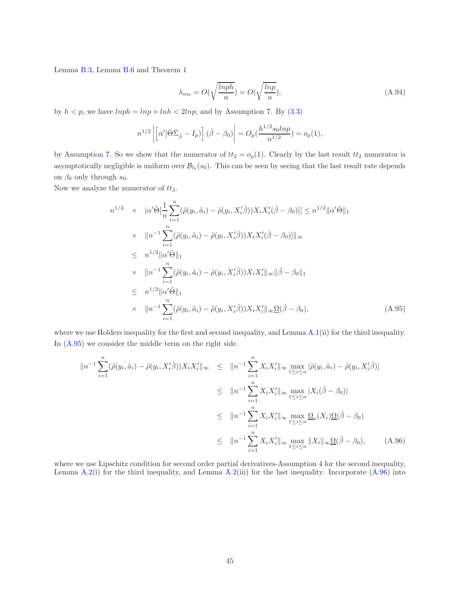Lemma [B.3,](#page-50-1) Lemma [B.6](#page-56-2) and Theorem [1](#page-10-0)

<span id="page-44-0"></span>
$$
\lambda_{nw} = O(\sqrt{\frac{\ln ph}{n}}) = O(\sqrt{\frac{\ln p}{n}}),\tag{A.94}
$$

by  $h < p$ , we have  $lnph = lnp + lnh < 2lnp$ , and by Assumption [7.](#page-17-0) By [\(3.3\)](#page-8-2)

$$
n^{1/2}\left|\left[\alpha'[\hat{\Theta}\hat{\Sigma}_{\hat{\beta}}-I_p)\right](\hat{\beta}-\beta_0)\right|=O_p(\frac{h^{1/2}s_0lnp}{n^{1/2}})=o_p(1),
$$

by Assumption [7.](#page-17-0) So we show that the numerator of  $tt_2 = o_p(1)$ . Clearly by the last result  $tt_2$  numerator is asymptotically negligible is uniform over  $\mathcal{B}_{l_0}(s_0)$ . This can be seen by seeing that the last result rate depends on  $\beta_0$  only through  $s_0$ .

Now we analyze the numerator of  $tt_3$ .

<span id="page-44-1"></span>
$$
n^{1/2} \times |\alpha'\hat{\Theta}[\frac{1}{n}\sum_{i=1}^{n}(\ddot{\rho}(y_i, \tilde{a}_i) - \ddot{\rho}(y_i, X_i'\hat{\beta}))X_iX_i'(\hat{\beta} - \beta_0)]| \leq n^{1/2}||\alpha'\hat{\Theta}||_1
$$
  
\n
$$
\times ||n^{-1}\sum_{i=1}^{n}(\ddot{\rho}(y_i, \tilde{a}_i) - \ddot{\rho}(y_i, X_i'\hat{\beta}))X_iX_i'(\hat{\beta} - \beta_0)]||_{\infty}
$$
  
\n
$$
\leq n^{1/2}||\alpha'\hat{\Theta}||_1
$$
  
\n
$$
\times ||n^{-1}\sum_{i=1}^{n}(\ddot{\rho}(y_i, \tilde{a}_i) - \ddot{\rho}(y_i, X_i'\hat{\beta}))X_iX_i'||_{\infty}||\hat{\beta} - \beta_0||_1
$$
  
\n
$$
\leq n^{1/2}||\alpha'\hat{\Theta}||_1
$$
  
\n
$$
\times ||n^{-1}\sum_{i=1}^{n}(\ddot{\rho}(y_i, \tilde{a}_i) - \ddot{\rho}(y_i, X_i'\hat{\beta}))X_iX_i'||_{\infty}\Omega(\hat{\beta} - \beta_0), \qquad (A.95)
$$

where we use Holders inequality for the first and second inequality, and Lemma [A.1\(](#page-46-0)ii) for the third inequality. In [\(A.95\)](#page-44-1) we consider the middle term on the right side.

<span id="page-44-2"></span>
$$
\|n^{-1} \sum_{i=1}^{n} (\ddot{\rho}(y_i, \tilde{a}_i) - \ddot{\rho}(y_i, X'_i \hat{\beta})) X_i X'_i \|_{\infty} \leq \|n^{-1} \sum_{i=1}^{n} X_i X'_i \|_{\infty} \max_{1 \leq i \leq n} |\ddot{\rho}(y_i, \tilde{a}_i) - \ddot{\rho}(y_i, X'_i \hat{\beta})|
$$
  
\n
$$
\leq \|n^{-1} \sum_{i=1}^{n} X_i X'_i \|_{\infty} \max_{1 \leq i \leq n} |X_i(\hat{\beta} - \beta_0)|
$$
  
\n
$$
\leq \|n^{-1} \sum_{i=1}^{n} X_i X'_i \|_{\infty} \max_{1 \leq i \leq n} \Omega_*(X_i) \Omega(\hat{\beta} - \beta_0)
$$
  
\n
$$
\leq \|n^{-1} \sum_{i=1}^{n} X_i X'_i \|_{\infty} \max_{1 \leq i \leq n} \|X_i\|_{\infty} \Omega(\hat{\beta} - \beta_0), \qquad (A.96)
$$

where we use Lipschitz condition for second order partial derivatives-Assumption [4](#page-9-1) for the second inequality, Lemma  $A.2(i)$  $A.2(i)$  for the third inequality, and Lemma  $A.2(iii)$  for the last inequality. Incorporate  $(A.96)$  into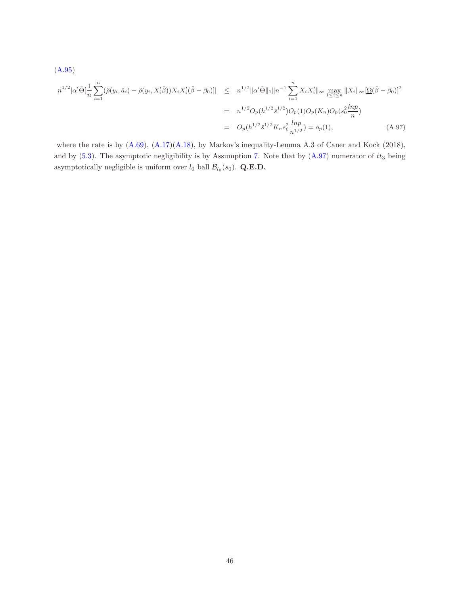<span id="page-45-0"></span>
$$
(A.95)
$$
\n
$$
n^{1/2} |\alpha' \hat{\Theta}| \frac{1}{n} \sum_{i=1}^{n} (\ddot{\rho}(y_i, \tilde{a}_i) - \ddot{\rho}(y_i, X'_i \hat{\beta})) X_i X'_i (\hat{\beta} - \beta_0)] | \leq n^{1/2} ||\alpha' \hat{\Theta}||_1 ||n^{-1} \sum_{i=1}^{n} X_i X'_i ||_{\infty} \max_{1 \leq i \leq n} ||X_i||_{\infty} [\Omega(\hat{\beta} - \beta_0)]^2
$$
\n
$$
= n^{1/2} O_p(h^{1/2} \bar{s}^{1/2}) O_p(1) O_p(K_n) O_p(s_0^2 \frac{\ln p}{n})
$$
\n
$$
= O_p(h^{1/2} \bar{s}^{1/2} K_n s_0^2 \frac{\ln p}{n^{1/2}}) = o_p(1), \qquad (A.97)
$$

where the rate is by  $(A.69)$ ,  $(A.17)(A.18)$  $(A.17)(A.18)$ , by Markov's inequality-Lemma A.3 of Caner and Kock (2018), and by  $(5.3)$ . The asymptotic negligibility is by Assumption [7.](#page-17-0) Note that by  $(A.97)$  numerator of  $tt_3$  being asymptotically negligible is uniform over  $l_0$  ball  $\mathcal{B}_{l_0}(s_0)$ . Q.E.D.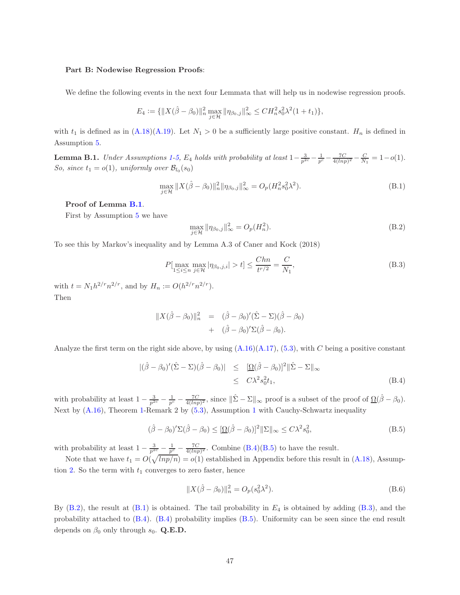#### Part B: Nodewise Regression Proofs:

We define the following events in the next four Lemmata that will help us in nodewise regression proofs.

$$
E_4 := \{ ||X(\hat{\beta} - \beta_0)||_{n}^2 \max_{j \in \mathcal{H}} ||\eta_{\beta_0,j}||_{\infty}^2 \leq C H_n^2 s_0^2 \lambda^2 (1 + t_1) \},\
$$

with  $t_1$  is defined as in  $(A.18)(A.19)$  $(A.18)(A.19)$ . Let  $N_1 > 0$  be a sufficiently large positive constant.  $H_n$  is defined in Assumption [5.](#page-14-2)

<span id="page-46-0"></span>**Lemma B.[1](#page-8-0).** Under Assumptions 1[-5,](#page-14-2) E<sub>4</sub> holds with probability at least  $1 - \frac{3}{p^{2c}} - \frac{1}{p^c} - \frac{7C}{4(lnp)^2} - \frac{C}{N_1} = 1 - o(1)$ . So, since  $t_1 = o(1)$ , uniformly over  $\mathcal{B}_{l_0}(s_0)$ 

<span id="page-46-1"></span>
$$
\max_{j \in \mathcal{H}} \| X(\hat{\beta} - \beta_0) \|_n^2 \| \eta_{\beta_0, j} \|_\infty^2 = O_p(H_n^2 s_0^2 \lambda^2).
$$
 (B.1)

### Proof of Lemma [B.1](#page-46-0).

First by Assumption [5](#page-14-2) we have

<span id="page-46-2"></span>
$$
\max_{j \in \mathcal{H}} \|\eta_{\beta_0,j}\|_{\infty}^2 = O_p(H_n^2). \tag{B.2}
$$

To see this by Markov's inequality and by Lemma A.3 of Caner and Kock (2018)

<span id="page-46-3"></span>
$$
P[\max_{1 \le i \le n} \max_{j \in \mathcal{H}} |\eta_{\beta_0, j, i}| > t] \le \frac{Chn}{t^{r/2}} = \frac{C}{N_1},
$$
\n(B.3)

with  $t = N_1 h^{2/r} n^{2/r}$ , and by  $H_n := O(h^{2/r} n^{2/r})$ . Then

$$
||X(\hat{\beta} - \beta_0)||_n^2 = (\hat{\beta} - \beta_0)'(\hat{\Sigma} - \Sigma)(\hat{\beta} - \beta_0)
$$
  
+ 
$$
(\hat{\beta} - \beta_0)' \Sigma(\hat{\beta} - \beta_0).
$$

Analyze the first term on the right side above, by using  $(A.16)(A.17)$  $(A.16)(A.17)$ ,  $(5.3)$ , with C being a positive constant

<span id="page-46-6"></span>
$$
\begin{aligned} |(\hat{\beta} - \beta_0)'(\hat{\Sigma} - \Sigma)(\hat{\beta} - \beta_0)| &\leq \quad & [\underline{\Omega}(\hat{\beta} - \beta_0)]^2 \|\hat{\Sigma} - \Sigma\|_{\infty} \\ &\leq \quad & C\lambda^2 s_0^2 t_1, \end{aligned} \tag{B.4}
$$

with probability at least  $1 - \frac{3}{p^{2c}} - \frac{1}{p^c} - \frac{7C}{4(lnp)^2}$ , since  $\|\hat{\Sigma} - \Sigma\|_{\infty}$  proof is a subset of the proof of  $\underline{\Omega}(\hat{\beta} - \beta_0)$ . Next by [\(A.16\)](#page-48-2), Theorem [1-](#page-10-0)Remark 2 by [\(5.3\)](#page-11-1), Assumption [1](#page-8-0) with Cauchy-Schwartz inequality

<span id="page-46-4"></span>
$$
(\hat{\beta} - \beta_0)' \Sigma (\hat{\beta} - \beta_0) \leq [\Omega(\hat{\beta} - \beta_0)]^2 ||\Sigma||_{\infty} \leq C\lambda^2 s_0^2,
$$
\n(B.5)

with probability at least  $1 - \frac{3}{p^{2c}} - \frac{1}{p^c} - \frac{7C}{4(lnp)^2}$ . Combine [\(B.4\)](#page-46-6)[\(B.5\)](#page-46-4) to have the result.

Note that we have  $t_1 = O(\sqrt{lnp/n}) = o(1)$  established in Appendix before this result in [\(A.18\)](#page-49-0), Assump-tion [2.](#page-8-1) So the term with  $t_1$  converges to zero faster, hence

<span id="page-46-5"></span>
$$
||X(\hat{\beta} - \beta_0)||_n^2 = O_p(s_0^2 \lambda^2).
$$
 (B.6)

By  $(B.2)$ , the result at  $(B.1)$  is obtained. The tail probability in  $E_4$  is obtained by adding  $(B.3)$ , and the probability attached to [\(B.4\)](#page-46-6). [\(B.4\)](#page-46-6) probability implies [\(B.5\)](#page-46-4). Uniformity can be seen since the end result depends on  $\beta_0$  only through  $s_0$ . Q.E.D.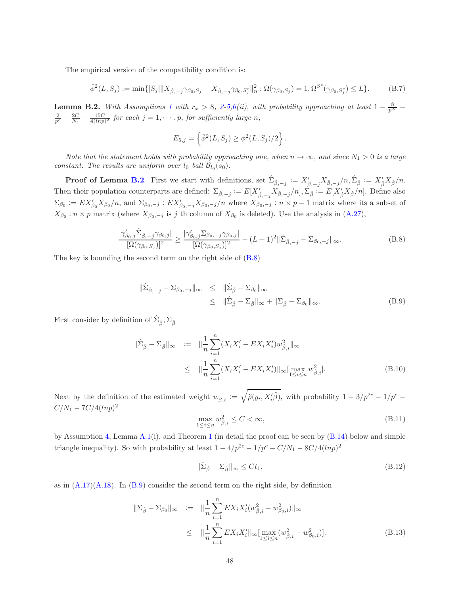The empirical version of the compatibility condition is:

$$
\hat{\phi}^2(L, S_j) := \min\{|S_j| \|X_{\hat{\beta}, -j} \gamma_{\beta_0, S_j} - X_{\hat{\beta}, -j} \gamma_{\beta_0, S_j^c} \|_n^2 : \Omega(\gamma_{\beta_0, S_j}) = 1, \Omega^{S^c}(\gamma_{\beta_0, S_j^c}) \le L\}.
$$
 (B.7)

<span id="page-47-0"></span>**Lemma B.[2](#page-8-1).** With Assumptions [1](#page-8-0) with  $r_x > 8$ , 2[-5](#page-14-2)[,6\(](#page-15-0)ii), with probability approaching at least  $1 - \frac{8}{p^{2c}}$  $\frac{2}{p^c} - \frac{2C}{N_1} - \frac{15C}{4(lnp)^2}$  for each  $j = 1, \dots, p$ , for sufficiently large n,

$$
E_{5,j} = \left\{ \hat{\phi}^2(L, S_j) \ge \phi^2(L, S_j)/2 \right\}.
$$

Note that the statement holds with probability approaching one, when  $n \to \infty$ , and since  $N_1 > 0$  is a large constant. The results are uniform over  $l_0$  ball  $\mathcal{B}_{l_0}(s_0)$ .

**Proof of Lemma [B.2](#page-47-0).** First we start with definitions, set  $\hat{\Sigma}_{\hat{\beta},-j} := X'_{\hat{\beta},-j} X_{\hat{\beta},-j}/n$ ,  $\hat{\Sigma}_{\hat{\beta}} := X'_{\hat{\beta}} X_{\hat{\beta}}/n$ . Then their population counterparts are defined:  $\Sigma_{\hat{\beta},-j} := E[X'_{\hat{\beta},-j}X_{\hat{\beta},-j}/n], \Sigma_{\hat{\beta}} := E[X'_{\hat{\beta}}X_{\hat{\beta}}/n].$  Define also  $\Sigma_{\beta_0} := EX'_{\beta_0} X_{\beta_0}/n$ , and  $\Sigma_{\beta_0,-j} : EX'_{\beta_0,-j} X_{\beta_0,-j}/n$  where  $X_{\beta_0,-j} : n \times p-1$  matrix where its a subset of  $X_{\beta_0}: n \times p$  matrix (where  $X_{\beta_0,-j}$  is j th column of  $X_{\beta_0}$  is deleted). Use the analysis in [\(A.27\)](#page-52-0),

<span id="page-47-1"></span>
$$
\frac{|\gamma'_{\beta_0,j}\hat{\Sigma}_{\hat{\beta},-j}\gamma_{\beta_0,j}|}{[\Omega(\gamma_{\beta_0,S_j})]^2} \ge \frac{|\gamma'_{\beta_0,j}\Sigma_{\beta_0,-j}\gamma_{\beta_0,j}|}{[\Omega(\gamma_{\beta_0,S_j})]^2} - (L+1)^2 \|\hat{\Sigma}_{\hat{\beta},-j} - \Sigma_{\beta_0,-j}\|_{\infty}.
$$
 (B.8)

The key is bounding the second term on the right side of [\(B.8\)](#page-47-1)

<span id="page-47-2"></span>
$$
\|\hat{\Sigma}_{\hat{\beta},-j} - \Sigma_{\beta_0,-j}\|_{\infty} \leq \|\hat{\Sigma}_{\hat{\beta}} - \Sigma_{\beta_0}\|_{\infty} \leq \|\hat{\Sigma}_{\hat{\beta}} - \Sigma_{\hat{\beta}}\|_{\infty} + \|\Sigma_{\hat{\beta}} - \Sigma_{\beta_0}\|_{\infty}.
$$
\n(B.9)

First consider by definition of  $\hat{\Sigma}_{\hat{\beta}}, \Sigma_{\hat{\beta}}$ 

<span id="page-47-3"></span>
$$
\|\hat{\Sigma}_{\hat{\beta}} - \Sigma_{\hat{\beta}}\|_{\infty} := \|\frac{1}{n} \sum_{i=1}^{n} (X_i X_i' - E X_i X_i') w_{\hat{\beta},i}^2\|_{\infty} \leq \|\frac{1}{n} \sum_{i=1}^{n} (X_i X_i' - E X_i X_i')\|_{\infty} [\max_{1 \le i \le n} w_{\hat{\beta},i}^2].
$$
\n(B.10)

Next by the definition of the estimated weight  $w_{\hat{\beta},i} := \sqrt{\ddot{\rho}(y_i, X_i'\hat{\beta})}$ , with probability  $1 - 3/p^{2c} - 1/p^c$  $C/N_1 - 7C/4(lnp)^2$ 

$$
\max_{1 \le i \le n} w_{\hat{\beta},i}^2 \le C < \infty,\tag{B.11}
$$

by Assumption [4,](#page-9-1) Lemma  $A.1(i)$  $A.1(i)$ , and Theorem [1](#page-10-0) (in detail the proof can be seen by  $(B.14)$  below and simple triangle inequality). So with probability at least  $1 - 4/p^{2c} - 1/p^c - C/N_1 - 8C/4(lnp)^2$ 

<span id="page-47-5"></span>
$$
\|\hat{\Sigma}_{\hat{\beta}} - \Sigma_{\hat{\beta}}\|_{\infty} \le Ct_1,
$$
\n(B.12)

as in  $(A.17)(A.18)$  $(A.17)(A.18)$ . In  $(B.9)$  consider the second term on the right side, by definition

<span id="page-47-4"></span>
$$
\|\Sigma_{\hat{\beta}} - \Sigma_{\beta_0}\|_{\infty} := \|\frac{1}{n} \sum_{i=1}^n EX_i X_i'(w_{\hat{\beta},i}^2 - w_{\beta_0,i}^2)\|_{\infty}
$$
  
\n
$$
\leq \|\frac{1}{n} \sum_{i=1}^n EX_i X_i'\|_{\infty} [\max_{1 \leq i \leq n} (w_{\hat{\beta},i}^2 - w_{\beta_0,i}^2)].
$$
\n(B.13)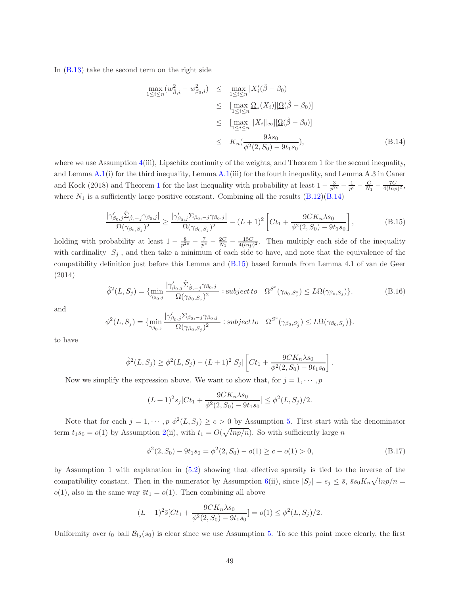In [\(B.13\)](#page-47-4) take the second term on the right side

<span id="page-48-0"></span>
$$
\max_{1 \le i \le n} (w_{\beta,i}^2 - w_{\beta_0,i}^2) \le \max_{1 \le i \le n} |X_i'(\hat{\beta} - \beta_0)|
$$
  
\n
$$
\le \left[ \max_{1 \le i \le n} \Omega_*(X_i) \right] [\Omega(\hat{\beta} - \beta_0)]
$$
  
\n
$$
\le \left[ \max_{1 \le i \le n} \|X_i\|_{\infty} \right] [\Omega(\hat{\beta} - \beta_0)]
$$
  
\n
$$
\le K_n(\frac{9\lambda s_0}{\phi^2(2, S_0) - 9t_1 s_0}), \quad (B.14)
$$

where we use Assumption  $4(iii)$  $4(iii)$ , Lipschitz continuity of the weights, and Theorem 1 for the second inequality, and Lemma [A.1\(](#page-46-0)i) for the third inequality, Lemma [A.1\(](#page-46-0)iii) for the fourth inequality, and Lemma A.3 in Caner and Kock (20[1](#page-10-0)8) and Theorem 1 for the last inequality with probability at least  $1 - \frac{3}{p^{2c}} - \frac{1}{p^c} - \frac{C}{N_1} - \frac{7C}{4(lnp)^2}$ , where  $N_1$  is a sufficiently large positive constant. Combining all the results  $(B.12)(B.14)$  $(B.12)(B.14)$ 

<span id="page-48-1"></span>
$$
\frac{|\gamma'_{\beta_0,j}\hat{\Sigma}_{\hat{\beta},-j}\gamma_{\beta_0,j}|}{\Omega(\gamma_{\beta_0,S_j})^2} \ge \frac{|\gamma'_{\beta_0,j}\Sigma_{\beta_0,-j}\gamma_{\beta_0,j}|}{\Omega(\gamma_{\beta_0,S_j})^2} - (L+1)^2 \left[ Ct_1 + \frac{9CK_n\lambda s_0}{\phi^2(2,S_0) - 9t_1s_0} \right],
$$
\n(B.15)

holding with probability at least  $1 - \frac{8}{p^2c} - \frac{7}{p^c} - \frac{2C}{N_1} - \frac{15C}{4(lnp)^2}$ . Then multiply each side of the inequality with cardinality  $|S_i|$ , and then take a minimum of each side to have, and note that the equivalence of the compatibility definition just before this Lemma and [\(B.15\)](#page-48-1) based formula from Lemma 4.1 of van de Geer (2014)

<span id="page-48-2"></span>
$$
\hat{\phi}^2(L, S_j) = \{ \min_{\gamma_{\beta_0, j}} \frac{|\gamma'_{\beta_0, j}\hat{\Sigma}_{\hat{\beta}, -j}\gamma_{\beta_0, j}|}{\Omega(\gamma_{\beta_0, S_j})^2} : subject to \quad \Omega^{S^c}(\gamma_{\beta_0, S_j^c}) \le L\Omega(\gamma_{\beta_0, S_j}) \}.
$$
\n(B.16)

and

$$
\phi^{2}(L, S_{j}) = \{\min_{\gamma_{\beta_{0},j}} \frac{|\gamma'_{\beta_{0},j}\Sigma_{\beta_{0},-j}\gamma_{\beta_{0},j}|}{\Omega(\gamma_{\beta_{0},S_{j}})^{2}} : subject\ to\ \ \Omega^{S^{c}}(\gamma_{\beta_{0},S_{j}^{c}}) \leq L\Omega(\gamma_{\beta_{0},S_{j}})\}.
$$

to have

$$
\hat{\phi}^{2}(L, S_{j}) \geq \phi^{2}(L, S_{j}) - (L+1)^{2}|S_{j}| \left[ Ct_{1} + \frac{9CK_{n}\lambda s_{0}}{\phi^{2}(2, S_{0}) - 9t_{1}s_{0}} \right].
$$

Now we simplify the expression above. We want to show that, for  $j = 1, \dots, p$ 

$$
(L+1)^{2} s_{j} [Ct_{1} + \frac{9CK_{n}\lambda s_{0}}{\phi^{2}(2, S_{0}) - 9t_{1}s_{0}}] \leq \phi^{2}(L, S_{j})/2.
$$

Note that for each  $j = 1, \dots, p \phi^2(L, S_j) \ge c > 0$  by Assumption [5.](#page-14-2) First start with the denominator term  $t_1s_0 = o(1)$  by Assumption [2\(](#page-8-1)ii), with  $t_1 = O(\sqrt{lnp/n})$ . So with sufficiently large n

<span id="page-48-3"></span>
$$
\phi^{2}(2, S_{0}) - 9t_{1}s_{0} = \phi^{2}(2, S_{0}) - o(1) \ge c - o(1) > 0,
$$
\n(B.17)

by Assumption 1 with explanation in [\(5.2\)](#page-11-2) showing that effective sparsity is tied to the inverse of the compatibility constant. Then in the numerator by Assumption [6\(](#page-15-0)ii), since  $|S_j| = s_j \leq \bar{s}, \ \bar{s}s_0K_n\sqrt{lnp/n} =$  $o(1)$ , also in the same way  $\bar{s}t_1 = o(1)$ . Then combining all above

$$
(L+1)^{2}\bar{s}[Ct_{1} + \frac{9CK_{n}\lambda s_{0}}{\phi^{2}(2, S_{0}) - 9t_{1}s_{0}}] = o(1) \leq \phi^{2}(L, S_{j})/2.
$$

Uniformity over  $l_0$  ball  $\mathcal{B}_{l_0}(s_0)$  is clear since we use Assumption [5.](#page-14-2) To see this point more clearly, the first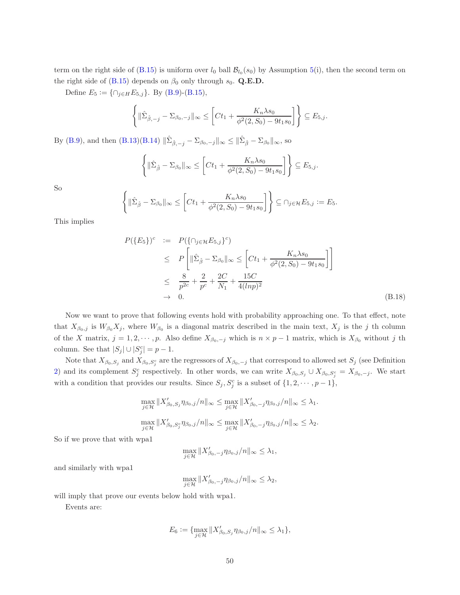term on the right side of  $(B.15)$  is uniform over  $l_0$  ball  $\mathcal{B}_{l_0}(s_0)$  by Assumption [5\(](#page-14-2)i), then the second term on the right side of [\(B.15\)](#page-48-1) depends on  $\beta_0$  only through  $s_0$ . Q.E.D.

Define  $E_5 := \{ \cap_{j \in H} E_{5,j} \}$ . By [\(B.9\)](#page-47-2)-[\(B.15\)](#page-48-1),

$$
\left\{\|\hat{\Sigma}_{\hat{\beta},-j}-\Sigma_{\beta_0,-j}\|_{\infty}\leq \left[ Ct_1+\frac{K_n\lambda s_0}{\phi^2(2,S_0)-9t_1s_0}\right]\right\}\subseteq E_{5,j}.
$$

By [\(B.9\)](#page-47-2), and then  $(B.13)(B.14) \|\hat{\Sigma}_{\hat{\beta},-j} - \Sigma_{\beta_0,-j}\|_{\infty} \le \|\hat{\Sigma}_{\hat{\beta}} - \Sigma_{\beta_0}\|_{\infty}$  $(B.13)(B.14) \|\hat{\Sigma}_{\hat{\beta},-j} - \Sigma_{\beta_0,-j}\|_{\infty} \le \|\hat{\Sigma}_{\hat{\beta}} - \Sigma_{\beta_0}\|_{\infty}$  $(B.13)(B.14) \|\hat{\Sigma}_{\hat{\beta},-j} - \Sigma_{\beta_0,-j}\|_{\infty} \le \|\hat{\Sigma}_{\hat{\beta}} - \Sigma_{\beta_0}\|_{\infty}$ , so

$$
\left\{ \|\hat{\Sigma}_{\hat{\beta}} - \Sigma_{\beta_0}\|_{\infty} \le \left[ Ct_1 + \frac{K_n \lambda s_0}{\phi^2(2, S_0) - 9t_1 s_0} \right] \right\} \subseteq E_{5,j}.
$$

So

$$
\left\{ \|\hat{\Sigma}_{\hat{\beta}} - \Sigma_{\beta_0}\|_{\infty} \le \left[ Ct_1 + \frac{K_n \lambda s_0}{\phi^2(2, S_0) - 9t_1 s_0} \right] \right\} \subseteq \cap_{j \in \mathcal{H}} E_{5,j} := E_5.
$$

This implies

<span id="page-49-0"></span>
$$
P(\lbrace E_5 \rbrace)^c := P(\lbrace \cap_{j \in \mathcal{H}} E_{5,j} \rbrace^c)
$$
  
\n
$$
\leq P\left[ \|\hat{\Sigma}_{\hat{\beta}} - \Sigma_{\beta_0}\|_{\infty} \leq \left[ Ct_1 + \frac{K_n \lambda s_0}{\phi^2(2, S_0) - 9t_1 s_0} \right] \right]
$$
  
\n
$$
\leq \frac{8}{p^{2c}} + \frac{2C}{p^c} + \frac{15C}{N_1} + \frac{15C}{4(lnp)^2}
$$
  
\n
$$
\to 0.
$$
 (B.18)

Now we want to prove that following events hold with probability approaching one. To that effect, note that  $X_{\beta_0,j}$  is  $W_{\beta_0}X_j$ , where  $W_{\beta_0}$  is a diagonal matrix described in the main text,  $X_j$  is the j th column of the X matrix,  $j = 1, 2, \dots, p$ . Also define  $X_{\beta_0,-j}$  which is  $n \times p - 1$  matrix, which is  $X_{\beta_0}$  without j th column. See that  $|S_j| \cup |S_j^c| = p - 1$ .

Note that  $X_{\beta_0,S_j}$  and  $X_{\beta_0,S_j^c}$  are the regressors of  $X_{\beta_0,-j}$  that correspond to allowed set  $S_j$  (see Definition [2\)](#page-4-3) and its complement  $S_j^c$  respectively. In other words, we can write  $X_{\beta_0,S_j} \cup X_{\beta_0,S_j^c} = X_{\beta_0,-j}$ . We start with a condition that provides our results. Since  $S_j$ ,  $S_j^c$  is a subset of  $\{1, 2, \dots, p-1\}$ ,

$$
\max_{j\in\mathcal{H}}\|X'_{\beta_0,S_j}\eta_{\beta_0,j}/n\|_{\infty} \le \max_{j\in\mathcal{H}}\|X'_{\beta_0,-j}\eta_{\beta_0,j}/n\|_{\infty} \le \lambda_1.
$$
  

$$
\max_{j\in\mathcal{H}}\|X'_{\beta_0,S_j}\eta_{\beta_0,j}/n\|_{\infty} \le \max_{j\in\mathcal{H}}\|X'_{\beta_0,-j}\eta_{\beta_0,j}/n\|_{\infty} \le \lambda_2.
$$

So if we prove that with wpa1

$$
\max_{j\in\mathcal{H}}\|X'_{\beta_0,-j}\eta_{\beta_0,j}/n\|_{\infty}\leq\lambda_1,
$$

and similarly with wpa1

$$
\max_{j\in\mathcal{H}}\|X'_{\beta_0,-j}\eta_{\beta_0,j}/n\|_{\infty}\leq\lambda_2,
$$

will imply that prove our events below hold with wpa1.

Events are:

$$
E_6 := \{ \max_{j \in \mathcal{H}} \|X'_{\beta_0, S_j} \eta_{\beta_0, j}/n\|_{\infty} \leq \lambda_1 \},
$$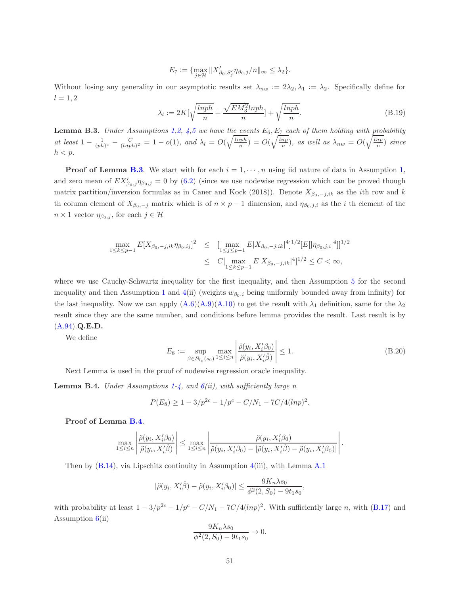$$
E_7 := \{ \max_{j \in \mathcal{H}} \|X'_{\beta_0, S_j^c} \eta_{\beta_0, j}/n\|_{\infty} \leq \lambda_2 \}.
$$

Without losing any generality in our asymptotic results set  $\lambda_{nw} := 2\lambda_2, \lambda_1 := \lambda_2$ . Specifically define for  $l = 1, 2$ 

<span id="page-50-2"></span>
$$
\lambda_l := 2K[\sqrt{\frac{lnph}{n}} + \frac{\sqrt{EM_3^2}lnph}{n}] + \sqrt{\frac{lnph}{n}}.\tag{B.19}
$$

<span id="page-50-1"></span>**Lemma B.3.** Under Assumptions [1](#page-8-0)[,2,](#page-8-1) [4](#page-9-1)[,5](#page-14-2) we have the events  $E_6$ ,  $E_7$  each of them holding with probability at least  $1 - \frac{1}{(ph)^c} - \frac{C}{(lnph)^2} = 1 - o(1)$ , and  $\lambda_l = O(\sqrt{\frac{lnph}{n}}) = O(\sqrt{\frac{lnp}{n}})$ , as well as  $\lambda_{nw} = O(\sqrt{\frac{lnp}{n}})$  since  $h < p$ .

**Proof of Lemma [B.3](#page-50-1).** We start with for each  $i = 1, \dots, n$  $i = 1, \dots, n$  $i = 1, \dots, n$  using iid nature of data in Assumption 1, and zero mean of  $EX'_{\beta_0,j}\eta_{\beta_0,j}=0$  by [\(6.2\)](#page-12-2) (since we use nodewise regression which can be proved though matrix partition/inversion formulas as in Caner and Kock (2018)). Denote  $X_{\beta_0,-j,k}$  as the *i*th row and k th column element of  $X_{\beta_0,-j}$  matrix which is of  $n \times p-1$  dimension, and  $\eta_{\beta_0,j,i}$  as the i th element of the  $n \times 1$  vector  $\eta_{\beta_0,j}$ , for each  $j \in \mathcal{H}$ 

$$
\max_{1 \le k \le p-1} E[X_{\beta_0, -j, ik} \eta_{\beta_0, ij}]^2 \le \left[ \max_{1 \le j \le p-1} E|X_{\beta_0, -j, ik}|^4 \right]^{1/2} [E[|\eta_{\beta_0, j, i}|^4]]^{1/2}
$$
  

$$
\le C \left[ \max_{1 \le k \le p-1} E|X_{\beta_0, -j, ik}|^4 \right]^{1/2} \le C < \infty,
$$

where we use Cauchy-Schwartz inequality for the first inequality, and then Assumption [5](#page-14-2) for the second inequality and then Assumption [1](#page-8-0) and [4\(](#page-9-1)ii) (weights  $w_{\beta_0,i}$  being uniformly bounded away from infinity) for the last inequality. Now we can apply  $(A.6)(A.9)(A.10)$  $(A.6)(A.9)(A.10)$  $(A.6)(A.9)(A.10)$  to get the result with  $\lambda_1$  definition, same for the  $\lambda_2$ result since they are the same number, and conditions before lemma provides the result. Last result is by [\(A.94\)](#page-44-0).Q.E.D.

We define

$$
E_8 := \sup_{\beta \in \mathcal{B}_{l_0}(s_0)} \max_{1 \le i \le n} \left| \frac{\ddot{\rho}(y_i, X_i'\beta_0)}{\ddot{\rho}(y_i, X_i'\hat{\beta})} \right| \le 1.
$$
 (B.20)

.

Next Lemma is used in the proof of nodewise regression oracle inequality.

<span id="page-50-0"></span>**Lemma B.4.** Under Assumptions [1](#page-8-0)[-4,](#page-9-1) and  $6(ii)$  $6(ii)$ , with sufficiently large n

$$
P(E_8) \ge 1 - 3/p^{2c} - 1/p^c - C/N_1 - 7C/4(lnp)^2.
$$

Proof of Lemma [B.4](#page-50-0).

$$
\max_{1 \leq i \leq n} \left| \frac{\ddot{\rho}(y_i, X_i'\beta_0)}{\ddot{\rho}(y_i, X_i'\hat{\beta})} \right| \leq \max_{1 \leq i \leq n} \left| \frac{\ddot{\rho}(y_i, X_i'\beta_0)}{\ddot{\rho}(y_i, X_i'\beta_0) - |\ddot{\rho}(y_i, X_i'\hat{\beta}) - \ddot{\rho}(y_i, X_i'\beta_0)|} \right|
$$

Then by [\(B.14\)](#page-48-0), via Lipschitz continuity in Assumption [4\(](#page-9-1)iii), with Lemma [A.1](#page-46-0)

$$
|\ddot{\rho}(y_i, X_i'\hat{\beta}) - \ddot{\rho}(y_i, X_i'\beta_0)| \le \frac{9K_n\lambda s_0}{\phi^2(2, S_0) - 9t_1s_0},
$$

with probability at least  $1 - 3/p^{2c} - 1/p^c - C/N_1 - 7C/4(lnp)^2$ . With sufficiently large n, with [\(B.17\)](#page-48-3) and Assumption  $6(ii)$  $6(ii)$ 

$$
\frac{9K_n\lambda s_0}{\phi^2(2, S_0) - 9t_1s_0} \to 0.
$$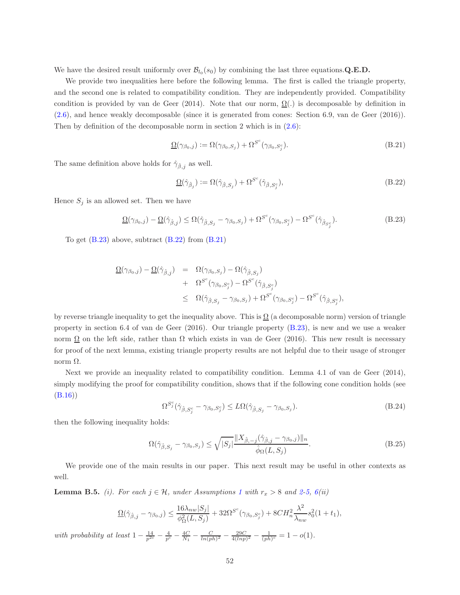We have the desired result uniformly over  $\mathcal{B}_{l_0}(s_0)$  by combining the last three equations. Q.E.D.

We provide two inequalities here before the following lemma. The first is called the triangle property, and the second one is related to compatibility condition. They are independently provided. Compatibility condition is provided by van de Geer (2014). Note that our norm,  $\Omega(.)$  is decomposable by definition in [\(2.6\)](#page-6-1), and hence weakly decomposable (since it is generated from cones: Section 6.9, van de Geer (2016)). Then by definition of the decomposable norm in section 2 which is in  $(2.6)$ :

<span id="page-51-4"></span>
$$
\underline{\Omega}(\gamma_{\beta_0,j}) := \Omega(\gamma_{\beta_0,S_j}) + \Omega^{S^c}(\gamma_{\beta_0,S_j^c}).
$$
\n(B.21)

The same definition above holds for  $\hat{\gamma}_{\hat{\beta},j}$  as well.

<span id="page-51-2"></span>
$$
\underline{\Omega}(\hat{\gamma}_{\hat{\beta}_j}) := \Omega(\hat{\gamma}_{\hat{\beta},S_j}) + \Omega^{S^c}(\hat{\gamma}_{\hat{\beta},S_j^c}),\tag{B.22}
$$

Hence  $S_j$  is an allowed set. Then we have

<span id="page-51-3"></span>
$$
\underline{\Omega}(\gamma_{\beta_0,j}) - \underline{\Omega}(\hat{\gamma}_{\hat{\beta},j}) \leq \Omega(\hat{\gamma}_{\hat{\beta},S_j} - \gamma_{\beta_0,S_j}) + \Omega^{S^c}(\gamma_{\beta_0,S_j^c}) - \Omega^{S^c}(\hat{\gamma}_{\hat{\beta}_{S_j^c}}). \tag{B.23}
$$

To get  $(B.23)$  above, subtract  $(B.22)$  from  $(B.21)$ 

$$
\begin{array}{lcl} \underline{\Omega}(\gamma_{\beta_0,j})-\underline{\Omega}(\hat{\gamma}_{\hat{\beta},j}) & = & \Omega(\gamma_{\beta_0,S_j})-\Omega(\hat{\gamma}_{\hat{\beta},S_j}) \\ & & + & \Omega^{S^c}(\gamma_{\beta_0,S^c_j})-\Omega^{S^c}(\hat{\gamma}_{\hat{\beta},S^c_j}) \\ & \leq & \Omega(\hat{\gamma}_{\hat{\beta},S_j}-\gamma_{\beta_0,S_j})+\Omega^{S^c}(\gamma_{\beta_0,S^c_j})-\Omega^{S^c}(\hat{\gamma}_{\hat{\beta},S^c_j}), \end{array}
$$

by reverse triangle inequality to get the inequality above. This is  $\Omega$  (a decomposable norm) version of triangle property in section 6.4 of van de Geer (2016). Our triangle property [\(B.23\)](#page-51-3), is new and we use a weaker norm  $\Omega$  on the left side, rather than  $\Omega$  which exists in van de Geer (2016). This new result is necessary for proof of the next lemma, existing triangle property results are not helpful due to their usage of stronger norm  $Ω$ .

Next we provide an inequality related to compatibility condition. Lemma 4.1 of van de Geer (2014), simply modifying the proof for compatibility condition, shows that if the following cone condition holds (see [\(B.16\)](#page-48-2))

<span id="page-51-0"></span>
$$
\Omega^{S_j^c}(\hat{\gamma}_{\hat{\beta},S_j^c} - \gamma_{\beta_0,S_j^c}) \le L\Omega(\hat{\gamma}_{\hat{\beta},S_j} - \gamma_{\beta_0,S_j}).\tag{B.24}
$$

then the following inequality holds:

<span id="page-51-1"></span>
$$
\Omega(\hat{\gamma}_{\hat{\beta},S_j} - \gamma_{\beta_0,S_j}) \le \sqrt{|S_j|} \frac{\|X_{\hat{\beta},-j}(\hat{\gamma}_{\hat{\beta},j} - \gamma_{\beta_0,j})\|_n}{\hat{\phi}_{\Omega}(L, S_j)}.
$$
\n(B.25)

We provide one of the main results in our paper. This next result may be useful in other contexts as well.

<span id="page-51-5"></span>**Lemma B.5.** (i). For each  $j \in \mathcal{H}$ , under Assumptions [1](#page-8-0) with  $r_x > 8$  and [2-](#page-8-1)[5,](#page-14-2) [6\(](#page-15-0)ii)

$$
\underline{\Omega}(\hat{\gamma}_{\hat{\beta},j} - \gamma_{\beta_0,j}) \le \frac{16\lambda_{nw} |S_j|}{\phi_{\Omega}^2(L, S_j)} + 32\Omega^{S^c}(\gamma_{\beta_0, S_j^c}) + 8CH_n^2 \frac{\lambda^2}{\lambda_{nw}} s_0^2 (1 + t_1),
$$

with probability at least  $1 - \frac{14}{p^{2c}} - \frac{4}{p^c} - \frac{4C}{N_1} - \frac{C}{\ln (ph)^2} - \frac{29C}{4(lnp)^2} - \frac{1}{(ph)^c} = 1 - o(1)$ .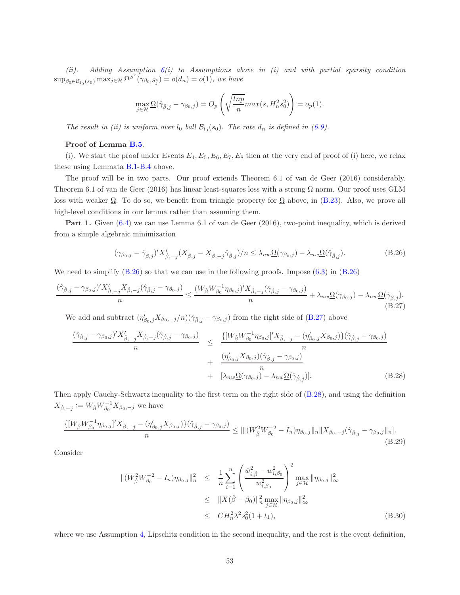(ii). Adding Assumption  $6(i)$  $6(i)$  to Assumptions above in (i) and with partial sparsity condition  $\sup_{\beta_0 \in \mathcal{B}_{l_0}(s_0)} \max_{j \in \mathcal{H}} \Omega^{S^c}(\gamma_{\beta_0, S^c_j}) = o(d_n) = o(1)$ , we have

$$
\max_{j \in \mathcal{H}} \underline{\Omega}(\hat{\gamma}_{\hat{\beta},j} - \gamma_{\beta_0,j}) = O_p\left(\sqrt{\frac{\ln p}{n}} \max(\bar{s}, H_n^2 s_0^2)\right) = o_p(1).
$$

The result in (ii) is uniform over  $l_0$  ball  $\mathcal{B}_{l_0}(s_0)$ . The rate  $d_n$  is defined in [\(6.9\)](#page-16-2).

#### Proof of Lemma [B.5](#page-51-5).

(i). We start the proof under Events  $E_4, E_5, E_6, E_7, E_8$  then at the very end of proof of (i) here, we relax these using Lemmata [B.1-](#page-46-0)[B.4](#page-50-0) above.

The proof will be in two parts. Our proof extends Theorem 6.1 of van de Geer (2016) considerably. Theorem 6.1 of van de Geer (2016) has linear least-squares loss with a strong  $\Omega$  norm. Our proof uses GLM loss with weaker  $\Omega$ . To do so, we benefit from triangle property for  $\Omega$  above, in [\(B.23\)](#page-51-3). Also, we prove all high-level conditions in our lemma rather than assuming them.

Part 1. Given  $(6.4)$  we can use Lemma 6.1 of van de Geer  $(2016)$ , two-point inequality, which is derived from a simple algebraic minimization

<span id="page-52-2"></span>
$$
(\gamma_{\beta_0,j} - \hat{\gamma}_{\hat{\beta},j})' X'_{\hat{\beta},-j} (X_{\hat{\beta},j} - X_{\hat{\beta},-j} \hat{\gamma}_{\hat{\beta},j})/n \le \lambda_{nw} \underline{\Omega}(\gamma_{\beta_0,j}) - \lambda_{nw} \underline{\Omega}(\hat{\gamma}_{\hat{\beta},j}).
$$
\n(B.26)

We need to simplify  $(B.26)$  so that we can use in the following proofs. Impose  $(6.3)$  in  $(B.26)$ 

<span id="page-52-0"></span>
$$
\frac{(\hat{\gamma}_{\hat{\beta},j} - \gamma_{\beta_0,j})'X'_{\hat{\beta},-j}X_{\hat{\beta},-j}(\hat{\gamma}_{\hat{\beta},j} - \gamma_{\beta_0,j})}{n} \le \frac{(W_{\hat{\beta}}W_{\beta_0}^{-1}\eta_{\beta_0,j})'X_{\hat{\beta},-j}(\hat{\gamma}_{\hat{\beta},j} - \gamma_{\beta_0,j})}{n} + \lambda_{nw}\underline{\Omega}(\gamma_{\beta_0,j}) - \lambda_{nw}\underline{\Omega}(\hat{\gamma}_{\hat{\beta},j}).
$$
\n(B.27)

We add and subtract  $(\eta'_{\beta_0,j}X_{\beta_0,-j}/n)(\hat{\gamma}_{\hat{\beta},j}-\gamma_{\beta_0,j})$  from the right side of [\(B.27\)](#page-52-0) above

<span id="page-52-3"></span>
$$
\frac{(\hat{\gamma}_{\hat{\beta},j} - \gamma_{\beta_0,j})'X'_{\hat{\beta},-j}X_{\hat{\beta},-j}(\hat{\gamma}_{\hat{\beta},j} - \gamma_{\beta_0,j})}{n} \leq \frac{\{[W_{\hat{\beta}}W_{\beta_0}^{-1}\eta_{\beta_0,j}]'X_{\hat{\beta},-j} - (\eta'_{\beta_0,j}X_{\beta_0,j})\}(\hat{\gamma}_{\hat{\beta},j} - \gamma_{\beta_0,j})}{n} + \frac{(\eta'_{\beta_0,j}X_{\beta_0,j})(\hat{\gamma}_{\hat{\beta},j} - \gamma_{\beta_0,j})}{n} + [\lambda_{nw}\underline{\Omega}(\gamma_{\beta_0,j}) - \lambda_{nw}\underline{\Omega}(\hat{\gamma}_{\hat{\beta},j})].
$$
\n(B.28)

Then apply Cauchy-Schwartz inequality to the first term on the right side of [\(B.28\)](#page-52-3), and using the definition  $X_{\hat{\beta}, -j} := W_{\hat{\beta}} W_{\beta_0}^{-1} X_{\beta_0, -j}$  we have

<span id="page-52-1"></span>
$$
\frac{\{[W_{\hat{\beta}}W_{\beta_0}^{-1}\eta_{\beta_0,j}]'X_{\hat{\beta},-j} - (\eta'_{\beta_0,j}X_{\beta_0,j})\}(\hat{\gamma}_{\hat{\beta},j} - \gamma_{\beta_0,j})}{n} \leq [\|(W_{\hat{\beta}}^2W_{\beta_0}^{-2} - I_n)\eta_{\beta_0,j}\|_n \|X_{\beta_0,-j}(\hat{\gamma}_{\hat{\beta},j} - \gamma_{\beta_0,j}\|_n].
$$
\n(B.29)

Consider

$$
\begin{split} \|(W_{\hat{\beta}}^{2}W_{\beta_{0}}^{-2}-I_{n})\eta_{\beta_{0},j}\|_{n}^{2} &\leq \frac{1}{n}\sum_{i=1}^{n}\left(\frac{\hat{w}_{i,\hat{\beta}}^{2}-w_{i,\beta_{0}}^{2}}{w_{i,\beta_{0}}^{2}}\right)^{2}\max_{j\in\mathcal{H}}\|\eta_{\beta_{0},j}\|_{\infty}^{2} \\ &\leq \|X(\hat{\beta}-\beta_{0})\|_{n}^{2}\max_{j\in\mathcal{H}}\|\eta_{\beta_{0},j}\|_{\infty}^{2} \\ &\leq CH_{n}^{2}\lambda^{2}s_{0}^{2}(1+t_{1}), \end{split} \tag{B.30}
$$

where we use Assumption [4,](#page-9-1) Lipschitz condition in the second inequality, and the rest is the event definition,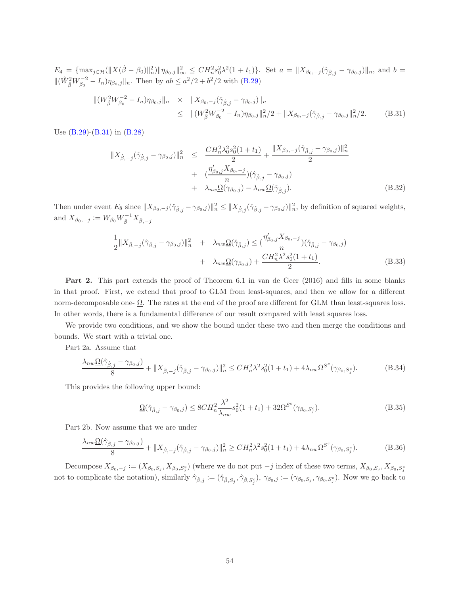$E_4 = {\max_{j \in \mathcal{H}}(||X(\hat{\beta} - \beta_0)||_n^2) ||\eta_{\beta_0,j}||_\infty^2 \leq C H_n^2 s_0^2 \lambda^2 (1 + t_1)}$ . Set  $a = ||X_{\beta_0,-j}(\hat{\gamma}_{\hat{\beta},j} - \gamma_{\beta_0,j})||_n$ , and  $b =$  $\|(\hat{W}_{\hat{\beta}}^2 W_{\beta_0}^{-2} - I_n)\eta_{\beta_0,j}\|_n$ . Then by  $ab \leq a^2/2 + b^2/2$  with [\(B.29\)](#page-52-1)

<span id="page-53-1"></span>
$$
\begin{split} \|(W^2_{\hat{\beta}}W^{-2}_{\beta_0}-I_n)\eta_{\beta_0,j}\|_n &\times \|X_{\beta_0,-j}(\hat{\gamma}_{\hat{\beta},j}-\gamma_{\beta_0,j})\|_n \\ &\leq \|(W^2_{\hat{\beta}}W^{-2}_{\beta_0}-I_n)\eta_{\beta_0,j}\|_n^2/2 + \|X_{\beta_0,-j}(\hat{\gamma}_{\hat{\beta},j}-\gamma_{\beta_0,j}\|_n^2/2. \end{split} \tag{B.31}
$$

Use [\(B.29\)](#page-52-1)-[\(B.31\)](#page-53-1) in [\(B.28\)](#page-52-3)

<span id="page-53-0"></span>
$$
||X_{\hat{\beta},-j}(\hat{\gamma}_{\hat{\beta},j} - \gamma_{\beta_0,j})||_n^2 \leq \frac{CH_n^2 \lambda_0^2 s_0^2 (1+t_1)}{2} + \frac{||X_{\beta_0,-j}(\hat{\gamma}_{\hat{\beta},j} - \gamma_{\beta_0,j})||_n^2}{2} + \frac{(\frac{\eta_{\beta_0,j}^{\prime} X_{\beta_0,-j}}{n})(\hat{\gamma}_{\hat{\beta},j} - \gamma_{\beta_0,j})}{n} + \lambda_{nw} \underline{\Omega}(\gamma_{\beta_0,j}) - \lambda_{nw} \underline{\Omega}(\hat{\gamma}_{\hat{\beta},j}).
$$
\n(B.32)

Then under event  $E_8$  since  $||X_{\beta_0,-j}(\hat{\gamma}_{\hat{\beta},j} - \gamma_{\beta_0,j})||_n^2 \leq ||X_{\hat{\beta},j}(\hat{\gamma}_{\hat{\beta},j} - \gamma_{\beta_0,j})||_n^2$ , by definition of squared weights, and  $X_{\beta_0,-j} := W_{\beta_0} W_{\hat{\beta}}^{-1} X_{\hat{\beta},-j}$ 

<span id="page-53-2"></span>
$$
\frac{1}{2}||X_{\hat{\beta},-j}(\hat{\gamma}_{\hat{\beta},j}-\gamma_{\beta_0,j})||_n^2 + \lambda_{nw}\underline{\Omega}(\hat{\gamma}_{\hat{\beta},j}) \leq (\frac{\eta'_{\beta_0,j}X_{\beta_0,-j}}{n})(\hat{\gamma}_{\hat{\beta},j}-\gamma_{\beta_0,j}) + \lambda_{nw}\underline{\Omega}(\gamma_{\beta_0,j}) + \frac{CH_n^2\lambda^2s_0^2(1+t_1)}{2}.
$$
\n(B.33)

Part 2. This part extends the proof of Theorem 6.1 in van de Geer (2016) and fills in some blanks in that proof. First, we extend that proof to GLM from least-squares, and then we allow for a different norm-decomposable one-  $\Omega$ . The rates at the end of the proof are different for GLM than least-squares loss. In other words, there is a fundamental difference of our result compared with least squares loss.

We provide two conditions, and we show the bound under these two and then merge the conditions and bounds. We start with a trivial one.

Part 2a. Assume that

<span id="page-53-3"></span>
$$
\frac{\lambda_{nw}\Omega(\hat{\gamma}_{\hat{\beta},j}-\gamma_{\beta_0,j})}{8} + \|X_{\hat{\beta},-j}(\hat{\gamma}_{\hat{\beta},j}-\gamma_{\beta_0,j})\|_{n}^{2} \leq CH_{n}^{2}\lambda^{2}s_{0}^{2}(1+t_{1}) + 4\lambda_{nw}\Omega^{S^{c}}(\gamma_{\beta_0,S_{j}^{c}}). \tag{B.34}
$$

This provides the following upper bound:

<span id="page-53-4"></span>
$$
\underline{\Omega}(\hat{\gamma}_{\hat{\beta},j} - \gamma_{\beta_0,j}) \le 8CH_n^2 \frac{\lambda^2}{\lambda_{nw}} s_0^2 (1+t_1) + 32\Omega^{S^c}(\gamma_{\beta_0,S_j^c}).\tag{B.35}
$$

Part 2b. Now assume that we are under

<span id="page-53-5"></span>
$$
\frac{\lambda_{nw}\Omega(\hat{\gamma}_{\hat{\beta},j}-\gamma_{\beta_0,j})}{8} + \|X_{\hat{\beta},-j}(\hat{\gamma}_{\hat{\beta},j}-\gamma_{\beta_0,j})\|_{n}^{2} \geq CH_{n}^{2}\lambda^{2}s_{0}^{2}(1+t_{1}) + 4\lambda_{nw}\Omega^{S^{c}}(\gamma_{\beta_0,S_{j}^{c}}). \tag{B.36}
$$

Decompose  $X_{\beta_0,-j} := (X_{\beta_0,S_j}, X_{\beta_0,S_j^c})$  (where we do not put  $-j$  index of these two terms,  $X_{\beta_0,S_j}, X_{\beta_0,S_j^c}$ not to complicate the notation), similarly  $\hat{\gamma}_{\hat{\beta},j} := (\hat{\gamma}_{\hat{\beta},S_j}, \hat{\gamma}_{\hat{\beta},S_j^c}), \gamma_{\beta_0,j} := (\gamma_{\beta_0,S_j}, \gamma_{\beta_0,S_j^c}).$  Now we go back to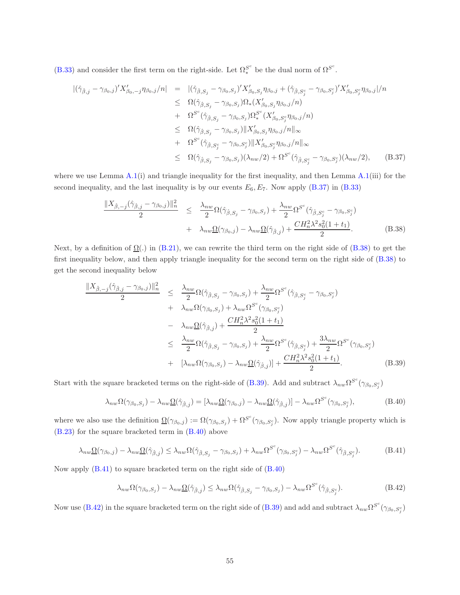[\(B.33\)](#page-53-2) and consider the first term on the right-side. Let  $\Omega^{S^c}_*$  be the dual norm of  $\Omega^{S^c}$ .

<span id="page-54-2"></span>
$$
\begin{split}\n\left| (\hat{\gamma}_{\hat{\beta},j} - \gamma_{\beta_{0},j})' X'_{\beta_{0},-j} \eta_{\beta_{0},j}/n \right| &= \left| (\hat{\gamma}_{\hat{\beta},S_{j}} - \gamma_{\beta_{0},S_{j}})' X'_{\beta_{0},S_{j}} \eta_{\beta_{0},j} + (\hat{\gamma}_{\hat{\beta},S_{j}^{c}} - \gamma_{\beta_{0},S_{j}^{c}})' X'_{\beta_{0},S_{j}^{c}} \eta_{\beta_{0},j} \right| / n \\
&\leq \Omega(\hat{\gamma}_{\hat{\beta},S_{j}} - \gamma_{\beta_{0},S_{j}}) \Omega_{*} (X'_{\beta_{0},S_{j}} \eta_{\beta_{0},j}/n) \\
&\quad + \Omega^{S^{c}}(\hat{\gamma}_{\hat{\beta},S_{j}} - \gamma_{\beta_{0},S_{j}}) \Omega_{*}^{S^{c}}(X'_{\beta_{0},S_{j}^{c}} \eta_{\beta_{0},j}/n) \\
&\leq \Omega(\hat{\gamma}_{\hat{\beta},S_{j}} - \gamma_{\beta_{0},S_{j}}) \| X'_{\beta_{0},S_{j}} \eta_{\beta_{0},j}/n \|_{\infty} \\
&\quad + \Omega^{S^{c}}(\hat{\gamma}_{\hat{\beta},S_{j}^{c}} - \gamma_{\beta_{0},S_{j}^{c}}) \| X'_{\beta_{0},S_{j}^{c}} \eta_{\beta_{0},j}/n \|_{\infty} \\
&\leq \Omega(\hat{\gamma}_{\hat{\beta},S_{j}} - \gamma_{\beta_{0},S_{j}}) (\lambda_{nw}/2) + \Omega^{S^{c}}(\hat{\gamma}_{\hat{\beta},S_{j}^{c}} - \gamma_{\beta_{0},S_{j}^{c}}) (\lambda_{nw}/2), \qquad (B.37)\n\end{split}
$$

where we use Lemma  $A.1(i)$  $A.1(i)$  and triangle inequality for the first inequality, and then Lemma  $A.1(iii)$  for the second inequality, and the last inequality is by our events  $E_6, E_7$ . Now apply [\(B.37\)](#page-54-2) in [\(B.33\)](#page-53-2)

<span id="page-54-3"></span>
$$
\frac{\|X_{\hat{\beta},-j}(\hat{\gamma}_{\hat{\beta},j}-\gamma_{\beta_0,j})\|_n^2}{2} \leq \frac{\lambda_{nw}}{2} \Omega(\hat{\gamma}_{\hat{\beta},S_j}-\gamma_{\beta_0,S_j}) + \frac{\lambda_{nw}}{2} \Omega^{S^c}(\hat{\gamma}_{\hat{\beta},S_j^c}-\gamma_{\beta_0,S_j^c}) + \lambda_{nw}\underline{\Omega}(\gamma_{\beta_0,j}) - \lambda_{nw}\underline{\Omega}(\hat{\gamma}_{\hat{\beta},j}) + \frac{CH_n^2 \lambda^2 s_0^2 (1+t_1)}{2}.
$$
\n(B.38)

Next, by a definition of  $\Omega(.)$  in [\(B.21\)](#page-51-4), we can rewrite the third term on the right side of [\(B.38\)](#page-54-3) to get the first inequality below, and then apply triangle inequality for the second term on the right side of [\(B.38\)](#page-54-3) to get the second inequality below

<span id="page-54-4"></span>
$$
\frac{\|X_{\hat{\beta},-j}(\hat{\gamma}_{\hat{\beta},j}-\gamma_{\beta_0,j})\|_n^2}{2} \leq \frac{\lambda_{nw}}{2} \Omega(\hat{\gamma}_{\hat{\beta},S_j}-\gamma_{\beta_0,S_j}) + \frac{\lambda_{nw}}{2} \Omega^{S^c}(\hat{\gamma}_{\hat{\beta},S_j^c}-\gamma_{\beta_0,S_j^c}) \n+ \lambda_{nw}\Omega(\gamma_{\beta_0,S_j}) + \lambda_{nw}\Omega^{S^c}(\gamma_{\beta_0,S_j^c}) \n- \lambda_{nw}\underline{\Omega}(\hat{\gamma}_{\hat{\beta},j}) + \frac{CH_n^2\lambda^2s_0^2(1+t_1)}{2} \n\leq \frac{\lambda_{nw}}{2} \Omega(\hat{\gamma}_{\hat{\beta},S_j}-\gamma_{\beta_0,S_j}) + \frac{\lambda_{nw}}{2} \Omega^{S^c}(\hat{\gamma}_{\hat{\beta},S_j^c}) + \frac{3\lambda_{nw}}{2} \Omega^{S^c}(\gamma_{\beta_0,S_j^c}) \n+ \left[\lambda_{nw}\Omega(\gamma_{\beta_0,S_j}) - \lambda_{nw}\underline{\Omega}(\hat{\gamma}_{\hat{\beta},j})\right] + \frac{CH_n^2\lambda^2s_0^2(1+t_1)}{2}.
$$
\n(B.39)

Start with the square bracketed terms on the right-side of [\(B.39\)](#page-54-4). Add and subtract  $\lambda_{nw} \Omega^{S^c}(\gamma_{\beta_0,S^c_j})$ 

<span id="page-54-0"></span>
$$
\lambda_{nw} \Omega(\gamma_{\beta_0, S_j}) - \lambda_{nw} \underline{\Omega}(\hat{\gamma}_{\hat{\beta}, j}) = [\lambda_{nw} \underline{\Omega}(\gamma_{\beta_0, j}) - \lambda_{nw} \underline{\Omega}(\hat{\gamma}_{\hat{\beta}, j})] - \lambda_{nw} \Omega^{S^c}(\gamma_{\beta_0, S^c_j}),
$$
(B.40)

where we also use the definition  $\underline{\Omega}(\gamma_{\beta_0,j}) := \Omega(\gamma_{\beta_0,S_j}) + \Omega^{S^c}(\gamma_{\beta_0,S_j^c})$ . Now apply triangle property which is [\(B.23\)](#page-51-3) for the square bracketed term in [\(B.40\)](#page-54-0) above

<span id="page-54-1"></span>
$$
\lambda_{nw}\underline{\Omega}(\gamma_{\beta_0,j}) - \lambda_{nw}\underline{\Omega}(\hat{\gamma}_{\hat{\beta},j}) \leq \lambda_{nw}\Omega(\hat{\gamma}_{\hat{\beta},S_j} - \gamma_{\beta_0,S_j}) + \lambda_{nw}\Omega^{S^c}(\gamma_{\beta_0,S_j^c}) - \lambda_{nw}\Omega^{S^c}(\hat{\gamma}_{\hat{\beta},S_j^c}).
$$
\n(B.41)

Now apply [\(B.41\)](#page-54-1) to square bracketed term on the right side of [\(B.40\)](#page-54-0)

<span id="page-54-5"></span>
$$
\lambda_{nw}\Omega(\gamma_{\beta_0,S_j}) - \lambda_{nw}\underline{\Omega}(\hat{\gamma}_{\hat{\beta},j}) \leq \lambda_{nw}\Omega(\hat{\gamma}_{\hat{\beta},S_j} - \gamma_{\beta_0,S_j}) - \lambda_{nw}\Omega^{S^c}(\hat{\gamma}_{\hat{\beta},S_j^c}).
$$
\n(B.42)

Now use [\(B.42\)](#page-54-5) in the square bracketed term on the right side of [\(B.39\)](#page-54-4) and add and subtract  $\lambda_{nw} \Omega^{S^c}(\gamma_{\beta_0, S^c_j})$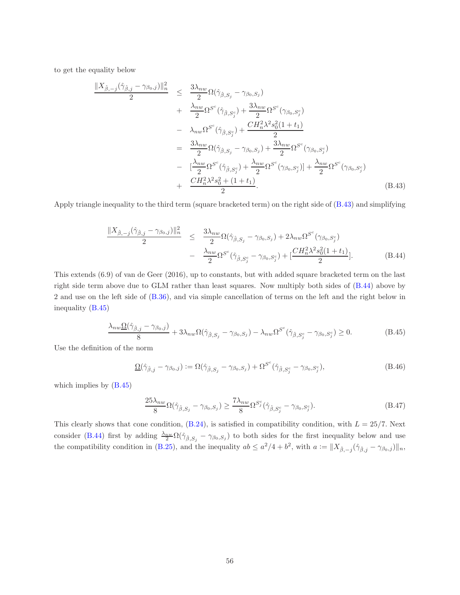to get the equality below

<span id="page-55-0"></span>
$$
\frac{\|X_{\hat{\beta},-j}(\hat{\gamma}_{\hat{\beta},j}-\gamma_{\beta_{0},j})\|_{n}^{2}}{2} \leq \frac{3\lambda_{nw}}{2}\Omega(\hat{\gamma}_{\hat{\beta},S_{j}}-\gamma_{\beta_{0},S_{j}})\n+ \frac{\lambda_{nw}}{2}\Omega^{S^{c}}(\hat{\gamma}_{\hat{\beta},S_{j}^{c}})+\frac{3\lambda_{nw}}{2}\Omega^{S^{c}}(\gamma_{\beta_{0},S_{j}^{c}})\n- \lambda_{nw}\Omega^{S^{c}}(\hat{\gamma}_{\hat{\beta},S_{j}^{c}})+\frac{CH_{n}^{2}\lambda^{2}s_{0}^{2}(1+t_{1})}{2}\n= \frac{3\lambda_{nw}}{2}\Omega(\hat{\gamma}_{\hat{\beta},S_{j}}-\gamma_{\beta_{0},S_{j}})+\frac{3\lambda_{nw}}{2}\Omega^{S^{c}}(\gamma_{\beta_{0},S_{j}^{c}})\n- \frac{\lambda_{nw}}{2}\Omega^{S^{c}}(\hat{\gamma}_{\hat{\beta},S_{j}^{c}})+\frac{\lambda_{nw}}{2}\Omega^{S^{c}}(\gamma_{\beta_{0},S_{j}^{c}})]+\frac{\lambda_{nw}}{2}\Omega^{S^{c}}(\gamma_{\beta_{0},S_{j}^{c}})\n+ \frac{CH_{n}^{2}\lambda^{2}s_{0}^{2}+(1+t_{1})}{2}.
$$
\n(B.43)

Apply triangle inequality to the third term (square bracketed term) on the right side of [\(B.43\)](#page-55-0) and simplifying

<span id="page-55-1"></span>
$$
\frac{\|X_{\hat{\beta},-j}(\hat{\gamma}_{\hat{\beta},j}-\gamma_{\beta_0,j})\|_n^2}{2} \leq \frac{3\lambda_{nw}}{2} \Omega(\hat{\gamma}_{\hat{\beta},S_j}-\gamma_{\beta_0,S_j}) + 2\lambda_{nw} \Omega^{S^c}(\gamma_{\beta_0,S_j^c})
$$

$$
- \frac{\lambda_{nw}}{2} \Omega^{S^c}(\hat{\gamma}_{\hat{\beta},S_j^c}-\gamma_{\beta_0,S_j^c}) + \left[\frac{CH_n^2 \lambda^2 s_0^2 (1+t_1)}{2}\right].
$$
(B.44)

This extends (6.9) of van de Geer (2016), up to constants, but with added square bracketed term on the last right side term above due to GLM rather than least squares. Now multiply both sides of [\(B.44\)](#page-55-1) above by 2 and use on the left side of [\(B.36\)](#page-53-5), and via simple cancellation of terms on the left and the right below in inequality [\(B.45\)](#page-55-2)

<span id="page-55-2"></span>
$$
\frac{\lambda_{nw}\Omega(\hat{\gamma}_{\hat{\beta},j}-\gamma_{\beta_0,j})}{8}+3\lambda_{nw}\Omega(\hat{\gamma}_{\hat{\beta},S_j}-\gamma_{\beta_0,S_j})-\lambda_{nw}\Omega^{S^c}(\hat{\gamma}_{\hat{\beta},S^c_j}-\gamma_{\beta_0,S^c_j})\geq 0.
$$
 (B.45)

Use the definition of the norm

<span id="page-55-3"></span>
$$
\underline{\Omega}(\hat{\gamma}_{\hat{\beta},j} - \gamma_{\beta_0,j}) := \Omega(\hat{\gamma}_{\hat{\beta},S_j} - \gamma_{\beta_0,S_j}) + \Omega^{S^c}(\hat{\gamma}_{\hat{\beta},S_j^c} - \gamma_{\beta_0,S_j^c}),
$$
\n(B.46)

which implies by [\(B.45\)](#page-55-2)

<span id="page-55-4"></span>
$$
\frac{25\lambda_{nw}}{8} \Omega(\hat{\gamma}_{\hat{\beta},S_j} - \gamma_{\beta_0,S_j}) \ge \frac{7\lambda_{nw}}{8} \Omega^{S_j^c}(\hat{\gamma}_{\hat{\beta},S_j^c} - \gamma_{\beta_0,S_j^c}).\tag{B.47}
$$

This clearly shows that cone condition,  $(B.24)$ , is satisfied in compatibility condition, with  $L = 25/7$ . Next consider [\(B.44\)](#page-55-1) first by adding  $\frac{\lambda_{nw}}{2} \Omega(\hat{\gamma}_{\hat{\beta},S_j} - \gamma_{\beta_0,S_j})$  to both sides for the first inequality below and use the compatibility condition in [\(B.25\)](#page-51-1), and the inequality  $ab \le a^2/4 + b^2$ , with  $a := \|X_{\hat{\beta},-j}(\hat{\gamma}_{\hat{\beta},j} - \gamma_{\beta_0,j})\|_n$ ,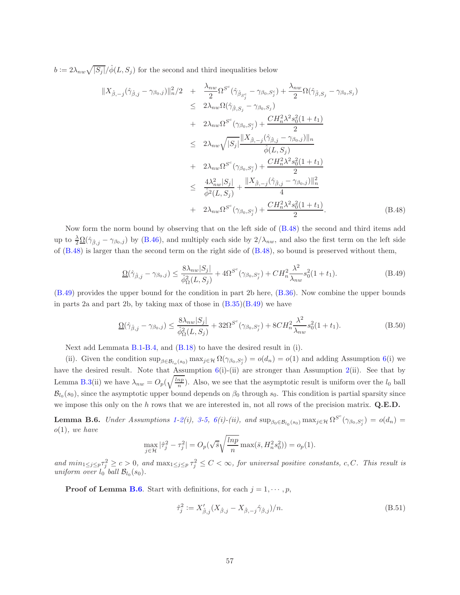$b := 2\lambda_{nw}\sqrt{|S_j|}/\hat{\phi}(L, S_j)$  for the second and third inequalities below

<span id="page-56-3"></span>
$$
\|X_{\hat{\beta},-j}(\hat{\gamma}_{\hat{\beta},j}-\gamma_{\beta_{0},j})\|_{n}^{2}/2 + \frac{\lambda_{nw}}{2}\Omega^{S^{c}}(\hat{\gamma}_{\hat{\beta}_{S_{j}^{c}}}-\gamma_{\beta_{0},S_{j}^{c}})+\frac{\lambda_{nw}}{2}\Omega(\hat{\gamma}_{\hat{\beta},S_{j}}-\gamma_{\beta_{0},S_{j})\n\leq 2\lambda_{nw}\Omega(\hat{\gamma}_{\hat{\beta},S_{j}}-\gamma_{\beta_{0},S_{j}})\n+ 2\lambda_{nw}\Omega^{S^{c}}(\gamma_{\beta_{0},S_{j}^{c}})+\frac{CH_{n}^{2}\lambda^{2}s_{0}^{2}(1+t_{1})}{2}\n\leq 2\lambda_{nw}\sqrt{|S_{j}|}\frac{\|X_{\hat{\beta},-j}(\hat{\gamma}_{\hat{\beta},j}-\gamma_{\beta_{0},j})\|_{n}}{\hat{\phi}(L,S_{j})}\n+ 2\lambda_{nw}\Omega^{S^{c}}(\gamma_{\beta_{0},S_{j}^{c}})+\frac{CH_{n}^{2}\lambda^{2}s_{0}^{2}(1+t_{1})}{2}\n\leq \frac{4\lambda_{nw}^{2}|S_{j}|}{\hat{\phi}^{2}(L,S_{j})}+\frac{\|X_{\hat{\beta},-j}(\hat{\gamma}_{\hat{\beta},j}-\gamma_{\beta_{0},j})\|_{n}^{2}}{4}\n+ 2\lambda_{nw}\Omega^{S^{c}}(\gamma_{\beta_{0},S_{j}^{c}})+\frac{CH_{n}^{2}\lambda^{2}s_{0}^{2}(1+t_{1})}{2}.
$$
\n(B.48)

Now form the norm bound by observing that on the left side of [\(B.48\)](#page-56-3) the second and third items add up to  $\frac{\lambda}{2} \Omega(\hat{\gamma}_{\hat{\beta},j} - \gamma_{\beta_0,j})$  by [\(B.46\)](#page-55-3), and multiply each side by  $2/\lambda_{nw}$ , and also the first term on the left side of [\(B.48\)](#page-56-3) is larger than the second term on the right side of [\(B.48\)](#page-56-3), so bound is preserved without them,

<span id="page-56-0"></span>
$$
\underline{\Omega}(\hat{\gamma}_{\hat{\beta},j} - \gamma_{\beta_0,j}) \le \frac{8\lambda_{nw}|S_j|}{\hat{\phi}_{\Omega}^2(L, S_j)} + 4\Omega^{S^c}(\gamma_{\beta_0, S_j^c}) + CH_n^2 \frac{\lambda^2}{\lambda_{nw}} s_0^2 (1 + t_1).
$$
\n(B.49)

[\(B.49\)](#page-56-0) provides the upper bound for the condition in part 2b here, [\(B.36\)](#page-53-5). Now combine the upper bounds in parts 2a and part 2b, by taking max of those in  $(B.35)(B.49)$  $(B.35)(B.49)$  we have

<span id="page-56-1"></span>
$$
\underline{\Omega}(\hat{\gamma}_{\hat{\beta},j} - \gamma_{\beta_0,j}) \le \frac{8\lambda_{nw}|S_j|}{\hat{\phi}_{\Omega}^2(L, S_j)} + 32\Omega^{S^c}(\gamma_{\beta_0, S_j^c}) + 8CH_n^2 \frac{\lambda^2}{\lambda_{nw}} s_0^2(1+t_1). \tag{B.50}
$$

Next add Lemmata [B.1-](#page-46-0)[B.4,](#page-50-0) and [\(B.18\)](#page-49-0) to have the desired result in (i).

(ii). Given the condition  $\sup_{\beta \in \mathcal{B}_{l_o}(s_0)} \max_{j \in \mathcal{H}} \Omega(\gamma_{\beta_0, S_j^c}) = o(d_n) = o(1)$  and adding Assumption [6\(](#page-15-0)i) we have the desired result. Note that Assumption  $6(i)$  $6(i)$ -(ii) are stronger than Assumption [2\(](#page-8-1)ii). See that by Lemma [B.3\(](#page-50-1)ii) we have  $\lambda_{nw} = O_p(\sqrt{\frac{lnp}{n}})$ . Also, we see that the asymptotic result is uniform over the  $l_0$  ball  $\mathcal{B}_{l_0}(s_0)$ , since the asymptotic upper bound depends on  $\beta_0$  through  $s_0$ . This condition is partial sparsity since we impose this only on the  $h$  rows that we are interested in, not all rows of the precision matrix.  $Q.E.D.$ 

<span id="page-56-2"></span>**Lemma B.6.** Under Assumptions [1-](#page-8-0)[2\(](#page-8-1)i), [3-](#page-9-0)[5,](#page-14-2) [6\(](#page-15-0)i)-(ii), and  $\sup_{\beta_0 \in \mathcal{B}_{l_0}(s_0)} \max_{j \in \mathcal{H}} \Omega^{S^c}(\gamma_{\beta_0,S_j^c}) = o(d_n)$  $o(1)$ , we have

$$
\max_{j \in \mathcal{H}} |\hat{\tau}_j^2 - \tau_j^2| = O_p(\sqrt{\overline{s}} \sqrt{\frac{\ln p}{n}} \max(\overline{s}, H_n^2 s_0^2)) = o_p(1).
$$

and  $\min_{1 \leq j \leq p} \tau_j^2 \geq c > 0$ , and  $\max_{1 \leq j \leq p} \tau_j^2 \leq C < \infty$ , for universal positive constants, c, C. This result is uniform over  $l_0$  ball  $\mathcal{B}_{l_0}(s_0)$ .

**Proof of Lemma [B.6](#page-56-2).** Start with definitions, for each  $j = 1, \dots, p$ ,

<span id="page-56-4"></span>
$$
\hat{\tau}_j^2 := X'_{\hat{\beta},j}(X_{\hat{\beta},j} - X_{\hat{\beta},-j}\hat{\gamma}_{\hat{\beta},j})/n.
$$
\n(B.51)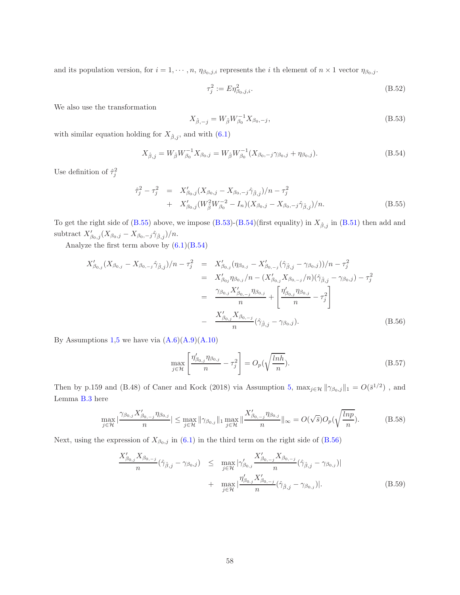and its population version, for  $i = 1, \dots, n$ ,  $\eta_{\beta_0, j,i}$  represents the i th element of  $n \times 1$  vector  $\eta_{\beta_0, j}$ .

<span id="page-57-0"></span>
$$
\tau_j^2 := E \eta_{\beta_0, j, i}^2. \tag{B.52}
$$

We also use the transformation

<span id="page-57-4"></span>
$$
X_{\hat{\beta},-j} = W_{\hat{\beta}} W_{\beta_0}^{-1} X_{\beta_0,-j},
$$
\n(B.53)

with similar equation holding for  $X_{\hat{\beta},j}$ , and with [\(6.1\)](#page-12-0)

<span id="page-57-1"></span>
$$
X_{\hat{\beta},j} = W_{\hat{\beta}} W_{\beta_0}^{-1} X_{\beta_0,j} = W_{\hat{\beta}} W_{\beta_0}^{-1} (X_{\beta_0,-j} \gamma_{\beta_0,j} + \eta_{\beta_0,j}). \tag{B.54}
$$

Use definition of  $\hat{\tau}_j^2$ 

<span id="page-57-5"></span>
$$
\begin{split} \hat{\tau}_j^2 - \tau_j^2 &= X'_{\beta_0,j} (X_{\beta_0,j} - X_{\beta_0,-j} \hat{\gamma}_{\hat{\beta},j})/n - \tau_j^2 \\ &+ X'_{\beta_0,j} (W_{\hat{\beta}}^2 W_{\beta_0}^{-2} - I_n) (X_{\beta_0,j} - X_{\beta_0,-j} \hat{\gamma}_{\hat{\beta},j})/n. \end{split} \tag{B.55}
$$

To get the right side of [\(B.55\)](#page-57-5) above, we impose [\(B.53\)](#page-57-4)-[\(B.54\)](#page-57-1)(first equality) in  $X_{\hat{\beta},j}$  in [\(B.51\)](#page-56-4) then add and subtract  $X'_{\beta_0,j}(X_{\beta_0,j}-X_{\beta_0,-j}\hat{\gamma}_{\hat{\beta},j})/n$ .

Analyze the first term above by  $(6.1)(B.54)$  $(6.1)(B.54)$ 

<span id="page-57-2"></span>
$$
X'_{\beta_{0,j}}(X_{\beta_{0,j}} - X_{\beta_{0,-j}}\hat{\gamma}_{\hat{\beta},j})/n - \tau_j^2 = X'_{\beta_{0,j}}(\eta_{\beta_{0,j}} - X'_{\beta_{0,-j}}(\hat{\gamma}_{\hat{\beta},j} - \gamma_{\beta_{0,j}}))/n - \tau_j^2
$$
  
\n
$$
= X'_{\beta_{0j}}\eta_{\beta_{0,j}}/n - (X'_{\beta_{0,j}}X_{\beta_{0,-j}}/n)(\hat{\gamma}_{\hat{\beta},j} - \gamma_{\beta_{0,j}}) - \tau_j^2
$$
  
\n
$$
= \frac{\gamma_{\beta_{0,j}}X'_{\beta_{0,-j}}\eta_{\beta_{0,j}}}{n} + \left[\frac{\eta'_{\beta_{0,j}}\eta_{\beta_{0,j}}}{n} - \tau_j^2\right]
$$
  
\n
$$
- \frac{X'_{\beta_{0,j}}X_{\beta_{0,-j}}}{n}(\hat{\gamma}_{\hat{\beta},j} - \gamma_{\beta_{0,j}}).
$$
 (B.56)

By Assumptions [1](#page-8-0)[,5](#page-14-2) we have via  $(A.6)(A.9)(A.10)$  $(A.6)(A.9)(A.10)$  $(A.6)(A.9)(A.10)$ 

<span id="page-57-7"></span>
$$
\max_{j \in \mathcal{H}} \left[ \frac{\eta'_{\beta_{0,j}} \eta_{\beta_{0,j}}}{n} - \tau_j^2 \right] = O_p(\sqrt{\frac{\ln h}{n}}). \tag{B.57}
$$

Then by p.159 and (B.48) of Caner and Kock (2018) via Assumption [5,](#page-14-2)  $\max_{j\in\mathcal{H}} \|\gamma_{\beta_0,j}\|_1 = O(\bar{s}^{1/2})$ , and Lemma [B.3](#page-50-1) here

<span id="page-57-3"></span>
$$
\max_{j \in \mathcal{H}} |\frac{\gamma_{\beta_{0,j}} X'_{\beta_{0,-j}} \eta_{\beta_{0,j}}}{n}| \le \max_{j \in \mathcal{H}} \|\gamma_{\beta_{0,j}}\|_1 \max_{j \in \mathcal{H}} \|\frac{X'_{\beta_{0,-j}} \eta_{\beta_{0,j}}}{n}\|_{\infty} = O(\sqrt{\bar{s}})O_p(\sqrt{\frac{lnp}{n}}). \tag{B.58}
$$

Next, using the expression of  $X_{\beta_0,j}$  in [\(6.1\)](#page-12-0) in the third term on the right side of [\(B.56\)](#page-57-2)

<span id="page-57-6"></span>
$$
\frac{X'_{\beta_{0,j}} X_{\beta_{0,-j}}}{n} (\hat{\gamma}_{\hat{\beta},j} - \gamma_{\beta_{0},j}) \leq \max_{j \in \mathcal{H}} |\gamma'_{\beta_{0,j}} \frac{X'_{\beta_{0,-j}} X_{\beta_{0,-j}}}{n} (\hat{\gamma}_{\hat{\beta},j} - \gamma_{\beta_{0},j})| \n+ \max_{j \in \mathcal{H}} |\frac{\eta'_{\beta_{0,j}} X'_{\beta_{0,-j}}}{n} (\hat{\gamma}_{\hat{\beta},j} - \gamma_{\beta_{0},j})|.
$$
\n(B.59)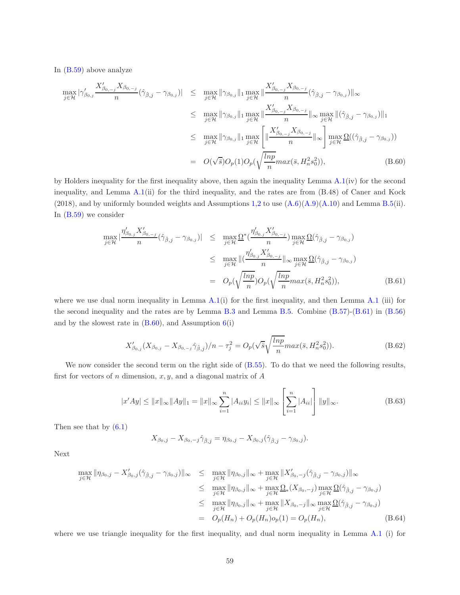In [\(B.59\)](#page-57-6) above analyze

<span id="page-58-3"></span>
$$
\max_{j \in \mathcal{H}} |\gamma'_{\beta_{0,j}} \frac{X'_{\beta_{0,-j}} X_{\beta_{0,-j}}}{n} (\hat{\gamma}_{\hat{\beta},j} - \gamma_{\beta_{0,j}})| \leq \max_{j \in \mathcal{H}} ||\gamma_{\beta_{0,j}}||_1 \max_{j \in \mathcal{H}} \frac{X'_{\beta_{0,-j}} X_{\beta_{0,-j}}}{n} (\hat{\gamma}_{\hat{\beta},j} - \gamma_{\beta_{0,j}})||_{\infty} \leq \max_{j \in \mathcal{H}} ||\gamma_{\beta_{0,j}}||_1 \max_{j \in \mathcal{H}} \frac{X'_{\beta_{0,-j}} X_{\beta_{0,-j}}}{n} ||_{\infty} \max_{j \in \mathcal{H}} ||(\hat{\gamma}_{\hat{\beta},j} - \gamma_{\beta_{0,j}})||_1 \leq \max_{j \in \mathcal{H}} ||\gamma_{\beta_{0,j}}||_1 \max_{j \in \mathcal{H}} \left[ \frac{X'_{\beta_{0,-j}} X_{\beta_{0,-j}}}{n} ||_{\infty} \right] \max_{j \in \mathcal{H}} \Omega((\hat{\gamma}_{\hat{\beta},j} - \gamma_{\beta_{0,j}})) \n= O(\sqrt{\overline{s}})O_p(1)O_p(\sqrt{\frac{lnp}{n}} max(\overline{s}, H_n^2 s_0^2)),
$$
\n(B.60)

by Holders inequality for the first inequality above, then again the inequality Lemma [A.1\(](#page-46-0)iv) for the second inequality, and Lemma [A.1\(](#page-46-0)ii) for the third inequality, and the rates are from (B.48) of Caner and Kock  $(2018)$  $(2018)$  $(2018)$ , and by uniformly bounded weights and Assumptions [1,](#page-8-0)2 to use  $(A.6)(A.9)(A.10)$  $(A.6)(A.9)(A.10)$  $(A.6)(A.9)(A.10)$  and Lemma [B.5\(](#page-51-5)ii). In [\(B.59\)](#page-57-6) we consider

<span id="page-58-0"></span>
$$
\max_{j \in \mathcal{H}} |\frac{\eta'_{\beta_{0,j}} X'_{\beta_{0,-j}}}{n} (\hat{\gamma}_{\hat{\beta},j} - \gamma_{\beta_{0,j}})| \leq \max_{j \in \mathcal{H}} \Omega^* (\frac{\eta'_{\beta_{0,j}} X'_{\beta_{0,-j}}}{n}) \max_{j \in \mathcal{H}} \Omega(\hat{\gamma}_{\hat{\beta},j} - \gamma_{\beta_{0,j}})
$$
  

$$
\leq \max_{j \in \mathcal{H}} ||(\frac{\eta'_{\beta_{0,j}} X'_{\beta_{0,-j}}}{n} ||_{\infty} \max_{j \in \mathcal{H}} \Omega(\hat{\gamma}_{\hat{\beta},j} - \gamma_{\beta_{0,j}}))
$$
  

$$
= O_p(\sqrt{\frac{\ln p}{n}})O_p(\sqrt{\frac{\ln p}{n}} \max(\bar{s}, H_n^2 s_0^2)),
$$
 (B.61)

where we use dual norm inequality in Lemma  $A(1(i))$  for the first inequality, and then Lemma  $A(1(iii))$  for the second inequality and the rates are by Lemma [B.3](#page-50-1) and Lemma [B.5.](#page-51-5) Combine [\(B.57\)](#page-57-7)-[\(B.61\)](#page-58-0) in [\(B.56\)](#page-57-2) and by the slowest rate in  $(B.60)$ , and Assumption  $6(i)$  $6(i)$ 

<span id="page-58-1"></span>
$$
X'_{\beta_{0,j}}(X_{\beta_{0,j}} - X_{\beta_{0,-j}}\hat{\gamma}_{\hat{\beta},j})/n - \tau_j^2 = O_p(\sqrt{\bar{s}}\sqrt{\frac{\ln p}{n}}\max(\bar{s}, H_n^2 s_0^2)).
$$
\n(B.62)

We now consider the second term on the right side of  $(B.55)$ . To do that we need the following results, first for vectors of  $n$  dimension,  $x, y$ , and a diagonal matrix of  $A$ 

<span id="page-58-4"></span>
$$
|x'Ay| \le ||x||_{\infty} ||Ay||_1 = ||x||_{\infty} \sum_{i=1}^{n} |A_{ii}y_i| \le ||x||_{\infty} \left[ \sum_{i=1}^{n} |A_{ii}| \right] ||y||_{\infty}.
$$
 (B.63)

Then see that by [\(6.1\)](#page-12-0)

$$
X_{\beta_0,j} - X_{\beta_0,-j} \hat{\gamma}_{\hat{\beta},j} = \eta_{\beta_0,j} - X_{\beta_0,j} (\hat{\gamma}_{\hat{\beta},j} - \gamma_{\beta_0,j}).
$$

Next

<span id="page-58-2"></span>
$$
\max_{j \in \mathcal{H}} \|\eta_{\beta_0,j} - X'_{\beta_0,j}(\hat{\gamma}_{\hat{\beta},j} - \gamma_{\beta_0,j})\|_{\infty} \leq \max_{j \in \mathcal{H}} \|\eta_{\beta_0,j}\|_{\infty} + \max_{j \in \mathcal{H}} \|X'_{\beta_0,-j}(\hat{\gamma}_{\hat{\beta},j} - \gamma_{\beta_0,j})\|_{\infty} \leq \max_{j \in \mathcal{H}} \|\eta_{\beta_0,j}\|_{\infty} + \max_{j \in \mathcal{H}} \Omega_*(X_{\beta_0,-j}) \max_{j \in \mathcal{H}} \Omega(\hat{\gamma}_{\hat{\beta},j} - \gamma_{\beta_0,j}) \leq \max_{j \in \mathcal{H}} \|\eta_{\beta_0,j}\|_{\infty} + \max_{j \in \mathcal{H}} \|X_{\beta_0,-j}\|_{\infty} \max_{j \in \mathcal{H}} \Omega(\hat{\gamma}_{\hat{\beta},j} - \gamma_{\beta_0,j}) \n= O_p(H_n) + O_p(H_n) o_p(1) = O_p(H_n),
$$
\n(B.64)

where we use triangle inequality for the first inequality, and dual norm inequality in Lemma [A.1](#page-46-0) (i) for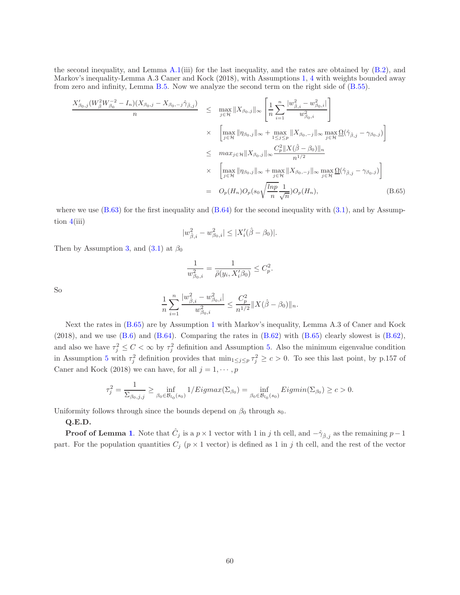the second inequality, and Lemma  $A.1(iii)$  $A.1(iii)$  for the last inequality, and the rates are obtained by  $(B.2)$ , and Markov's inequality-Lemma A.3 Caner and Kock (2018), with Assumptions [1,](#page-8-0) [4](#page-9-1) with weights bounded away from zero and infinity, Lemma [B.5.](#page-51-5) Now we analyze the second term on the right side of [\(B.55\)](#page-57-5).

<span id="page-59-0"></span>
$$
\frac{X'_{\beta_{0},j}(W_{\beta}^{2}W_{\beta_{0}}^{-2}-I_{n})(X_{\beta_{0},j}-X_{\beta_{0},-j}\hat{\gamma}_{\beta,j})}{n} \leq \max_{j\in\mathcal{H}}\|X_{\beta_{0},j}\|_{\infty} \left[\frac{1}{n}\sum_{i=1}^{n}\frac{|w_{\beta,i}^{2}-w_{\beta_{0},i}^{2}|}{w_{\beta_{0},i}^{2}}\right] \times \left[\max_{j\in\mathcal{H}}\|\eta_{\beta_{0},j}\|_{\infty}+\max_{1\leq j\leq p}\|X_{\beta_{0},-j}\|_{\infty}\max_{j\in\mathcal{H}}\Omega(\hat{\gamma}_{\beta,j}-\gamma_{\beta_{0},j})\right] \leq \max_{j\in\mathcal{H}}\|X_{\beta_{0},j}\|_{\infty}\frac{C_{p}^{2}\|X(\hat{\beta}-\beta_{0})\|_{n}}{n^{1/2}} \times \left[\max_{j\in\mathcal{H}}\|\eta_{\beta_{0},j}\|_{\infty}+\max_{j\in\mathcal{H}}\|X_{\beta_{0},-j}\|_{\infty}\max_{j\in\mathcal{H}}\Omega(\hat{\gamma}_{\beta,j}-\gamma_{\beta_{0},j})\right] = O_{p}(H_{n})O_{p}(s_{0}\sqrt{\frac{lnp}{n}}\frac{1}{\sqrt{n}})O_{p}(H_{n}),
$$
\n(B.65)

where we use  $(B.63)$  for the first inequality and  $(B.64)$  for the second inequality with  $(3.1)$ , and by Assumption  $4(iii)$  $4(iii)$ 

$$
|w_{\hat{\beta},i}^2 - w_{\beta_0,i}^2| \le |X_i'(\hat{\beta} - \beta_0)|.
$$

Then by Assumption [3,](#page-9-0) and  $(3.1)$  at  $\beta_0$ 

$$
\frac{1}{w_{\beta_0,i}^2} = \frac{1}{\ddot{\rho}(y_i, X_i'\beta_0)} \le C_p^2.
$$

So

$$
\frac{1}{n}\sum_{i=1}^n \frac{|w_{\hat{\beta},i}^2 - w_{\beta_0,i}^2|}{w_{\beta_0,i}^2} \leq \frac{C_p^2}{n^{1/2}} \|X(\hat{\beta} - \beta_0)\|_n.
$$

Next the rates in [\(B.65\)](#page-59-0) are by Assumption [1](#page-8-0) with Markov's inequality, Lemma A.3 of Caner and Kock  $(2018)$ , and we use  $(B.6)$  and  $(B.64)$ . Comparing the rates in  $(B.62)$  with  $(B.65)$  clearly slowest is  $(B.62)$ , and also we have  $\tau_j^2 \leq C < \infty$  by  $\tau_j^2$  definition and Assumption [5.](#page-14-2) Also the minimum eigenvalue condition in Assumption [5](#page-14-2) with  $\tau_j^2$  definition provides that  $\min_{1 \leq j \leq p} \tau_j^2 \geq c > 0$ . To see this last point, by p.157 of Caner and Kock (2018) we can have, for all  $j=1,\cdots,p$ 

$$
\tau_j^2 = \frac{1}{\sum_{\beta_0, j, j}} \ge \inf_{\beta_0 \in \mathcal{B}_{l_0}(s_0)} 1/Eigmax(\Sigma_{\beta_0}) = \inf_{\beta_0 \in \mathcal{B}_{l_0}(s_0)} Eigmin(\Sigma_{\beta_0}) \ge c > 0.
$$

Uniformity follows through since the bounds depend on  $\beta_0$  through  $s_0$ .

#### Q.E.D.

**Proof of Lemma [1](#page-16-1).** Note that  $\hat{C}_j$  is a  $p \times 1$  vector with 1 in j th cell, and  $-\hat{\gamma}_{\hat{\beta},j}$  as the remaining  $p-1$ part. For the population quantities  $C_j$  ( $p \times 1$  vector) is defined as 1 in j th cell, and the rest of the vector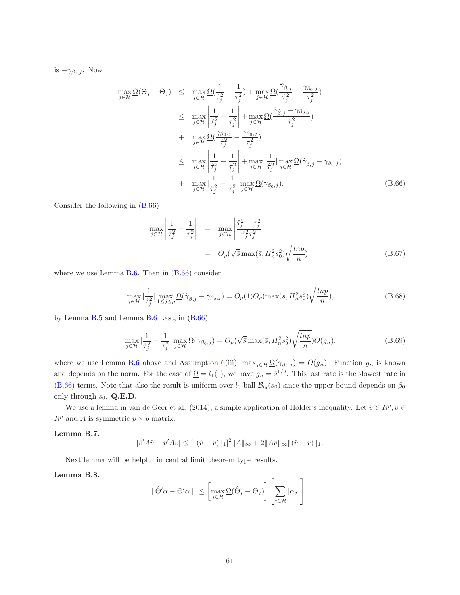is  $-\gamma_{\beta_0,j}$ . Now

<span id="page-60-0"></span>
$$
\max_{j \in \mathcal{H}} \Omega(\hat{\Theta}_{j} - \Theta_{j}) \leq \max_{j \in \mathcal{H}} \Omega(\frac{1}{\hat{\tau}_{j}^{2}} - \frac{1}{\tau_{j}^{2}}) + \max_{j \in \mathcal{H}} \Omega(\frac{\hat{\gamma}_{\hat{\beta},j}}{\hat{\tau}_{j}^{2}} - \frac{\gamma_{\beta_{0},j}}{\tau_{j}^{2}})
$$
\n
$$
\leq \max_{j \in \mathcal{H}} \left| \frac{1}{\hat{\tau}_{j}^{2}} - \frac{1}{\tau_{j}^{2}} \right| + \max_{j \in \mathcal{H}} \Omega(\frac{\hat{\gamma}_{\hat{\beta},j} - \gamma_{\beta_{0},j}}{\hat{\tau}_{j}^{2}})
$$
\n
$$
+ \max_{j \in \mathcal{H}} \Omega(\frac{\gamma_{\beta_{0},j}}{\hat{\tau}_{j}^{2}} - \frac{\gamma_{\beta_{0},j}}{\tau_{j}^{2}})
$$
\n
$$
\leq \max_{j \in \mathcal{H}} \left| \frac{1}{\hat{\tau}_{j}^{2}} - \frac{1}{\tau_{j}^{2}} \right| + \max_{j \in \mathcal{H}} \left| \frac{1}{\hat{\tau}_{j}^{2}} \right| \max_{j \in \mathcal{H}} \Omega(\hat{\gamma}_{\hat{\beta},j} - \gamma_{\beta_{0},j})
$$
\n
$$
+ \max_{j \in \mathcal{H}} \left| \frac{1}{\hat{\tau}_{j}^{2}} - \frac{1}{\tau_{j}^{2}} \right| \max_{j \in \mathcal{H}} \Omega(\gamma_{\beta_{0},j}). \tag{B.66}
$$

Consider the following in [\(B.66\)](#page-60-0)

<span id="page-60-3"></span>
$$
\max_{j \in \mathcal{H}} \left| \frac{1}{\hat{\tau}_j^2} - \frac{1}{\tau_j^2} \right| = \max_{j \in \mathcal{H}} \left| \frac{\hat{\tau}_j^2 - \tau_j^2}{\hat{\tau}_j^2 \tau_j^2} \right|
$$
  
=  $O_p(\sqrt{\overline{s}} \max(\bar{s}, H_n^2 s_0^2) \sqrt{\frac{\ln p}{n}}),$  (B.67)

where we use Lemma [B.6.](#page-56-2) Then in  $(B.66)$  consider

<span id="page-60-1"></span>
$$
\max_{j\in\mathcal{H}}\left|\frac{1}{\hat{\tau}_j^2}\right| \max_{1\leq j\leq p} \Omega(\hat{\gamma}_{\hat{\beta},j} - \gamma_{\beta_0,j}) = O_p(1)O_p(\max(\bar{s}, H_n^2 s_0^2))\sqrt{\frac{\ln p}{n}}),\tag{B.68}
$$

by Lemma [B.5](#page-51-5) and Lemma [B.6](#page-56-2) Last, in [\(B.66\)](#page-60-0)

<span id="page-60-2"></span>
$$
\max_{j\in\mathcal{H}}\left|\frac{1}{\hat{\tau}_j^2} - \frac{1}{\tau_j^2}\right| \max_{j\in\mathcal{H}} \Omega(\gamma_{\beta_0,j}) = O_p(\sqrt{\bar{s}}\max(\bar{s}, H_n^2 s_0^2)) \sqrt{\frac{\ln p}{n}}) O(g_n),\tag{B.69}
$$

where we use Lemma [B.6](#page-56-2) above and Assumption [6\(](#page-15-0)iii),  $\max_{j\in\mathcal{H}} \underline{\Omega}(\gamma_{\beta_0,j}) = O(g_n)$ . Function  $g_n$  is known and depends on the norm. For the case of  $\Omega = l_1($ , we have  $g_n = \bar{s}^{1/2}$ . This last rate is the slowest rate in [\(B.66\)](#page-60-0) terms. Note that also the result is uniform over  $l_0$  ball  $\mathcal{B}_{l_0}(s_0)$  since the upper bound depends on  $\beta_0$ only through  $s_0$ . Q.E.D.

We use a lemma in van de Geer et al. (2014), a simple application of Holder's inequality. Let  $\hat{v} \in R^p, v \in$  $R^p$  and A is symmetric  $p \times p$  matrix.

#### <span id="page-60-4"></span>Lemma B.7.

$$
|\hat{v}'A\hat{v} - v'Av| \le |||(\hat{v} - v)||_1|^2 ||A||_{\infty} + 2||Av||_{\infty} ||(\hat{v} - v)||_1.
$$

Next lemma will be helpful in central limit theorem type results.

### <span id="page-60-5"></span>Lemma B.8.

$$
\|\hat{\Theta}'\alpha - \Theta'\alpha\|_1 \leq \left[\max_{j\in\mathcal{H}} \underline{\Omega}(\hat{\Theta}_j - \Theta_j)\right] \left[\sum_{j\in\mathcal{H}} |\alpha_j|\right].
$$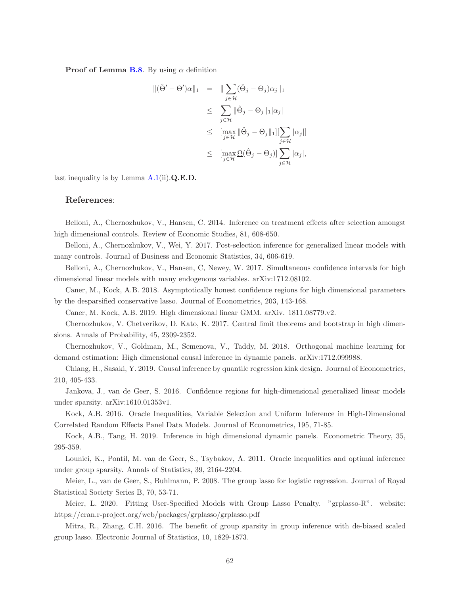**Proof of Lemma [B.8](#page-60-5).** By using  $\alpha$  definition

$$
\begin{array}{rcl} \|(\hat{\Theta}' - \Theta')\alpha\|_1 & = & \| \sum_{j \in \mathcal{H}} (\hat{\Theta}_j - \Theta_j)\alpha_j \|_1 \\ & \leq & \sum_{j \in \mathcal{H}} \|\hat{\Theta}_j - \Theta_j\|_1 |\alpha_j| \\ & \leq & \lim_{j \in \mathcal{H}} \|\hat{\Theta}_j - \Theta_j\|_1 \| \sum_{j \in \mathcal{H}} |\alpha_j| \|_1 \\ & \leq & \lim_{j \in \mathcal{H}} \underline{\Omega}(\hat{\Theta}_j - \Theta_j) \| \sum_{j \in \mathcal{H}} |\alpha_j|, \end{array}
$$

last inequality is by Lemma  $A.1(ii) \cdot Q.E.D.$  $A.1(ii) \cdot Q.E.D.$ 

## References:

Belloni, A., Chernozhukov, V., Hansen, C. 2014. Inference on treatment effects after selection amongst high dimensional controls. Review of Economic Studies, 81, 608-650.

Belloni, A., Chernozhukov, V., Wei, Y. 2017. Post-selection inference for generalized linear models with many controls. Journal of Business and Economic Statistics, 34, 606-619.

Belloni, A., Chernozhukov, V., Hansen, C, Newey, W. 2017. Simultaneous confidence intervals for high dimensional linear models with many endogenous variables. arXiv:1712.08102.

Caner, M., Kock, A.B. 2018. Asymptotically honest confidence regions for high dimensional parameters by the desparsified conservative lasso. Journal of Econometrics, 203, 143-168.

Caner, M. Kock, A.B. 2019. High dimensional linear GMM. arXiv. 1811.08779.v2.

Chernozhukov, V. Chetverikov, D. Kato, K. 2017. Central limit theorems and bootstrap in high dimensions. Annals of Probability, 45, 2309-2352.

Chernozhukov, V., Goldman, M., Semenova, V., Taddy, M. 2018. Orthogonal machine learning for demand estimation: High dimensional causal inference in dynamic panels. arXiv:1712.099988.

Chiang, H., Sasaki, Y. 2019. Causal inference by quantile regression kink design. Journal of Econometrics, 210, 405-433.

Jankova, J., van de Geer, S. 2016. Confidence regions for high-dimensional generalized linear models under sparsity. arXiv:1610.01353v1.

Kock, A.B. 2016. Oracle Inequalities, Variable Selection and Uniform Inference in High-Dimensional Correlated Random Effects Panel Data Models. Journal of Econometrics, 195, 71-85.

Kock, A.B., Tang, H. 2019. Inference in high dimensional dynamic panels. Econometric Theory, 35, 295-359.

Lounici, K., Pontil, M. van de Geer, S., Tsybakov, A. 2011. Oracle inequalities and optimal inference under group sparsity. Annals of Statistics, 39, 2164-2204.

Meier, L., van de Geer, S., Buhlmann, P. 2008. The group lasso for logistic regression. Journal of Royal Statistical Society Series B, 70, 53-71.

Meier, L. 2020. Fitting User-Specified Models with Group Lasso Penalty. "grplasso-R". website: https://cran.r-project.org/web/packages/grplasso/grplasso.pdf

Mitra, R., Zhang, C.H. 2016. The benefit of group sparsity in group inference with de-biased scaled group lasso. Electronic Journal of Statistics, 10, 1829-1873.